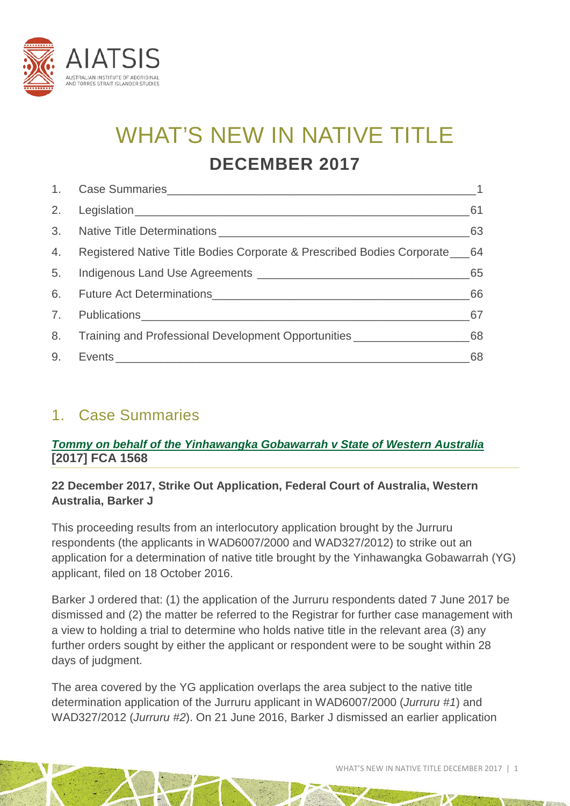

# WHAT'S NEW IN NATIVE TITLE **DECEMBER 2017**

| 2. | $\sim$ 61                                                                        |    |
|----|----------------------------------------------------------------------------------|----|
|    |                                                                                  | 63 |
| 4. | Registered Native Title Bodies Corporate & Prescribed Bodies Corporate 64        |    |
| 5. |                                                                                  | 65 |
|    |                                                                                  | 66 |
|    |                                                                                  | 67 |
| 8. | Training and Professional Development Opportunities ____________________________ | 68 |
| 9. |                                                                                  | 68 |

### <span id="page-0-0"></span>1. Case Summaries

#### *[Tommy on behalf of the Yinhawangka Gobawarrah v State of Western Australia](http://www.austlii.edu.au/cgi-bin/viewdoc/au/cases/cth/FCA/2017/1568.html)* **[2017] FCA 1568**

#### **22 December 2017, Strike Out Application, Federal Court of Australia, Western Australia, Barker J**

This proceeding results from an interlocutory application brought by the Jurruru respondents (the applicants in WAD6007/2000 and WAD327/2012) to strike out an application for a determination of native title brought by the Yinhawangka Gobawarrah (YG) applicant, filed on 18 October 2016.

Barker J ordered that: (1) the application of the Jurruru respondents dated 7 June 2017 be dismissed and (2) the matter be referred to the Registrar for further case management with a view to holding a trial to determine who holds native title in the relevant area (3) any further orders sought by either the applicant or respondent were to be sought within 28 days of judgment.

The area covered by the YG application overlaps the area subject to the native title determination application of the Jurruru applicant in WAD6007/2000 (*Jurruru #1*) and WAD327/2012 (*Jurruru #2*). On 21 June 2016, Barker J dismissed an earlier application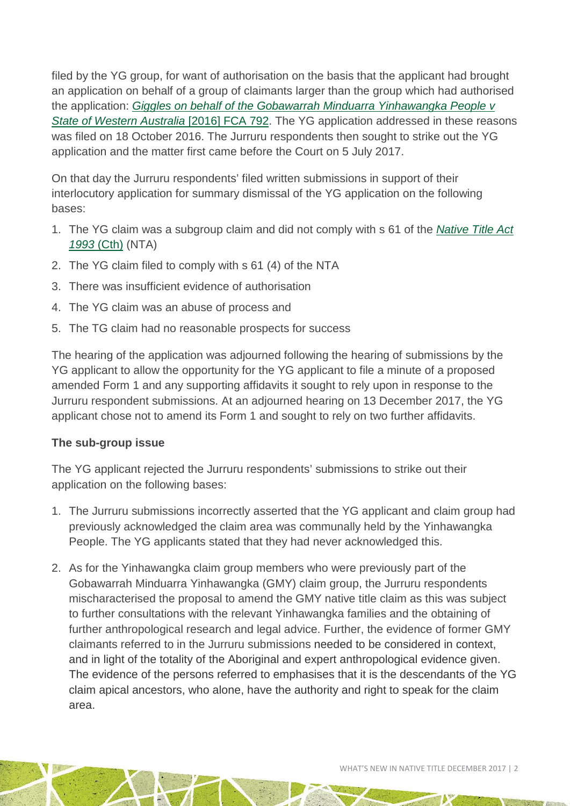filed by the YG group, for want of authorisation on the basis that the applicant had brought an application on behalf of a group of claimants larger than the group which had authorised the application: *[Giggles on behalf of the Gobawarrah Minduarra Yinhawangka People v](https://www.austlii.edu.au/cgi-bin/viewdoc/au/cases/cth/FCA/2016/792.html)  [State of Western Australia](https://www.austlii.edu.au/cgi-bin/viewdoc/au/cases/cth/FCA/2016/792.html)* [2016] FCA 792. The YG application addressed in these reasons was filed on 18 October 2016. The Jurruru respondents then sought to strike out the YG application and the matter first came before the Court on 5 July 2017.

On that day the Jurruru respondents' filed written submissions in support of their interlocutory application for summary dismissal of the YG application on the following bases:

- 1. The YG claim was a subgroup claim and did not comply with s 61 of the *[Native Title Act](http://www5.austlii.edu.au/au/legis/cth/consol_act/nta1993147/)  [1993](http://www5.austlii.edu.au/au/legis/cth/consol_act/nta1993147/)* (Cth) (NTA)
- 2. The YG claim filed to comply with s 61 (4) of the NTA
- 3. There was insufficient evidence of authorisation
- 4. The YG claim was an abuse of process and
- 5. The TG claim had no reasonable prospects for success

The hearing of the application was adjourned following the hearing of submissions by the YG applicant to allow the opportunity for the YG applicant to file a minute of a proposed amended Form 1 and any supporting affidavits it sought to rely upon in response to the Jurruru respondent submissions. At an adjourned hearing on 13 December 2017, the YG applicant chose not to amend its Form 1 and sought to rely on two further affidavits.

#### **The sub-group issue**

The YG applicant rejected the Jurruru respondents' submissions to strike out their application on the following bases:

- 1. The Jurruru submissions incorrectly asserted that the YG applicant and claim group had previously acknowledged the claim area was communally held by the Yinhawangka People. The YG applicants stated that they had never acknowledged this.
- 2. As for the Yinhawangka claim group members who were previously part of the Gobawarrah Minduarra Yinhawangka (GMY) claim group, the Jurruru respondents mischaracterised the proposal to amend the GMY native title claim as this was subject to further consultations with the relevant Yinhawangka families and the obtaining of further anthropological research and legal advice. Further, the evidence of former GMY claimants referred to in the Jurruru submissions needed to be considered in context, and in light of the totality of the Aboriginal and expert anthropological evidence given. The evidence of the persons referred to emphasises that it is the descendants of the YG claim apical ancestors, who alone, have the authority and right to speak for the claim area.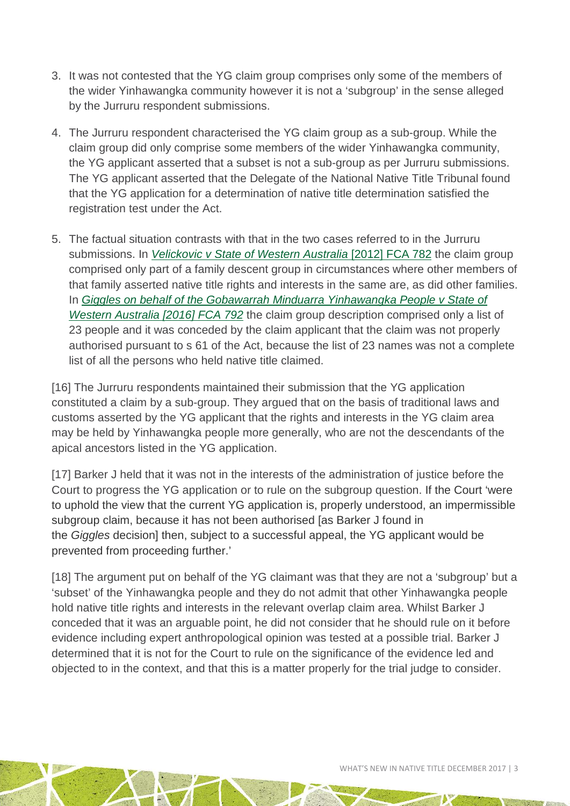- 3. It was not contested that the YG claim group comprises only some of the members of the wider Yinhawangka community however it is not a 'subgroup' in the sense alleged by the Jurruru respondent submissions.
- 4. The Jurruru respondent characterised the YG claim group as a sub-group. While the claim group did only comprise some members of the wider Yinhawangka community, the YG applicant asserted that a subset is not a sub-group as per Jurruru submissions. The YG applicant asserted that the Delegate of the National Native Title Tribunal found that the YG application for a determination of native title determination satisfied the registration test under the Act.
- 5. The factual situation contrasts with that in the two cases referred to in the Jurruru submissions. In *[Velickovic v State of Western Australia](http://www.austlii.edu.au/cgi-bin/viewdoc/au/cases/cth/FCA/2012/782.html)* [2012] FCA 782 the claim group comprised only part of a family descent group in circumstances where other members of that family asserted native title rights and interests in the same are, as did other families. In *[Giggles on behalf of the Gobawarrah Minduarra Yinhawangka People v State of](http://www.austlii.edu.au/cgi-bin/viewdoc/au/cases/cth/FCA/2016/792.html)  [Western Australia \[2016\] FCA 792](http://www.austlii.edu.au/cgi-bin/viewdoc/au/cases/cth/FCA/2016/792.html)* the claim group description comprised only a list of 23 people and it was conceded by the claim applicant that the claim was not properly authorised pursuant to s 61 of the Act, because the list of 23 names was not a complete list of all the persons who held native title claimed.

[16] The Jurruru respondents maintained their submission that the YG application constituted a claim by a sub-group. They argued that on the basis of traditional laws and customs asserted by the YG applicant that the rights and interests in the YG claim area may be held by Yinhawangka people more generally, who are not the descendants of the apical ancestors listed in the YG application.

[17] Barker J held that it was not in the interests of the administration of justice before the Court to progress the YG application or to rule on the subgroup question. If the Court 'were to uphold the view that the current YG application is, properly understood, an impermissible subgroup claim, because it has not been authorised [as Barker J found in the *Giggles* decision] then, subject to a successful appeal, the YG applicant would be prevented from proceeding further.'

[18] The argument put on behalf of the YG claimant was that they are not a 'subgroup' but a 'subset' of the Yinhawangka people and they do not admit that other Yinhawangka people hold native title rights and interests in the relevant overlap claim area. Whilst Barker J conceded that it was an arguable point, he did not consider that he should rule on it before evidence including expert anthropological opinion was tested at a possible trial. Barker J determined that it is not for the Court to rule on the significance of the evidence led and objected to in the context, and that this is a matter properly for the trial judge to consider.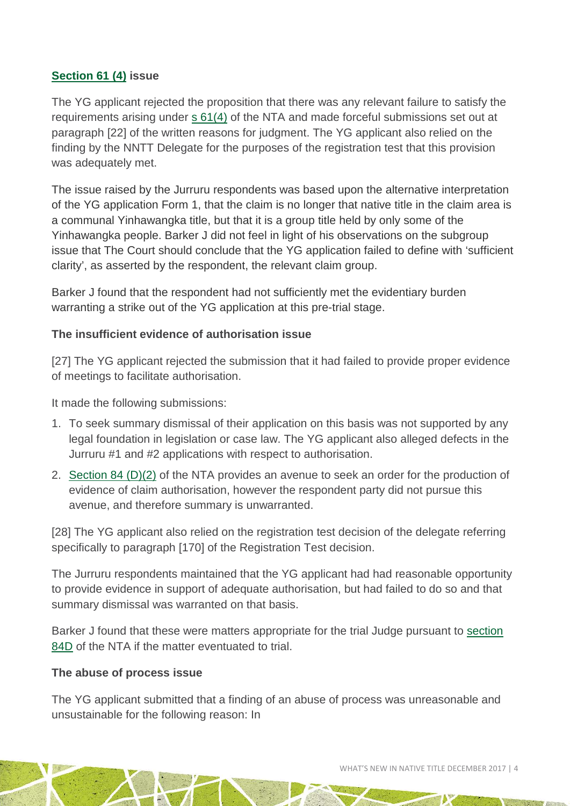#### **[Section 61 \(4\)](http://www5.austlii.edu.au/au/legis/cth/consol_act/nta1993147/s61.html) issue**

The YG applicant rejected the proposition that there was any relevant failure to satisfy the requirements arising under [s 61\(4\)](http://www5.austlii.edu.au/au/legis/cth/consol_act/nta1993147/s61.html) of the NTA and made forceful submissions set out at paragraph [22] of the written reasons for judgment. The YG applicant also relied on the finding by the NNTT Delegate for the purposes of the registration test that this provision was adequately met.

The issue raised by the Jurruru respondents was based upon the alternative interpretation of the YG application Form 1, that the claim is no longer that native title in the claim area is a communal Yinhawangka title, but that it is a group title held by only some of the Yinhawangka people. Barker J did not feel in light of his observations on the subgroup issue that The Court should conclude that the YG application failed to define with 'sufficient clarity', as asserted by the respondent, the relevant claim group.

Barker J found that the respondent had not sufficiently met the evidentiary burden warranting a strike out of the YG application at this pre-trial stage.

#### **The insufficient evidence of authorisation issue**

[27] The YG applicant rejected the submission that it had failed to provide proper evidence of meetings to facilitate authorisation.

It made the following submissions:

- 1. To seek summary dismissal of their application on this basis was not supported by any legal foundation in legislation or case law. The YG applicant also alleged defects in the Jurruru #1 and #2 applications with respect to authorisation.
- 2. [Section 84 \(D\)\(2\)](http://www8.austlii.edu.au/cgi-bin/viewdoc/au/legis/cth/consol_act/nta1993147/s84.html) of the NTA provides an avenue to seek an order for the production of evidence of claim authorisation, however the respondent party did not pursue this avenue, and therefore summary is unwarranted.

[28] The YG applicant also relied on the registration test decision of the delegate referring specifically to paragraph [170] of the Registration Test decision.

The Jurruru respondents maintained that the YG applicant had had reasonable opportunity to provide evidence in support of adequate authorisation, but had failed to do so and that summary dismissal was warranted on that basis.

Barker J found that these were matters appropriate for the trial Judge pursuant to [section](http://www5.austlii.edu.au/au/legis/cth/consol_act/nta1993147/s84d.html)  [84D](http://www5.austlii.edu.au/au/legis/cth/consol_act/nta1993147/s84d.html) of the NTA if the matter eventuated to trial.

#### **The abuse of process issue**

The YG applicant submitted that a finding of an abuse of process was unreasonable and unsustainable for the following reason: In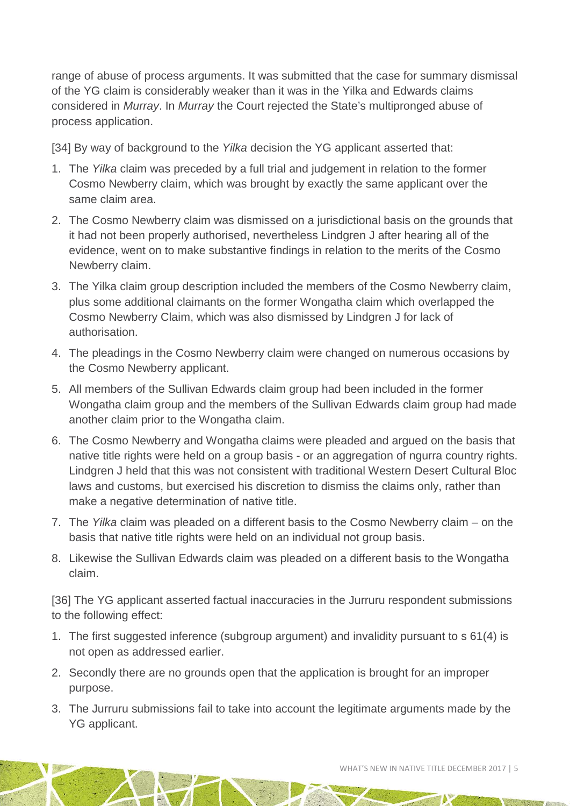range of abuse of process arguments. It was submitted that the case for summary dismissal of the YG claim is considerably weaker than it was in the Yilka and Edwards claims considered in *Murray*. In *Murray* the Court rejected the State's multipronged abuse of process application.

[34] By way of background to the *Yilka* decision the YG applicant asserted that:

- 1. The *Yilka* claim was preceded by a full trial and judgement in relation to the former Cosmo Newberry claim, which was brought by exactly the same applicant over the same claim area.
- 2. The Cosmo Newberry claim was dismissed on a jurisdictional basis on the grounds that it had not been properly authorised, nevertheless Lindgren J after hearing all of the evidence, went on to make substantive findings in relation to the merits of the Cosmo Newberry claim.
- 3. The Yilka claim group description included the members of the Cosmo Newberry claim, plus some additional claimants on the former Wongatha claim which overlapped the Cosmo Newberry Claim, which was also dismissed by Lindgren J for lack of authorisation.
- 4. The pleadings in the Cosmo Newberry claim were changed on numerous occasions by the Cosmo Newberry applicant.
- 5. All members of the Sullivan Edwards claim group had been included in the former Wongatha claim group and the members of the Sullivan Edwards claim group had made another claim prior to the Wongatha claim.
- 6. The Cosmo Newberry and Wongatha claims were pleaded and argued on the basis that native title rights were held on a group basis - or an aggregation of ngurra country rights. Lindgren J held that this was not consistent with traditional Western Desert Cultural Bloc laws and customs, but exercised his discretion to dismiss the claims only, rather than make a negative determination of native title.
- 7. The *Yilka* claim was pleaded on a different basis to the Cosmo Newberry claim on the basis that native title rights were held on an individual not group basis.
- 8. Likewise the Sullivan Edwards claim was pleaded on a different basis to the Wongatha claim.

[36] The YG applicant asserted factual inaccuracies in the Jurruru respondent submissions to the following effect:

- 1. The first suggested inference (subgroup argument) and invalidity pursuant to s 61(4) is not open as addressed earlier.
- 2. Secondly there are no grounds open that the application is brought for an improper purpose.
- 3. The Jurruru submissions fail to take into account the legitimate arguments made by the YG applicant.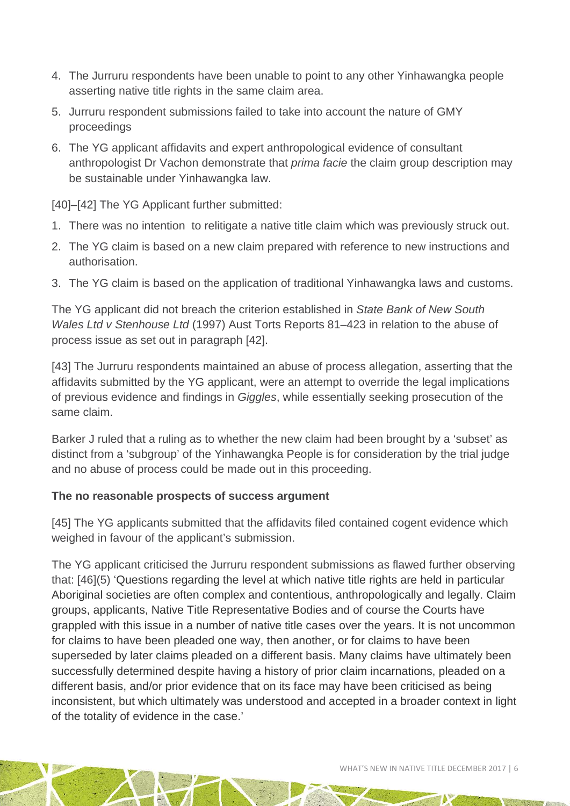- 4. The Jurruru respondents have been unable to point to any other Yinhawangka people asserting native title rights in the same claim area.
- 5. Jurruru respondent submissions failed to take into account the nature of GMY proceedings
- 6. The YG applicant affidavits and expert anthropological evidence of consultant anthropologist Dr Vachon demonstrate that *prima facie* the claim group description may be sustainable under Yinhawangka law.

[40]–[42] The YG Applicant further submitted:

- 1. There was no intention to relitigate a native title claim which was previously struck out.
- 2. The YG claim is based on a new claim prepared with reference to new instructions and authorisation.
- 3. The YG claim is based on the application of traditional Yinhawangka laws and customs.

The YG applicant did not breach the criterion established in *State Bank of New South Wales Ltd v Stenhouse Ltd* (1997) Aust Torts Reports 81–423 in relation to the abuse of process issue as set out in paragraph [42].

[43] The Jurruru respondents maintained an abuse of process allegation, asserting that the affidavits submitted by the YG applicant, were an attempt to override the legal implications of previous evidence and findings in *Giggles*, while essentially seeking prosecution of the same claim.

Barker J ruled that a ruling as to whether the new claim had been brought by a 'subset' as distinct from a 'subgroup' of the Yinhawangka People is for consideration by the trial judge and no abuse of process could be made out in this proceeding.

#### **The no reasonable prospects of success argument**

[45] The YG applicants submitted that the affidavits filed contained cogent evidence which weighed in favour of the applicant's submission.

The YG applicant criticised the Jurruru respondent submissions as flawed further observing that: [46](5) 'Questions regarding the level at which native title rights are held in particular Aboriginal societies are often complex and contentious, anthropologically and legally. Claim groups, applicants, Native Title Representative Bodies and of course the Courts have grappled with this issue in a number of native title cases over the years. It is not uncommon for claims to have been pleaded one way, then another, or for claims to have been superseded by later claims pleaded on a different basis. Many claims have ultimately been successfully determined despite having a history of prior claim incarnations, pleaded on a different basis, and/or prior evidence that on its face may have been criticised as being inconsistent, but which ultimately was understood and accepted in a broader context in light of the totality of evidence in the case.'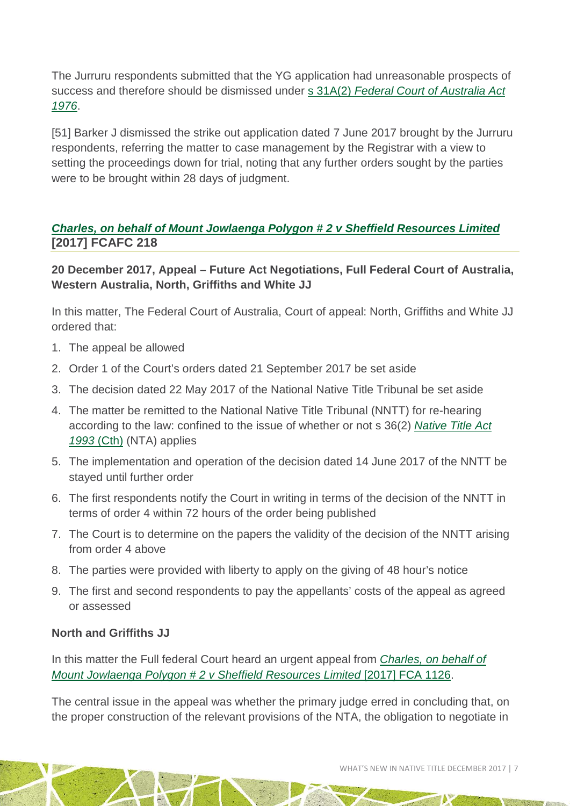The Jurruru respondents submitted that the YG application had unreasonable prospects of success and therefore should be dismissed under s 31A(2) *[Federal Court of Australia Act](http://www8.austlii.edu.au/cgi-bin/viewdoc/au/legis/cth/consol_act/fcoaa1976249/s31a.html)  [1976](http://www8.austlii.edu.au/cgi-bin/viewdoc/au/legis/cth/consol_act/fcoaa1976249/s31a.html)*.

[51] Barker J dismissed the strike out application dated 7 June 2017 brought by the Jurruru respondents, referring the matter to case management by the Registrar with a view to setting the proceedings down for trial, noting that any further orders sought by the parties were to be brought within 28 days of judgment.

#### *Charles, on behalf of Mount Jowlaenga [Polygon # 2 v Sheffield Resources Limited](http://www.austlii.edu.au/cgi-bin/viewdoc/au/cases/cth/FCAFC/2017/218.html)* **[2017] FCAFC 218**

#### **20 December 2017, Appeal – Future Act Negotiations, Full Federal Court of Australia, Western Australia, North, Griffiths and White JJ**

In this matter, The Federal Court of Australia, Court of appeal: North, Griffiths and White JJ ordered that:

- 1. The appeal be allowed
- 2. Order 1 of the Court's orders dated 21 September 2017 be set aside
- 3. The decision dated 22 May 2017 of the National Native Title Tribunal be set aside
- 4. The matter be remitted to the National Native Title Tribunal (NNTT) for re-hearing according to the law: confined to the issue of whether or not s 36(2) *[Native Title Act](http://www.austlii.edu.au/cgi-bin/viewdb/au/legis/cth/consol_act/nta1993147/)  [1993](http://www.austlii.edu.au/cgi-bin/viewdb/au/legis/cth/consol_act/nta1993147/)* (Cth) (NTA) applies
- 5. The implementation and operation of the decision dated 14 June 2017 of the NNTT be stayed until further order
- 6. The first respondents notify the Court in writing in terms of the decision of the NNTT in terms of order 4 within 72 hours of the order being published
- 7. The Court is to determine on the papers the validity of the decision of the NNTT arising from order 4 above
- 8. The parties were provided with liberty to apply on the giving of 48 hour's notice
- 9. The first and second respondents to pay the appellants' costs of the appeal as agreed or assessed

#### **North and Griffiths JJ**

In this matter the Full federal Court heard an urgent appeal from *[Charles, on behalf of](http://www.austlii.edu.au/cgi-bin/viewdoc/au/cases/cth/FCA/2017/1126.html)  [Mount Jowlaenga Polygon # 2 v Sheffield Resources Limited](http://www.austlii.edu.au/cgi-bin/viewdoc/au/cases/cth/FCA/2017/1126.html)* [2017] FCA 1126.

The central issue in the appeal was whether the primary judge erred in concluding that, on the proper construction of the relevant provisions of the NTA, the obligation to negotiate in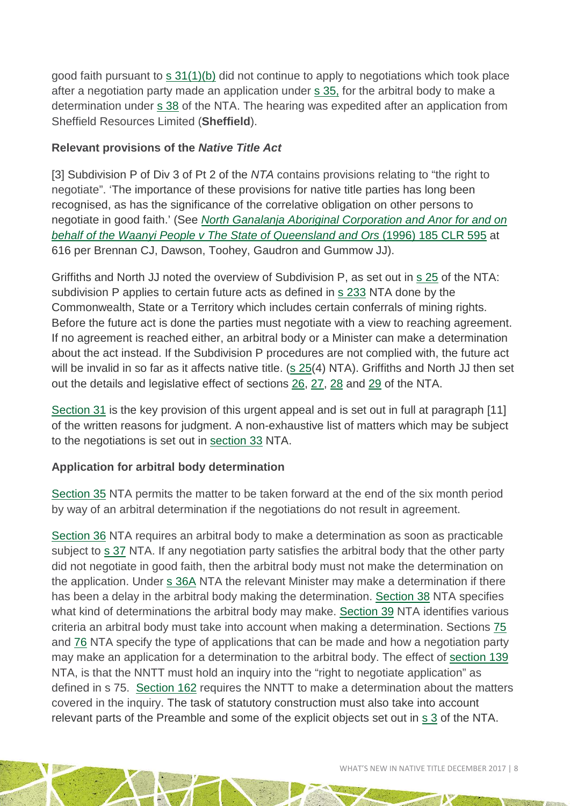good faith pursuant to [s 31\(1\)\(b\)](http://www8.austlii.edu.au/cgi-bin/viewdoc/au/legis/cth/consol_act/nta1993147/s31.html) did not continue to apply to negotiations which took place after a negotiation party made an application under [s 35,](http://www8.austlii.edu.au/cgi-bin/viewdoc/au/legis/cth/consol_act/nta1993147/s35.html) for the arbitral body to make a determination under s [38](http://www8.austlii.edu.au/cgi-bin/viewdoc/au/legis/cth/consol_act/nta1993147/s38.html) of the NTA. The hearing was expedited after an application from Sheffield Resources Limited (**Sheffield**).

#### **Relevant provisions of the** *Native Title Act*

[3] Subdivision P of Div 3 of Pt 2 of the *NTA* contains provisions relating to "the right to negotiate". 'The importance of these provisions for native title parties has long been recognised, as has the significance of the correlative obligation on other persons to negotiate in good faith.' (See *[North Ganalanja Aboriginal Corporation and Anor for and on](http://www.austlii.edu.au/cgi-bin/viewdoc/au/cases/cth/HCA/1996/2.html)  [behalf of the Waanyi People v The State of Queensland and Ors](http://www.austlii.edu.au/cgi-bin/viewdoc/au/cases/cth/HCA/1996/2.html)* (1996) 185 CLR 595 at 616 per Brennan CJ, Dawson, Toohey, Gaudron and Gummow JJ).

Griffiths and North JJ noted the overview of Subdivision P, as set out in [s 25](http://www5.austlii.edu.au/au/legis/cth/consol_act/nta1993147/s25.html) of the NTA: subdivision P applies to certain future acts as defined in [s 233](http://www5.austlii.edu.au/au/legis/cth/consol_act/nta1993147/s233.html) NTA done by the Commonwealth, State or a Territory which includes certain conferrals of mining rights. Before the future act is done the parties must negotiate with a view to reaching agreement. If no agreement is reached either, an arbitral body or a Minister can make a determination about the act instead. If the Subdivision P procedures are not complied with, the future act will be invalid in so far as it affects native title. [\(s 25\(](http://www5.austlii.edu.au/au/legis/cth/consol_act/nta1993147/s25.html)4) NTA). Griffiths and North JJ then set out the details and legislative effect of sections [26,](http://www5.austlii.edu.au/au/legis/cth/consol_act/nta1993147/s26.html) [27,](http://www5.austlii.edu.au/au/legis/cth/consol_act/nta1993147/s27.html) [28](http://www5.austlii.edu.au/au/legis/cth/consol_act/nta1993147/s28.html) and [29](http://www5.austlii.edu.au/au/legis/cth/consol_act/nta1993147/s29.html) of the NTA.

Section 31 is the key provision of this urgent appeal and is set out in full at paragraph [11] of the written reasons for judgment. A non-exhaustive list of matters which may be subject to the negotiations is set out in [section 33](http://www5.austlii.edu.au/au/legis/cth/consol_act/nta1993147/s33.html) NTA.

#### **Application for arbitral body determination**

[Section](http://www5.austlii.edu.au/au/legis/cth/consol_act/nta1993147/s35.html) 35 NTA permits the matter to be taken forward at the end of the six month period by way of an arbitral determination if the negotiations do not result in agreement.

[Section 36](http://www5.austlii.edu.au/au/legis/cth/consol_act/nta1993147/s36.html) NTA requires an arbitral body to make a determination as soon as practicable subject to [s 37](http://www5.austlii.edu.au/au/legis/cth/consol_act/nta1993147/s37.html) NTA. If any negotiation party satisfies the arbitral body that the other party did not negotiate in good faith, then the arbitral body must not make the determination on the application. Under [s 36A](http://www5.austlii.edu.au/au/legis/cth/consol_act/nta1993147/s36.html) NTA the relevant Minister may make a determination if there has been a delay in the arbitral body making the determination. [Section 38](http://www5.austlii.edu.au/au/legis/cth/consol_act/nta1993147/s38.html) NTA specifies what kind of determinations the arbitral body may make. [Section 39](http://www5.austlii.edu.au/au/legis/cth/consol_act/nta1993147/s39.html) NTA identifies various criteria an arbitral body must take into account when making a determination. Sections [75](http://www5.austlii.edu.au/au/legis/cth/consol_act/nta1993147/s75.html) and [76](http://www5.austlii.edu.au/au/legis/cth/consol_act/nta1993147/s76.html) NTA specify the type of applications that can be made and how a negotiation party may make an application for a determination to the arbitral body. The effect of [section 139](http://www5.austlii.edu.au/au/legis/cth/consol_act/nta1993147/s139.html) NTA, is that the NNTT must hold an inquiry into the "right to negotiate application" as defined in s 75. [Section 162](http://www5.austlii.edu.au/au/legis/cth/consol_act/nta1993147/s162.html) requires the NNTT to make a determination about the matters covered in the inquiry. The task of statutory construction must also take into account relevant parts of the Preamble and some of the explicit objects set out in [s 3](http://www5.austlii.edu.au/au/legis/cth/consol_act/nta1993147/s3.html) of the NTA.

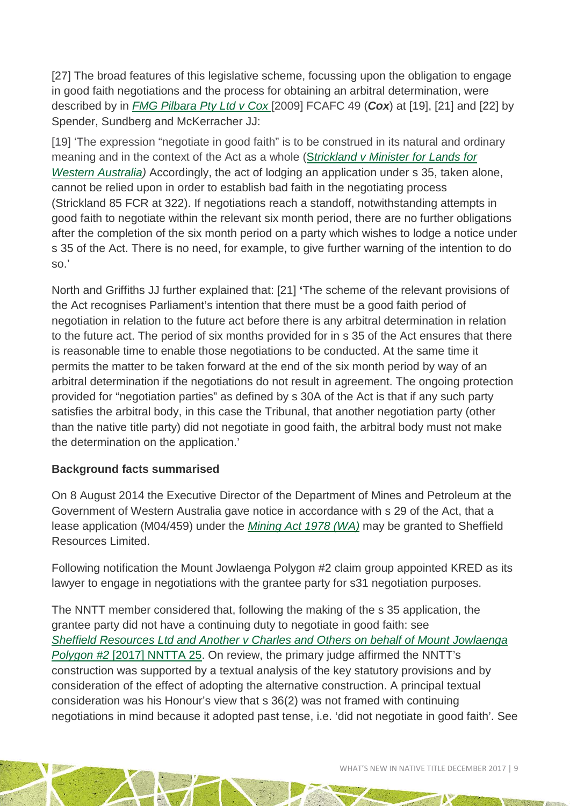[27] The broad features of this legislative scheme, focussing upon the obligation to engage in good faith negotiations and the process for obtaining an arbitral determination, were described by in *[FMG Pilbara Pty Ltd v Cox](http://www.austlii.edu.au/cgi-bin/viewdoc/au/cases/cth/FCAFC/2009/49.html)* [2009] FCAFC 49 (*Cox*) at [19], [21] and [22] by Spender, Sundberg and McKerracher JJ:

[19] 'The expression "negotiate in good faith" is to be construed in its natural and ordinary meaning and in the context of the Act as a whole (S*[trickland v Minister for Lands for](http://www.austlii.edu.au/cgi-bin/viewdoc/au/cases/cth/FCA/1998/868.html)  Western Australia*) Accordingly, the act of lodging an application under s 35, taken alone, cannot be relied upon in order to establish bad faith in the negotiating process (Strickland 85 FCR at 322). If negotiations reach a standoff, notwithstanding attempts in good faith to negotiate within the relevant six month period, there are no further obligations after the completion of the six month period on a party which wishes to lodge a notice under s 35 of the Act. There is no need, for example, to give further warning of the intention to do so.'

North and Griffiths JJ further explained that: [21] **'**The scheme of the relevant provisions of the Act recognises Parliament's intention that there must be a good faith period of negotiation in relation to the future act before there is any arbitral determination in relation to the future act. The period of six months provided for in s 35 of the Act ensures that there is reasonable time to enable those negotiations to be conducted. At the same time it permits the matter to be taken forward at the end of the six month period by way of an arbitral determination if the negotiations do not result in agreement. The ongoing protection provided for "negotiation parties" as defined by s 30A of the Act is that if any such party satisfies the arbitral body, in this case the Tribunal, that another negotiation party (other than the native title party) did not negotiate in good faith, the arbitral body must not make the determination on the application.'

#### **Background facts summarised**

On 8 August 2014 the Executive Director of the Department of Mines and Petroleum at the Government of Western Australia gave notice in accordance with s 29 of the Act, that a lease application (M04/459) under the *[Mining Act 1978 \(WA\)](http://www8.austlii.edu.au/cgi-bin/viewdb/au/legis/wa/consol_act/ma197881/)* may be granted to Sheffield Resources Limited.

Following notification the Mount Jowlaenga Polygon #2 claim group appointed KRED as its lawyer to engage in negotiations with the grantee party for s31 negotiation purposes.

The NNTT member considered that, following the making of the s 35 application, the grantee party did not have a continuing duty to negotiate in good faith: see *[Sheffield Resources Ltd and Another v Charles and Others on behalf of Mount Jowlaenga](http://www.austlii.edu.au/cgi-bin/viewdoc/au/cases/cth/NNTTA/2017/25.html)  Polygon #2* [\[2017\] NNTTA 25.](http://www.austlii.edu.au/cgi-bin/viewdoc/au/cases/cth/NNTTA/2017/25.html) On review, the primary judge affirmed the NNTT's construction was supported by a textual analysis of the key statutory provisions and by consideration of the effect of adopting the alternative construction. A principal textual consideration was his Honour's view that s 36(2) was not framed with continuing negotiations in mind because it adopted past tense, i.e. 'did not negotiate in good faith'. See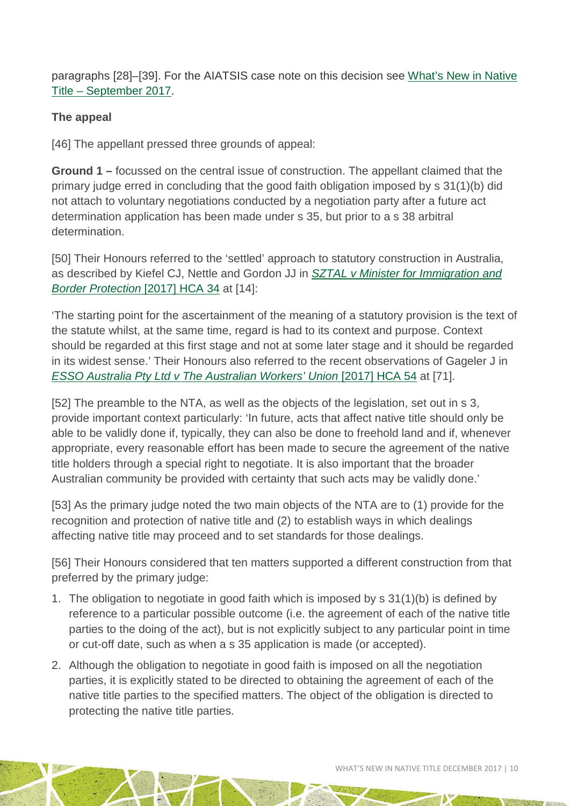paragraphs [28]–[39]. For the AIATSIS case note on this decision see [What's New in Native](http://aiatsis.gov.au/publications/products/whats-new-native-title-september-2017)  Title – [September 2017.](http://aiatsis.gov.au/publications/products/whats-new-native-title-september-2017)

#### **The appeal**

[46] The appellant pressed three grounds of appeal:

**Ground 1 –** focussed on the central issue of construction. The appellant claimed that the primary judge erred in concluding that the good faith obligation imposed by s 31(1)(b) did not attach to voluntary negotiations conducted by a negotiation party after a future act determination application has been made under s 35, but prior to a s 38 arbitral determination.

[50] Their Honours referred to the 'settled' approach to statutory construction in Australia, as described by Kiefel CJ, Nettle and Gordon JJ in *[SZTAL v Minister for Immigration and](http://www.austlii.edu.au/cgi-bin/viewdoc/au/cases/cth/HCA/2017/34.html)  [Border Protection](http://www.austlii.edu.au/cgi-bin/viewdoc/au/cases/cth/HCA/2017/34.html)* [2017] HCA 34 at [14]:

'The starting point for the ascertainment of the meaning of a statutory provision is the text of the statute whilst, at the same time, regard is had to its context and purpose. Context should be regarded at this first stage and not at some later stage and it should be regarded in its widest sense.' Their Honours also referred to the recent observations of Gageler J in *[ESSO Australia Pty Ltd v The Australian Workers' Union](http://www.austlii.edu.au/cgi-bin/viewdoc/au/cases/cth/HCA/2017/54.html)* [2017] HCA 54 at [71].

[52] The preamble to the NTA, as well as the objects of the legislation, set out in s 3, provide important context particularly: 'In future, acts that affect native title should only be able to be validly done if, typically, they can also be done to freehold land and if, whenever appropriate, every reasonable effort has been made to secure the agreement of the native title holders through a special right to negotiate. It is also important that the broader Australian community be provided with certainty that such acts may be validly done.'

[53] As the primary judge noted the two main objects of the NTA are to (1) provide for the recognition and protection of native title and (2) to establish ways in which dealings affecting native title may proceed and to set standards for those dealings.

[56] Their Honours considered that ten matters supported a different construction from that preferred by the primary judge:

- 1. The obligation to negotiate in good faith which is imposed by s 31(1)(b) is defined by reference to a particular possible outcome (i.e. the agreement of each of the native title parties to the doing of the act), but is not explicitly subject to any particular point in time or cut-off date, such as when a s 35 application is made (or accepted).
- 2. Although the obligation to negotiate in good faith is imposed on all the negotiation parties, it is explicitly stated to be directed to obtaining the agreement of each of the native title parties to the specified matters. The object of the obligation is directed to protecting the native title parties.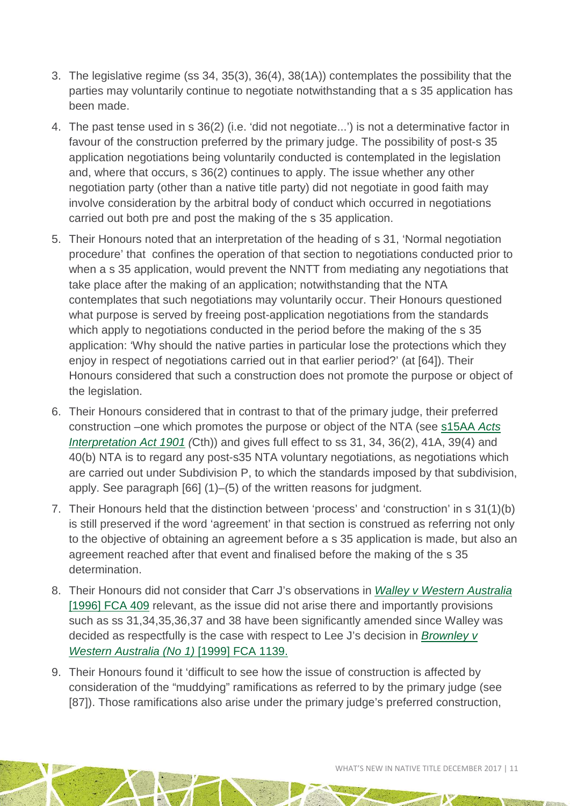- 3. The legislative regime (ss 34, 35(3), 36(4), 38(1A)) contemplates the possibility that the parties may voluntarily continue to negotiate notwithstanding that a s 35 application has been made.
- 4. The past tense used in s 36(2) (i.e. 'did not negotiate...') is not a determinative factor in favour of the construction preferred by the primary judge. The possibility of post-s 35 application negotiations being voluntarily conducted is contemplated in the legislation and, where that occurs, s 36(2) continues to apply. The issue whether any other negotiation party (other than a native title party) did not negotiate in good faith may involve consideration by the arbitral body of conduct which occurred in negotiations carried out both pre and post the making of the s 35 application.
- 5. Their Honours noted that an interpretation of the heading of s 31, 'Normal negotiation procedure' that confines the operation of that section to negotiations conducted prior to when a s 35 application, would prevent the NNTT from mediating any negotiations that take place after the making of an application; notwithstanding that the NTA contemplates that such negotiations may voluntarily occur. Their Honours questioned what purpose is served by freeing post-application negotiations from the standards which apply to negotiations conducted in the period before the making of the s 35 application: 'Why should the native parties in particular lose the protections which they enjoy in respect of negotiations carried out in that earlier period?' (at [64]). Their Honours considered that such a construction does not promote the purpose or object of the legislation.
- 6. Their Honours considered that in contrast to that of the primary judge, their preferred construction –one which promotes the purpose or object of the NTA (see [s15AA](http://www8.austlii.edu.au/cgi-bin/viewdoc/au/legis/cth/consol_act/aia1901230/s15aa.html) *Acts [Interpretation Act 1901](http://www8.austlii.edu.au/cgi-bin/viewdoc/au/legis/cth/consol_act/aia1901230/s15aa.html) (*Cth)) and gives full effect to ss 31, 34, 36(2), 41A, 39(4) and 40(b) NTA is to regard any post-s35 NTA voluntary negotiations, as negotiations which are carried out under Subdivision P, to which the standards imposed by that subdivision, apply. See paragraph [66] (1)–(5) of the written reasons for judgment.
- 7. Their Honours held that the distinction between 'process' and 'construction' in s 31(1)(b) is still preserved if the word 'agreement' in that section is construed as referring not only to the objective of obtaining an agreement before a s 35 application is made, but also an agreement reached after that event and finalised before the making of the s 35 determination.
- 8. Their Honours did not consider that Carr J's observations in *[Walley v Western Australia](http://www.austlii.edu.au/cgi-bin/viewdoc/au/cases/cth/FCA/1996/409.html)*  [\[1996\] FCA 409](http://www.austlii.edu.au/cgi-bin/viewdoc/au/cases/cth/FCA/1996/409.html) relevant, as the issue did not arise there and importantly provisions such as ss 31,34,35,36,37 and 38 have been significantly amended since Walley was decided as respectfully is the case with respect to Lee J's decision in *[Brownley v](http://www.austlii.edu.au/cgi-bin/viewdoc/au/cases/cth/FCA/1999/1139.html)  [Western Australia \(No 1\)](http://www.austlii.edu.au/cgi-bin/viewdoc/au/cases/cth/FCA/1999/1139.html)* [1999] FCA 1139.
- 9. Their Honours found it 'difficult to see how the issue of construction is affected by consideration of the "muddying" ramifications as referred to by the primary judge (see [87]). Those ramifications also arise under the primary judge's preferred construction,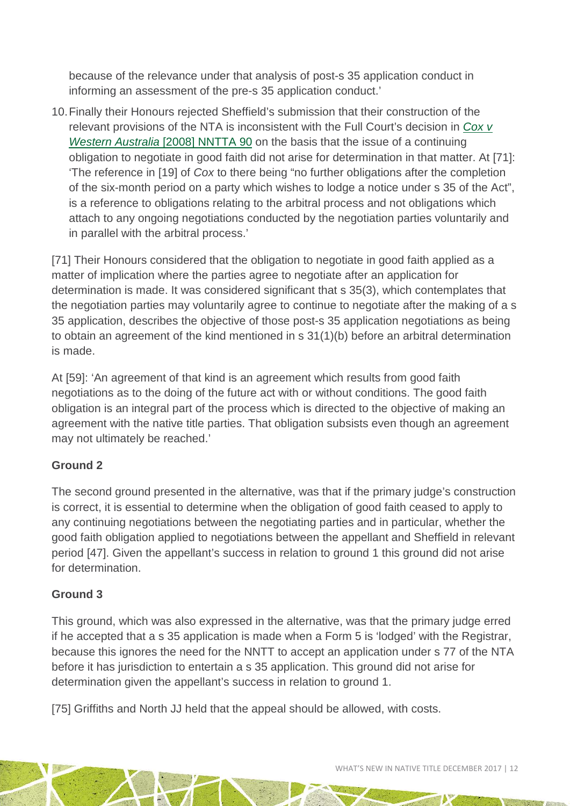because of the relevance under that analysis of post-s 35 application conduct in informing an assessment of the pre-s 35 application conduct.'

10.Finally their Honours rejected Sheffield's submission that their construction of the relevant provisions of the NTA is inconsistent with the Full Court's decision in *[Cox v](http://www.austlii.edu.au/cgi-bin/viewdoc/au/cases/cth/NNTTA/2008/90.html)  [Western Australia](http://www.austlii.edu.au/cgi-bin/viewdoc/au/cases/cth/NNTTA/2008/90.html)* [2008] NNTTA 90 on the basis that the issue of a continuing obligation to negotiate in good faith did not arise for determination in that matter. At [71]: 'The reference in [19] of *Cox* to there being "no further obligations after the completion of the six-month period on a party which wishes to lodge a notice under s 35 of the Act", is a reference to obligations relating to the arbitral process and not obligations which attach to any ongoing negotiations conducted by the negotiation parties voluntarily and in parallel with the arbitral process.'

[71] Their Honours considered that the obligation to negotiate in good faith applied as a matter of implication where the parties agree to negotiate after an application for determination is made. It was considered significant that s 35(3), which contemplates that the negotiation parties may voluntarily agree to continue to negotiate after the making of a s 35 application, describes the objective of those post-s 35 application negotiations as being to obtain an agreement of the kind mentioned in s 31(1)(b) before an arbitral determination is made.

At [59]: 'An agreement of that kind is an agreement which results from good faith negotiations as to the doing of the future act with or without conditions. The good faith obligation is an integral part of the process which is directed to the objective of making an agreement with the native title parties. That obligation subsists even though an agreement may not ultimately be reached.'

#### **Ground 2**

The second ground presented in the alternative, was that if the primary judge's construction is correct, it is essential to determine when the obligation of good faith ceased to apply to any continuing negotiations between the negotiating parties and in particular, whether the good faith obligation applied to negotiations between the appellant and Sheffield in relevant period [47]. Given the appellant's success in relation to ground 1 this ground did not arise for determination.

#### **Ground 3**

This ground, which was also expressed in the alternative, was that the primary judge erred if he accepted that a s 35 application is made when a Form 5 is 'lodged' with the Registrar, because this ignores the need for the NNTT to accept an application under s 77 of the NTA before it has jurisdiction to entertain a s 35 application. This ground did not arise for determination given the appellant's success in relation to ground 1.

[75] Griffiths and North JJ held that the appeal should be allowed, with costs.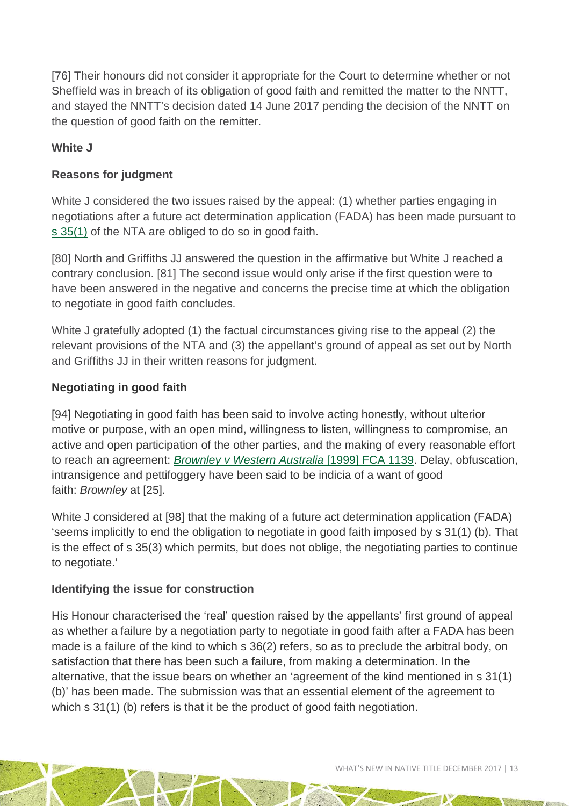[76] Their honours did not consider it appropriate for the Court to determine whether or not Sheffield was in breach of its obligation of good faith and remitted the matter to the NNTT, and stayed the NNTT's decision dated 14 June 2017 pending the decision of the NNTT on the question of good faith on the remitter.

#### **White J**

#### **Reasons for judgment**

White J considered the two issues raised by the appeal: (1) whether parties engaging in negotiations after a future act determination application (FADA) has been made pursuant to [s 35\(1\)](http://www.austlii.edu.au/cgi-bin/viewdoc/au/legis/cth/num_act/nta1993147/s35.html) of the NTA are obliged to do so in good faith.

[80] North and Griffiths JJ answered the question in the affirmative but White J reached a contrary conclusion. [81] The second issue would only arise if the first question were to have been answered in the negative and concerns the precise time at which the obligation to negotiate in good faith concludes.

White J gratefully adopted (1) the factual circumstances giving rise to the appeal (2) the relevant provisions of the NTA and (3) the appellant's ground of appeal as set out by North and Griffiths JJ in their written reasons for judgment.

#### **Negotiating in good faith**

[94] Negotiating in good faith has been said to involve acting honestly, without ulterior motive or purpose, with an open mind, willingness to listen, willingness to compromise, an active and open participation of the other parties, and the making of every reasonable effort to reach an agreement: *[Brownley v Western Australia](http://www.austlii.edu.au/cgi-bin/viewdoc/au/cases/cth/FCA/1999/1139.html)* [1999] FCA 1139. Delay, obfuscation, intransigence and pettifoggery have been said to be indicia of a want of good faith: *Brownley* at [25].

White J considered at [98] that the making of a future act determination application (FADA) 'seems implicitly to end the obligation to negotiate in good faith imposed by s 31(1) (b). That is the effect of s 35(3) which permits, but does not oblige, the negotiating parties to continue to negotiate.'

#### **Identifying the issue for construction**

His Honour characterised the 'real' question raised by the appellants' first ground of appeal as whether a failure by a negotiation party to negotiate in good faith after a FADA has been made is a failure of the kind to which s 36(2) refers, so as to preclude the arbitral body, on satisfaction that there has been such a failure, from making a determination. In the alternative, that the issue bears on whether an 'agreement of the kind mentioned in s 31(1) (b)' has been made. The submission was that an essential element of the agreement to which s 31(1) (b) refers is that it be the product of good faith negotiation.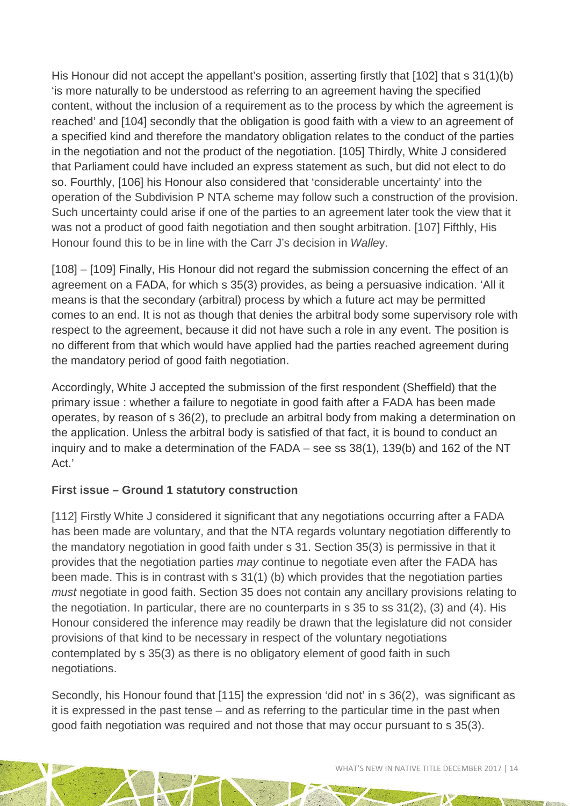His Honour did not accept the appellant's position, asserting firstly that [102] that s 31(1)(b) 'is more naturally to be understood as referring to an agreement having the specified content, without the inclusion of a requirement as to the process by which the agreement is reached' and [104] secondly that the obligation is good faith with a view to an agreement of a specified kind and therefore the mandatory obligation relates to the conduct of the parties in the negotiation and not the product of the negotiation. [105] Thirdly, White J considered that Parliament could have included an express statement as such, but did not elect to do so. Fourthly, [106] his Honour also considered that 'considerable uncertainty' into the operation of the Subdivision P NTA scheme may follow such a construction of the provision. Such uncertainty could arise if one of the parties to an agreement later took the view that it was not a product of good faith negotiation and then sought arbitration. [107] Fifthly, His Honour found this to be in line with the Carr J's decision in *Walle*y.

[108] – [109] Finally, His Honour did not regard the submission concerning the effect of an agreement on a FADA, for which s 35(3) provides, as being a persuasive indication. 'All it means is that the secondary (arbitral) process by which a future act may be permitted comes to an end. It is not as though that denies the arbitral body some supervisory role with respect to the agreement, because it did not have such a role in any event. The position is no different from that which would have applied had the parties reached agreement during the mandatory period of good faith negotiation.

Accordingly, White J accepted the submission of the first respondent (Sheffield) that the primary issue : whether a failure to negotiate in good faith after a FADA has been made operates, by reason of s 36(2), to preclude an arbitral body from making a determination on the application. Unless the arbitral body is satisfied of that fact, it is bound to conduct an inquiry and to make a determination of the FADA – see ss 38(1), 139(b) and 162 of the NT Act.'

#### **First issue – Ground 1 statutory construction**

[112] Firstly White J considered it significant that any negotiations occurring after a FADA has been made are voluntary, and that the NTA regards voluntary negotiation differently to the mandatory negotiation in good faith under s 31. Section 35(3) is permissive in that it provides that the negotiation parties *may* continue to negotiate even after the FADA has been made. This is in contrast with s 31(1) (b) which provides that the negotiation parties *must* negotiate in good faith. Section 35 does not contain any ancillary provisions relating to the negotiation. In particular, there are no counterparts in s 35 to ss 31(2), (3) and (4). His Honour considered the inference may readily be drawn that the legislature did not consider provisions of that kind to be necessary in respect of the voluntary negotiations contemplated by s 35(3) as there is no obligatory element of good faith in such negotiations.

Secondly, his Honour found that [115] the expression 'did not' in s 36(2), was significant as it is expressed in the past tense – and as referring to the particular time in the past when good faith negotiation was required and not those that may occur pursuant to s 35(3).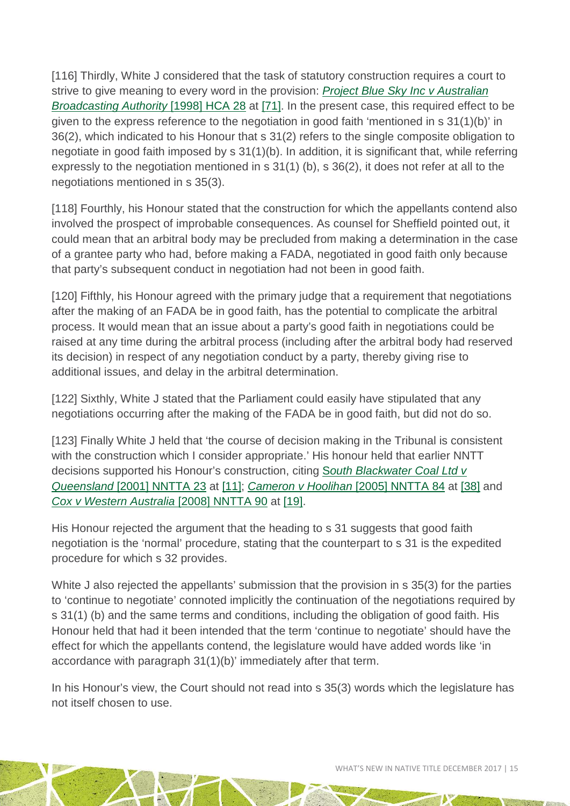[116] Thirdly, White J considered that the task of statutory construction requires a court to strive to give meaning to every word in the provision: *[Project Blue Sky Inc v Australian](http://www.austlii.edu.au/cgi-bin/viewdoc/au/cases/cth/HCA/1998/28.html)  [Broadcasting Authority](http://www.austlii.edu.au/cgi-bin/viewdoc/au/cases/cth/HCA/1998/28.html)* [1998] HCA 28 at [\[71\].](http://www.austlii.edu.au/cgi-bin/viewdoc/au/cases/cth/HCA/1998/28.html#para71) In the present case, this required effect to be given to the express reference to the negotiation in good faith 'mentioned in s 31(1)(b)' in 36(2), which indicated to his Honour that s 31(2) refers to the single composite obligation to negotiate in good faith imposed by s 31(1)(b). In addition, it is significant that, while referring expressly to the negotiation mentioned in s 31(1) (b), s 36(2), it does not refer at all to the negotiations mentioned in s 35(3).

[118] Fourthly, his Honour stated that the construction for which the appellants contend also involved the prospect of improbable consequences. As counsel for Sheffield pointed out, it could mean that an arbitral body may be precluded from making a determination in the case of a grantee party who had, before making a FADA, negotiated in good faith only because that party's subsequent conduct in negotiation had not been in good faith.

[120] Fifthly, his Honour agreed with the primary judge that a requirement that negotiations after the making of an FADA be in good faith, has the potential to complicate the arbitral process. It would mean that an issue about a party's good faith in negotiations could be raised at any time during the arbitral process (including after the arbitral body had reserved its decision) in respect of any negotiation conduct by a party, thereby giving rise to additional issues, and delay in the arbitral determination.

[122] Sixthly, White J stated that the Parliament could easily have stipulated that any negotiations occurring after the making of the FADA be in good faith, but did not do so.

[123] Finally White J held that 'the course of decision making in the Tribunal is consistent with the construction which I consider appropriate.' His honour held that earlier NNTT decisions supported his Honour's construction, citing S*[outh Blackwater Coal Ltd v](http://www.austlii.edu.au/cgi-bin/viewdoc/au/cases/cth/NNTTA/2001/23.html)  Queensland* [\[2001\] NNTTA 23](http://www.austlii.edu.au/cgi-bin/viewdoc/au/cases/cth/NNTTA/2001/23.html) at [\[11\];](http://www.austlii.edu.au/cgi-bin/viewdoc/au/cases/cth/NNTTA/2001/23.html#para11) *[Cameron v Hoolihan](http://www.austlii.edu.au/cgi-bin/viewdoc/au/cases/cth/NNTTA/2005/84.html)* [2005] NNTTA 84 at [\[38\]](http://www.austlii.edu.au/cgi-bin/viewdoc/au/cases/cth/NNTTA/2005/84.html#para38) and *[Cox v Western Australia](http://www.austlii.edu.au/cgi-bin/viewdoc/au/cases/cth/NNTTA/2008/90.html)* [2008] NNTTA 90 at [\[19\].](http://www.austlii.edu.au/cgi-bin/viewdoc/au/cases/cth/NNTTA/2008/90.html#para19)

His Honour rejected the argument that the heading to s 31 suggests that good faith negotiation is the 'normal' procedure, stating that the counterpart to s 31 is the expedited procedure for which s 32 provides.

White J also rejected the appellants' submission that the provision in s 35(3) for the parties to 'continue to negotiate' connoted implicitly the continuation of the negotiations required by s 31(1) (b) and the same terms and conditions, including the obligation of good faith. His Honour held that had it been intended that the term 'continue to negotiate' should have the effect for which the appellants contend, the legislature would have added words like 'in accordance with paragraph 31(1)(b)' immediately after that term.

In his Honour's view, the Court should not read into s 35(3) words which the legislature has not itself chosen to use.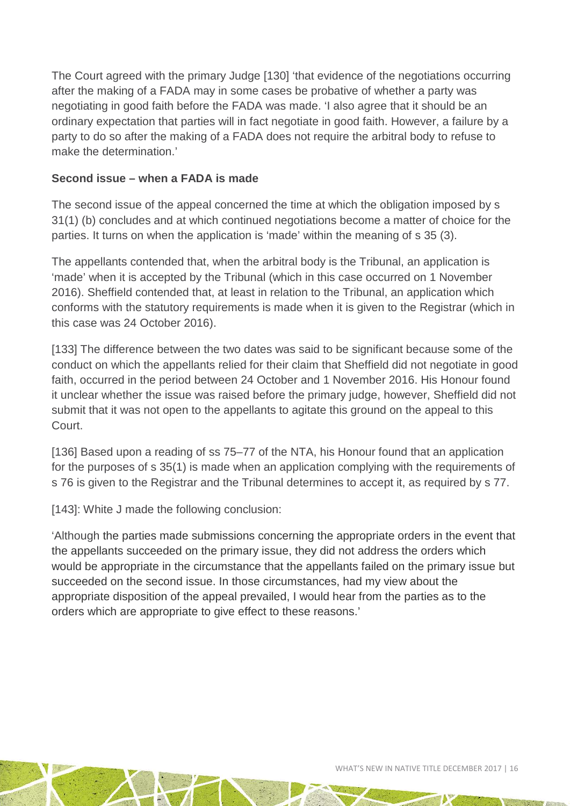The Court agreed with the primary Judge [130] 'that evidence of the negotiations occurring after the making of a FADA may in some cases be probative of whether a party was negotiating in good faith before the FADA was made. 'I also agree that it should be an ordinary expectation that parties will in fact negotiate in good faith. However, a failure by a party to do so after the making of a FADA does not require the arbitral body to refuse to make the determination.'

#### **Second issue – when a FADA is made**

The second issue of the appeal concerned the time at which the obligation imposed by s 31(1) (b) concludes and at which continued negotiations become a matter of choice for the parties. It turns on when the application is 'made' within the meaning of s 35 (3).

The appellants contended that, when the arbitral body is the Tribunal, an application is 'made' when it is accepted by the Tribunal (which in this case occurred on 1 November 2016). Sheffield contended that, at least in relation to the Tribunal, an application which conforms with the statutory requirements is made when it is given to the Registrar (which in this case was 24 October 2016).

[133] The difference between the two dates was said to be significant because some of the conduct on which the appellants relied for their claim that Sheffield did not negotiate in good faith, occurred in the period between 24 October and 1 November 2016. His Honour found it unclear whether the issue was raised before the primary judge, however, Sheffield did not submit that it was not open to the appellants to agitate this ground on the appeal to this Court.

[136] Based upon a reading of ss 75–77 of the NTA, his Honour found that an application for the purposes of s 35(1) is made when an application complying with the requirements of s 76 is given to the Registrar and the Tribunal determines to accept it, as required by s 77.

[143]: White J made the following conclusion:

'Although the parties made submissions concerning the appropriate orders in the event that the appellants succeeded on the primary issue, they did not address the orders which would be appropriate in the circumstance that the appellants failed on the primary issue but succeeded on the second issue. In those circumstances, had my view about the appropriate disposition of the appeal prevailed, I would hear from the parties as to the orders which are appropriate to give effect to these reasons.'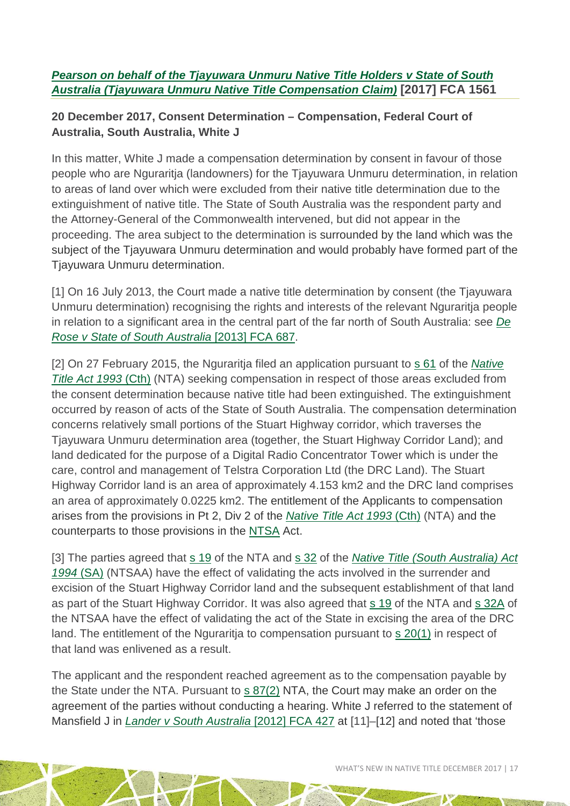#### *[Pearson on behalf of the Tjayuwara Unmuru Native Title Holders v State of South](http://www.austlii.edu.au/cgi-bin/viewdoc/au/cases/cth/FCA/2017/1561.html)  [Australia \(Tjayuwara Unmuru Native Title Compensation Claim\)](http://www.austlii.edu.au/cgi-bin/viewdoc/au/cases/cth/FCA/2017/1561.html)* **[2017] FCA 1561**

#### **20 December 2017, Consent Determination – Compensation, Federal Court of Australia, South Australia, White J**

In this matter, White J made a compensation determination by consent in favour of those people who are Nguraritja (landowners) for the Tjayuwara Unmuru determination, in relation to areas of land over which were excluded from their native title determination due to the extinguishment of native title. The State of South Australia was the respondent party and the Attorney-General of the Commonwealth intervened, but did not appear in the proceeding. The area subject to the determination is surrounded by the land which was the subject of the Tjayuwara Unmuru determination and would probably have formed part of the Tjayuwara Unmuru determination.

[1] On 16 July 2013, the Court made a native title determination by consent (the Tjayuwara Unmuru determination) recognising the rights and interests of the relevant Nguraritja people in relation to a significant area in the central part of the far north of South Australia: see *[De](http://www.austlii.edu.au/cgi-bin/viewdoc/au/cases/cth/FCA/2013/687.html)  [Rose v State of South Australia](http://www.austlii.edu.au/cgi-bin/viewdoc/au/cases/cth/FCA/2013/687.html)* [2013] FCA 687.

[2] On 27 February 2015, the Nguraritja filed an application pursuant to [s 61](http://www.austlii.edu.au/cgi-bin/viewdoc/au/legis/cth/num_act/nta1993147/s61.html) of the *[Native](http://www.austlii.edu.au/cgi-bin/viewdoc/au/legis/cth/num_act/nta1993147/)  [Title Act 1993](http://www.austlii.edu.au/cgi-bin/viewdoc/au/legis/cth/num_act/nta1993147/)* (Cth) (NTA) seeking compensation in respect of those areas excluded from the consent determination because native title had been extinguished. The extinguishment occurred by reason of acts of the State of South Australia. The compensation determination concerns relatively small portions of the Stuart Highway corridor, which traverses the Tjayuwara Unmuru determination area (together, the Stuart Highway Corridor Land); and land dedicated for the purpose of a Digital Radio Concentrator Tower which is under the care, control and management of Telstra Corporation Ltd (the DRC Land). The Stuart Highway Corridor land is an area of approximately 4.153 km2 and the DRC land comprises an area of approximately 0.0225 km2. The entitlement of the Applicants to compensation arises from the provisions in Pt 2, Div 2 of the *[Native Title Act 1993](http://www.austlii.edu.au/cgi-bin/viewdoc/au/legis/cth/num_act/nta1993147/)* (Cth) (NTA) and the counterparts to those provisions in the [NTSA](http://www.austlii.edu.au/cgi-bin/viewdb/au/legis/sa/consol_act/ntaa1994318/) Act.

[3] The parties agreed that [s 19](http://www6.austlii.edu.au/cgi-bin/viewdoc/au/legis/cth/consol_act/nta1993147/s19.html) of the NTA and [s 32](http://www8.austlii.edu.au/cgi-bin/viewdoc/au/legis/sa/consol_act/ntaa1994318/s32.html) of the *Native Title (South Australia) Act [1994](http://www8.austlii.edu.au/cgi-bin/viewdb/au/legis/sa/consol_act/ntaa1994318/)* (SA) (NTSAA) have the effect of validating the acts involved in the surrender and excision of the Stuart Highway Corridor land and the subsequent establishment of that land as part of the Stuart Highway Corridor. It was also agreed that [s 19](http://www6.austlii.edu.au/cgi-bin/viewdoc/au/legis/cth/consol_act/nta1993147/s19.html) of the NTA and [s 32A](http://www8.austlii.edu.au/cgi-bin/viewdoc/au/legis/sa/consol_act/ntaa1994318/s32a.html) of the NTSAA have the effect of validating the act of the State in excising the area of the DRC land. The entitlement of the Nguraritja to compensation pursuant to [s 20\(1\)](http://www6.austlii.edu.au/cgi-bin/viewdoc/au/legis/cth/consol_act/nta1993147/s20.html) in respect of that land was enlivened as a result.

The applicant and the respondent reached agreement as to the compensation payable by the State under the NTA. Pursuant to s [87\(2\)](http://www5.austlii.edu.au/au/legis/cth/consol_act/nta1993147/s87.html) NTA, the Court may make an order on the agreement of the parties without conducting a hearing. White J referred to the statement of Mansfield J in *[Lander v South Australia](http://www.austlii.edu.au/cgi-bin/viewdoc/au/cases/cth/FCA/2012/427.html)* [2012] FCA 427 at [11]–[12] and noted that 'those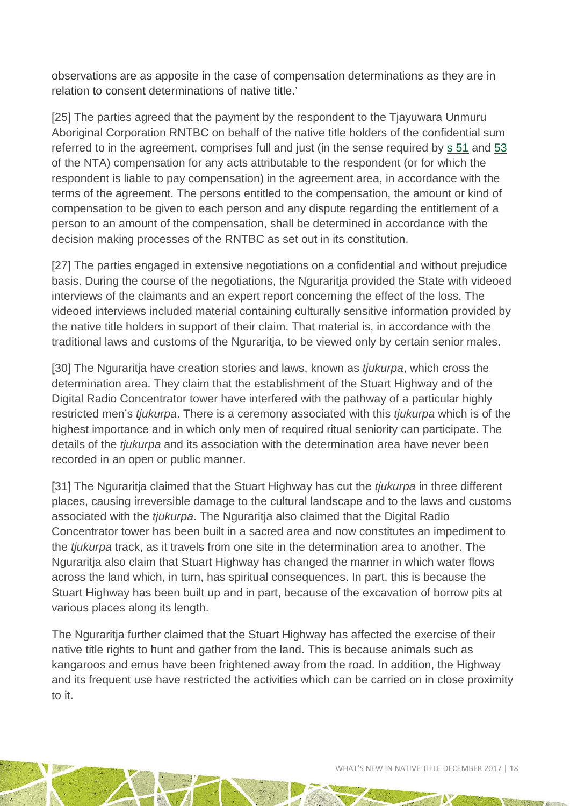observations are as apposite in the case of compensation determinations as they are in relation to consent determinations of native title.'

[25] The parties agreed that the payment by the respondent to the Tjayuwara Unmuru Aboriginal Corporation RNTBC on behalf of the native title holders of the confidential sum referred to in the agreement, comprises full and just (in the sense required by [s 51](http://www6.austlii.edu.au/cgi-bin/viewdoc/au/legis/cth/consol_act/nta1993147/s51.html) and [53](http://www6.austlii.edu.au/cgi-bin/viewdoc/au/legis/cth/consol_act/nta1993147/s53.html) of the NTA) compensation for any acts attributable to the respondent (or for which the respondent is liable to pay compensation) in the agreement area, in accordance with the terms of the agreement. The persons entitled to the compensation, the amount or kind of compensation to be given to each person and any dispute regarding the entitlement of a person to an amount of the compensation, shall be determined in accordance with the decision making processes of the RNTBC as set out in its constitution.

[27] The parties engaged in extensive negotiations on a confidential and without prejudice basis. During the course of the negotiations, the Nguraritja provided the State with videoed interviews of the claimants and an expert report concerning the effect of the loss. The videoed interviews included material containing culturally sensitive information provided by the native title holders in support of their claim. That material is, in accordance with the traditional laws and customs of the Nguraritja, to be viewed only by certain senior males.

[30] The Nguraritja have creation stories and laws, known as *tjukurpa*, which cross the determination area. They claim that the establishment of the Stuart Highway and of the Digital Radio Concentrator tower have interfered with the pathway of a particular highly restricted men's *tjukurpa*. There is a ceremony associated with this *tjukurpa* which is of the highest importance and in which only men of required ritual seniority can participate. The details of the *tjukurpa* and its association with the determination area have never been recorded in an open or public manner.

[31] The Nguraritja claimed that the Stuart Highway has cut the *tjukurpa* in three different places, causing irreversible damage to the cultural landscape and to the laws and customs associated with the *tjukurpa*. The Nguraritja also claimed that the Digital Radio Concentrator tower has been built in a sacred area and now constitutes an impediment to the *tjukurpa* track, as it travels from one site in the determination area to another. The Nguraritja also claim that Stuart Highway has changed the manner in which water flows across the land which, in turn, has spiritual consequences. In part, this is because the Stuart Highway has been built up and in part, because of the excavation of borrow pits at various places along its length.

The Nguraritja further claimed that the Stuart Highway has affected the exercise of their native title rights to hunt and gather from the land. This is because animals such as kangaroos and emus have been frightened away from the road. In addition, the Highway and its frequent use have restricted the activities which can be carried on in close proximity to it.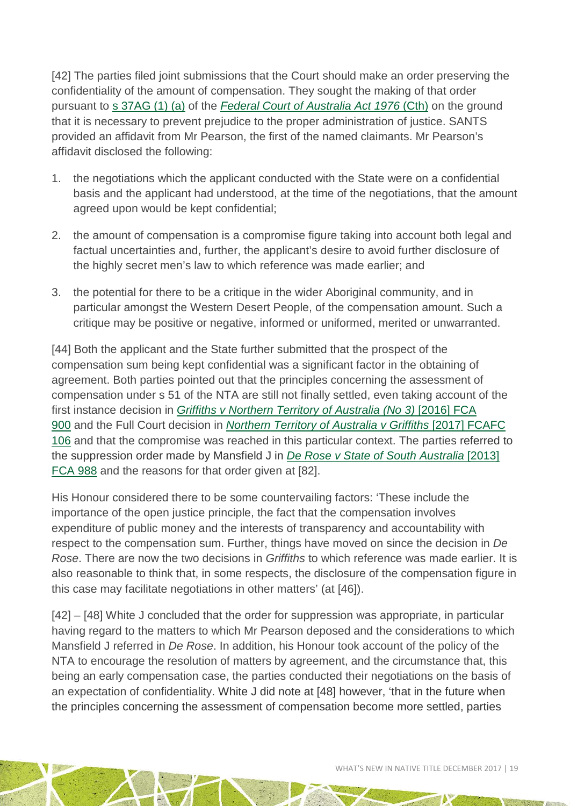[42] The parties filed joint submissions that the Court should make an order preserving the confidentiality of the amount of compensation. They sought the making of that order pursuant to [s 37AG \(1\) \(a\)](http://www5.austlii.edu.au/au/legis/cth/consol_act/fcoaa1976249/s37ag.html) of the *[Federal Court of Australia Act 1976](http://www.austlii.edu.au/cgi-bin/viewdoc/au/legis/cth/num_act/fcoaa1976249/)* (Cth) on the ground that it is necessary to prevent prejudice to the proper administration of justice. SANTS provided an affidavit from Mr Pearson, the first of the named claimants. Mr Pearson's affidavit disclosed the following:

- 1. the negotiations which the applicant conducted with the State were on a confidential basis and the applicant had understood, at the time of the negotiations, that the amount agreed upon would be kept confidential;
- 2. the amount of compensation is a compromise figure taking into account both legal and factual uncertainties and, further, the applicant's desire to avoid further disclosure of the highly secret men's law to which reference was made earlier; and
- 3. the potential for there to be a critique in the wider Aboriginal community, and in particular amongst the Western Desert People, of the compensation amount. Such a critique may be positive or negative, informed or uniformed, merited or unwarranted.

[44] Both the applicant and the State further submitted that the prospect of the compensation sum being kept confidential was a significant factor in the obtaining of agreement. Both parties pointed out that the principles concerning the assessment of compensation under s 51 of the NTA are still not finally settled, even taking account of the first instance decision in *[Griffiths v Northern Territory of Australia \(No 3\)](http://www.austlii.edu.au/cgi-bin/viewdoc/au/cases/cth/FCA/2016/900.html)* [2016] FCA [900](http://www.austlii.edu.au/cgi-bin/viewdoc/au/cases/cth/FCA/2016/900.html) and the Full Court decision in *[Northern Territory of Australia v Griffiths](http://www.austlii.edu.au/cgi-bin/viewdoc/au/cases/cth/FCAFC/2017/106.html)* [2017] FCAFC [106](http://www.austlii.edu.au/cgi-bin/viewdoc/au/cases/cth/FCAFC/2017/106.html) and that the compromise was reached in this particular context. The parties referred to the suppression order made by Mansfield J in *[De Rose v State of South Australia](http://www.austlii.edu.au/cgi-bin/viewdoc/au/cases/cth/FCA/2013/988.html#para25)* [2013] [FCA 988](http://www.austlii.edu.au/cgi-bin/viewdoc/au/cases/cth/FCA/2013/988.html#para25) and the reasons for that order given at [82].

His Honour considered there to be some countervailing factors: 'These include the importance of the open justice principle, the fact that the compensation involves expenditure of public money and the interests of transparency and accountability with respect to the compensation sum. Further, things have moved on since the decision in *De Rose*. There are now the two decisions in *Griffiths* to which reference was made earlier. It is also reasonable to think that, in some respects, the disclosure of the compensation figure in this case may facilitate negotiations in other matters' (at [46]).

[42] – [48] White J concluded that the order for suppression was appropriate, in particular having regard to the matters to which Mr Pearson deposed and the considerations to which Mansfield J referred in *De Rose*. In addition, his Honour took account of the policy of the NTA to encourage the resolution of matters by agreement, and the circumstance that, this being an early compensation case, the parties conducted their negotiations on the basis of an expectation of confidentiality. White J did note at [48] however, 'that in the future when the principles concerning the assessment of compensation become more settled, parties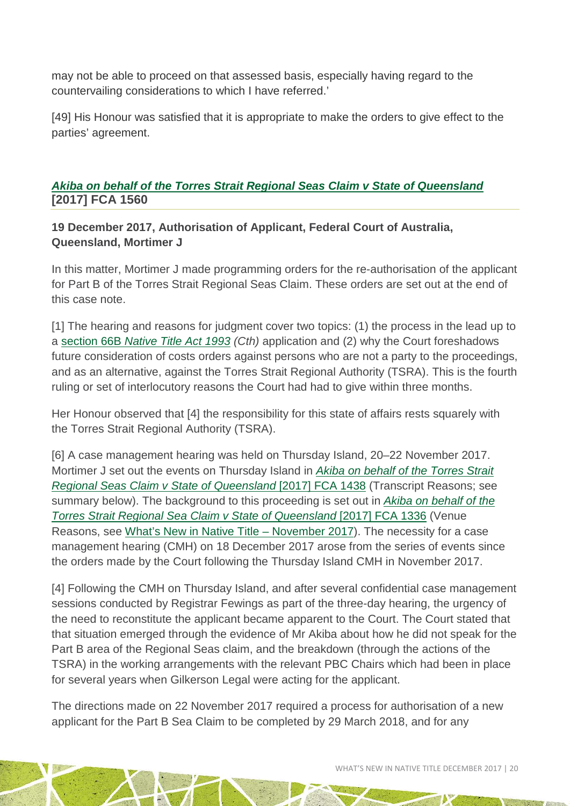may not be able to proceed on that assessed basis, especially having regard to the countervailing considerations to which I have referred.'

[49] His Honour was satisfied that it is appropriate to make the orders to give effect to the parties' agreement.

*[Akiba on behalf of the Torres Strait Regional Seas Claim v State of Queensland](http://www.austlii.edu.au/cgi-bin/viewdoc/au/cases/cth/FCA/2017/1560.html)* **[2017] FCA 1560**

**19 December 2017, Authorisation of Applicant, Federal Court of Australia, Queensland, Mortimer J**

In this matter, Mortimer J made programming orders for the re-authorisation of the applicant for Part B of the Torres Strait Regional Seas Claim. These orders are set out at the end of this case note.

[1] The hearing and reasons for judgment cover two topics: (1) the process in the lead up to a section 66B *[Native Title Act 1993](http://www8.austlii.edu.au/cgi-bin/viewdoc/au/legis/cth/consol_act/nta1993147/s66b.html) (Cth)* application and (2) why the Court foreshadows future consideration of costs orders against persons who are not a party to the proceedings, and as an alternative, against the Torres Strait Regional Authority (TSRA). This is the fourth ruling or set of interlocutory reasons the Court had had to give within three months.

Her Honour observed that [4] the responsibility for this state of affairs rests squarely with the Torres Strait Regional Authority (TSRA).

[6] A case management hearing was held on Thursday Island, 20–22 November 2017. Mortimer J set out the events on Thursday Island in *[Akiba on behalf of the Torres Strait](http://www.austlii.edu.au/cgi-bin/viewdoc/au/cases/cth/FCA/2017/1438.html)  [Regional Seas Claim v State of Queensland](http://www.austlii.edu.au/cgi-bin/viewdoc/au/cases/cth/FCA/2017/1438.html)* [2017] FCA 1438 (Transcript Reasons; see summary below). The background to this proceeding is set out in *[Akiba on behalf of the](http://www.austlii.edu.au/cgi-bin/viewdoc/au/cases/cth/FCA/2017/1336.html)  [Torres Strait Regional Sea Claim v State of Queensland](http://www.austlii.edu.au/cgi-bin/viewdoc/au/cases/cth/FCA/2017/1336.html)* [2017] FCA 1336 (Venue Reasons, see [What's New in Native Title –](http://aiatsis.gov.au/publications/products/whats-new-native-title-november-2017) November 2017). The necessity for a case management hearing (CMH) on 18 December 2017 arose from the series of events since the orders made by the Court following the Thursday Island CMH in November 2017.

[4] Following the CMH on Thursday Island, and after several confidential case management sessions conducted by Registrar Fewings as part of the three-day hearing, the urgency of the need to reconstitute the applicant became apparent to the Court. The Court stated that that situation emerged through the evidence of Mr Akiba about how he did not speak for the Part B area of the Regional Seas claim, and the breakdown (through the actions of the TSRA) in the working arrangements with the relevant PBC Chairs which had been in place for several years when Gilkerson Legal were acting for the applicant.

The directions made on 22 November 2017 required a process for authorisation of a new applicant for the Part B Sea Claim to be completed by 29 March 2018, and for any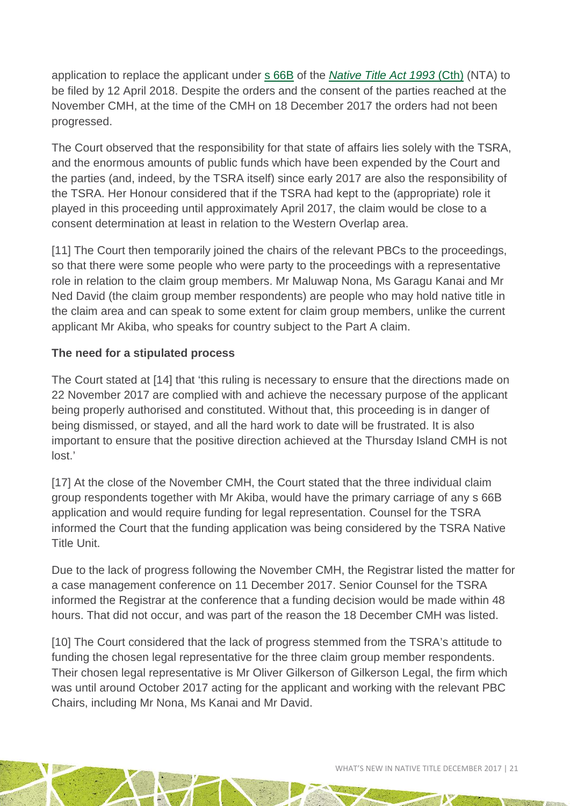application to replace the applicant under [s 66B](http://www5.austlii.edu.au/au/legis/cth/consol_act/nta1993147/s66b.html) of the *[Native Title Act 1993](http://www.austlii.edu.au/cgi-bin/viewdoc/au/legis/cth/num_act/nta1993147/)* (Cth) (NTA) to be filed by 12 April 2018. Despite the orders and the consent of the parties reached at the November CMH, at the time of the CMH on 18 December 2017 the orders had not been progressed.

The Court observed that the responsibility for that state of affairs lies solely with the TSRA, and the enormous amounts of public funds which have been expended by the Court and the parties (and, indeed, by the TSRA itself) since early 2017 are also the responsibility of the TSRA. Her Honour considered that if the TSRA had kept to the (appropriate) role it played in this proceeding until approximately April 2017, the claim would be close to a consent determination at least in relation to the Western Overlap area.

[11] The Court then temporarily joined the chairs of the relevant PBCs to the proceedings, so that there were some people who were party to the proceedings with a representative role in relation to the claim group members. Mr Maluwap Nona, Ms Garagu Kanai and Mr Ned David (the claim group member respondents) are people who may hold native title in the claim area and can speak to some extent for claim group members, unlike the current applicant Mr Akiba, who speaks for country subject to the Part A claim.

#### **The need for a stipulated process**

The Court stated at [14] that 'this ruling is necessary to ensure that the directions made on 22 November 2017 are complied with and achieve the necessary purpose of the applicant being properly authorised and constituted. Without that, this proceeding is in danger of being dismissed, or stayed, and all the hard work to date will be frustrated. It is also important to ensure that the positive direction achieved at the Thursday Island CMH is not lost.'

[17] At the close of the November CMH, the Court stated that the three individual claim group respondents together with Mr Akiba, would have the primary carriage of any s 66B application and would require funding for legal representation. Counsel for the TSRA informed the Court that the funding application was being considered by the TSRA Native Title Unit.

Due to the lack of progress following the November CMH, the Registrar listed the matter for a case management conference on 11 December 2017. Senior Counsel for the TSRA informed the Registrar at the conference that a funding decision would be made within 48 hours. That did not occur, and was part of the reason the 18 December CMH was listed.

[10] The Court considered that the lack of progress stemmed from the TSRA's attitude to funding the chosen legal representative for the three claim group member respondents. Their chosen legal representative is Mr Oliver Gilkerson of Gilkerson Legal, the firm which was until around October 2017 acting for the applicant and working with the relevant PBC Chairs, including Mr Nona, Ms Kanai and Mr David.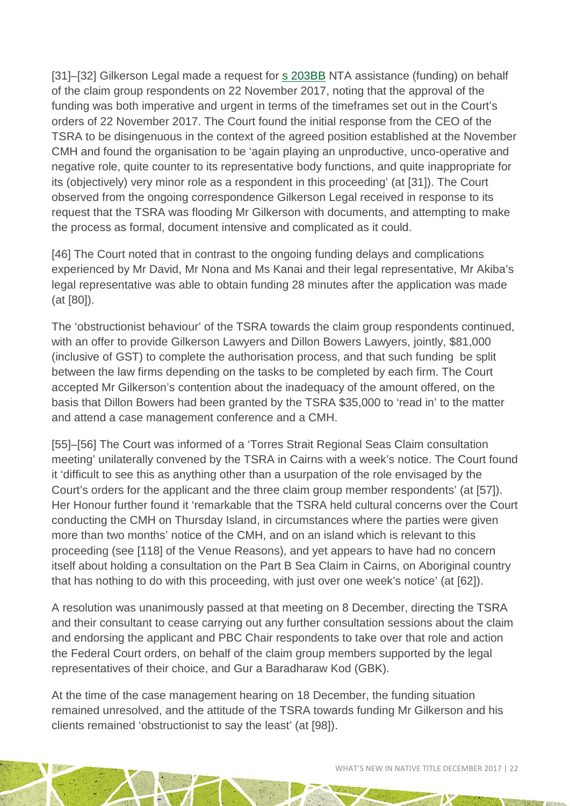[31]–[32] Gilkerson Legal made a request for [s 203BB](http://www8.austlii.edu.au/cgi-bin/viewdoc/au/legis/cth/consol_act/nta1993147/s203bb.html) NTA assistance (funding) on behalf of the claim group respondents on 22 November 2017, noting that the approval of the funding was both imperative and urgent in terms of the timeframes set out in the Court's orders of 22 November 2017. The Court found the initial response from the CEO of the TSRA to be disingenuous in the context of the agreed position established at the November CMH and found the organisation to be 'again playing an unproductive, unco-operative and negative role, quite counter to its representative body functions, and quite inappropriate for its (objectively) very minor role as a respondent in this proceeding' (at [31]). The Court observed from the ongoing correspondence Gilkerson Legal received in response to its request that the TSRA was flooding Mr Gilkerson with documents, and attempting to make the process as formal, document intensive and complicated as it could.

[46] The Court noted that in contrast to the ongoing funding delays and complications experienced by Mr David, Mr Nona and Ms Kanai and their legal representative, Mr Akiba's legal representative was able to obtain funding 28 minutes after the application was made (at [80]).

The 'obstructionist behaviour' of the TSRA towards the claim group respondents continued, with an offer to provide Gilkerson Lawyers and Dillon Bowers Lawyers, jointly, \$81,000 (inclusive of GST) to complete the authorisation process, and that such funding be split between the law firms depending on the tasks to be completed by each firm. The Court accepted Mr Gilkerson's contention about the inadequacy of the amount offered, on the basis that Dillon Bowers had been granted by the TSRA \$35,000 to 'read in' to the matter and attend a case management conference and a CMH.

[55]–[56] The Court was informed of a 'Torres Strait Regional Seas Claim consultation meeting' unilaterally convened by the TSRA in Cairns with a week's notice. The Court found it 'difficult to see this as anything other than a usurpation of the role envisaged by the Court's orders for the applicant and the three claim group member respondents' (at [57]). Her Honour further found it 'remarkable that the TSRA held cultural concerns over the Court conducting the CMH on Thursday Island, in circumstances where the parties were given more than two months' notice of the CMH, and on an island which is relevant to this proceeding (see [118] of the Venue Reasons), and yet appears to have had no concern itself about holding a consultation on the Part B Sea Claim in Cairns, on Aboriginal country that has nothing to do with this proceeding, with just over one week's notice' (at [62]).

A resolution was unanimously passed at that meeting on 8 December, directing the TSRA and their consultant to cease carrying out any further consultation sessions about the claim and endorsing the applicant and PBC Chair respondents to take over that role and action the Federal Court orders, on behalf of the claim group members supported by the legal representatives of their choice, and Gur a Baradharaw Kod (GBK).

At the time of the case management hearing on 18 December, the funding situation remained unresolved, and the attitude of the TSRA towards funding Mr Gilkerson and his clients remained 'obstructionist to say the least' (at [98]).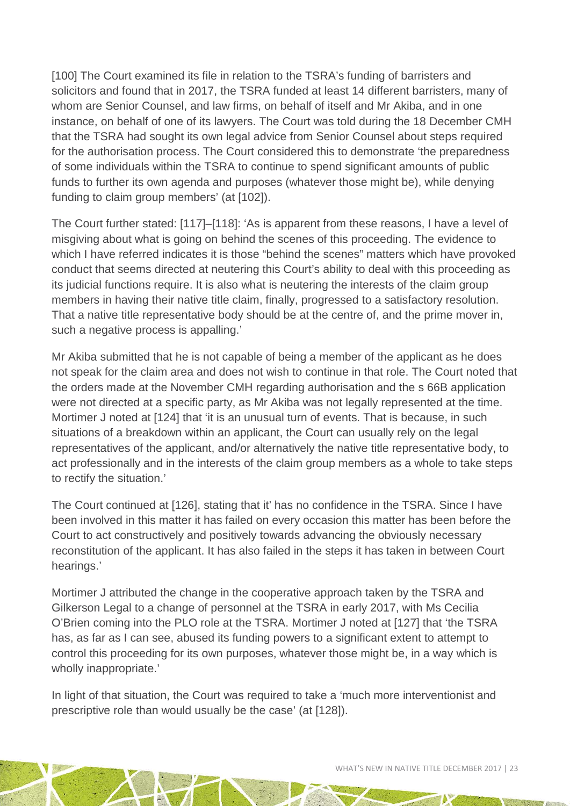[100] The Court examined its file in relation to the TSRA's funding of barristers and solicitors and found that in 2017, the TSRA funded at least 14 different barristers, many of whom are Senior Counsel, and law firms, on behalf of itself and Mr Akiba, and in one instance, on behalf of one of its lawyers. The Court was told during the 18 December CMH that the TSRA had sought its own legal advice from Senior Counsel about steps required for the authorisation process. The Court considered this to demonstrate 'the preparedness of some individuals within the TSRA to continue to spend significant amounts of public funds to further its own agenda and purposes (whatever those might be), while denying funding to claim group members' (at [102]).

The Court further stated: [117]–[118]: 'As is apparent from these reasons, I have a level of misgiving about what is going on behind the scenes of this proceeding. The evidence to which I have referred indicates it is those "behind the scenes" matters which have provoked conduct that seems directed at neutering this Court's ability to deal with this proceeding as its judicial functions require. It is also what is neutering the interests of the claim group members in having their native title claim, finally, progressed to a satisfactory resolution. That a native title representative body should be at the centre of, and the prime mover in, such a negative process is appalling.'

Mr Akiba submitted that he is not capable of being a member of the applicant as he does not speak for the claim area and does not wish to continue in that role. The Court noted that the orders made at the November CMH regarding authorisation and the s 66B application were not directed at a specific party, as Mr Akiba was not legally represented at the time. Mortimer J noted at [124] that 'it is an unusual turn of events. That is because, in such situations of a breakdown within an applicant, the Court can usually rely on the legal representatives of the applicant, and/or alternatively the native title representative body, to act professionally and in the interests of the claim group members as a whole to take steps to rectify the situation.'

The Court continued at [126], stating that it' has no confidence in the TSRA. Since I have been involved in this matter it has failed on every occasion this matter has been before the Court to act constructively and positively towards advancing the obviously necessary reconstitution of the applicant. It has also failed in the steps it has taken in between Court hearings.'

Mortimer J attributed the change in the cooperative approach taken by the TSRA and Gilkerson Legal to a change of personnel at the TSRA in early 2017, with Ms Cecilia O'Brien coming into the PLO role at the TSRA. Mortimer J noted at [127] that 'the TSRA has, as far as I can see, abused its funding powers to a significant extent to attempt to control this proceeding for its own purposes, whatever those might be, in a way which is wholly inappropriate.'

In light of that situation, the Court was required to take a 'much more interventionist and prescriptive role than would usually be the case' (at [128]).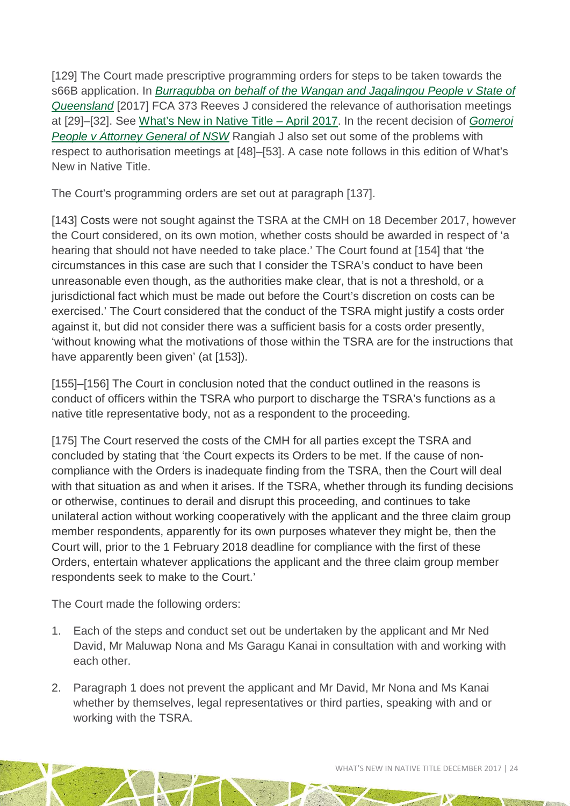[129] The Court made prescriptive programming orders for steps to be taken towards the s66B application. In *Burragubba on behalf of the Wangan and Jagalingou People v State of Queensland* [2017] FCA 373 Reeves J considered the relevance of authorisation meetings at [29]–[32]. See [What's New in Native Title](http://aiatsis.gov.au/publications/products/whats-new-native-title-april-2017) – April 2017. In the recent decision of *[Gomeroi](http://www.austlii.edu.au/cgi-bin/viewdoc/au/cases/cth/FCA/2017/1464.html?context=1;query=Gomeroi%20People%20%20v%20%20Attorney-General%20of%20New%20South%20Wales;mask_path=)  People v Attorney General of NSW* [Rangiah J also set out some of the problems with](http://www.austlii.edu.au/cgi-bin/viewdoc/au/cases/cth/FCA/2017/1464.html?context=1;query=Gomeroi%20People%20%20v%20%20Attorney-General%20of%20New%20South%20Wales;mask_path=)  [respect to authorisation meetings at \[48\]–\[53\]. A case note follows in this edition of What's](http://www.austlii.edu.au/cgi-bin/viewdoc/au/cases/cth/FCA/2017/1464.html?context=1;query=Gomeroi%20People%20%20v%20%20Attorney-General%20of%20New%20South%20Wales;mask_path=)  [New in Native Title.](http://www.austlii.edu.au/cgi-bin/viewdoc/au/cases/cth/FCA/2017/1464.html?context=1;query=Gomeroi%20People%20%20v%20%20Attorney-General%20of%20New%20South%20Wales;mask_path=) 

The Court's programming orders are set out at paragraph [137].

[143] Costs were not sought against the TSRA at the CMH on 18 December 2017, however the Court considered, on its own motion, whether costs should be awarded in respect of 'a hearing that should not have needed to take place.' The Court found at [154] that 'the circumstances in this case are such that I consider the TSRA's conduct to have been unreasonable even though, as the authorities make clear, that is not a threshold, or a jurisdictional fact which must be made out before the Court's discretion on costs can be exercised.' The Court considered that the conduct of the TSRA might justify a costs order against it, but did not consider there was a sufficient basis for a costs order presently, 'without knowing what the motivations of those within the TSRA are for the instructions that have apparently been given' (at [153]).

[155]–[156] The Court in conclusion noted that the conduct outlined in the reasons is conduct of officers within the TSRA who purport to discharge the TSRA's functions as a native title representative body, not as a respondent to the proceeding.

[175] The Court reserved the costs of the CMH for all parties except the TSRA and concluded by stating that 'the Court expects its Orders to be met. If the cause of noncompliance with the Orders is inadequate finding from the TSRA, then the Court will deal with that situation as and when it arises. If the TSRA, whether through its funding decisions or otherwise, continues to derail and disrupt this proceeding, and continues to take unilateral action without working cooperatively with the applicant and the three claim group member respondents, apparently for its own purposes whatever they might be, then the Court will, prior to the 1 February 2018 deadline for compliance with the first of these Orders, entertain whatever applications the applicant and the three claim group member respondents seek to make to the Court.'

The Court made the following orders:

- 1. Each of the steps and conduct set out be undertaken by the applicant and Mr Ned David, Mr Maluwap Nona and Ms Garagu Kanai in consultation with and working with each other.
- 2. Paragraph 1 does not prevent the applicant and Mr David, Mr Nona and Ms Kanai whether by themselves, legal representatives or third parties, speaking with and or working with the TSRA.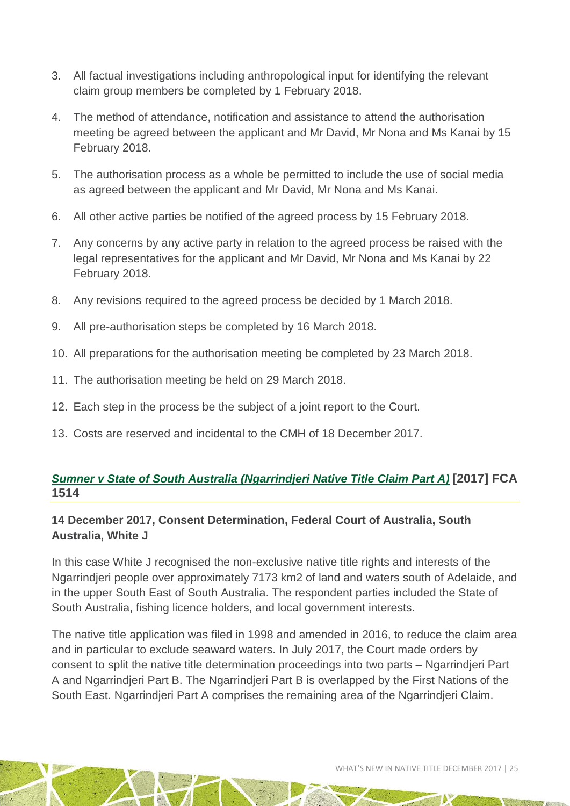- 3. All factual investigations including anthropological input for identifying the relevant claim group members be completed by 1 February 2018.
- 4. The method of attendance, notification and assistance to attend the authorisation meeting be agreed between the applicant and Mr David, Mr Nona and Ms Kanai by 15 February 2018.
- 5. The authorisation process as a whole be permitted to include the use of social media as agreed between the applicant and Mr David, Mr Nona and Ms Kanai.
- 6. All other active parties be notified of the agreed process by 15 February 2018.
- 7. Any concerns by any active party in relation to the agreed process be raised with the legal representatives for the applicant and Mr David, Mr Nona and Ms Kanai by 22 February 2018.
- 8. Any revisions required to the agreed process be decided by 1 March 2018.
- 9. All pre-authorisation steps be completed by 16 March 2018.
- 10. All preparations for the authorisation meeting be completed by 23 March 2018.
- 11. The authorisation meeting be held on 29 March 2018.
- 12. Each step in the process be the subject of a joint report to the Court.
- 13. Costs are reserved and incidental to the CMH of 18 December 2017.

#### *[Sumner v State of South Australia \(Ngarrindjeri Native Title Claim Part A\)](http://www.austlii.edu.au/cgi-bin/viewdoc/au/cases/cth/FCA/2017/1514.html)* **[2017] FCA 1514**

#### **14 December 2017, Consent Determination, Federal Court of Australia, South Australia, White J**

In this case White J recognised the non-exclusive native title rights and interests of the Ngarrindjeri people over approximately 7173 km2 of land and waters south of Adelaide, and in the upper South East of South Australia. The respondent parties included the State of South Australia, fishing licence holders, and local government interests.

The native title application was filed in 1998 and amended in 2016, to reduce the claim area and in particular to exclude seaward waters. In July 2017, the Court made orders by consent to split the native title determination proceedings into two parts – Ngarrindjeri Part A and Ngarrindjeri Part B. The Ngarrindjeri Part B is overlapped by the First Nations of the South East. Ngarrindjeri Part A comprises the remaining area of the Ngarrindjeri Claim.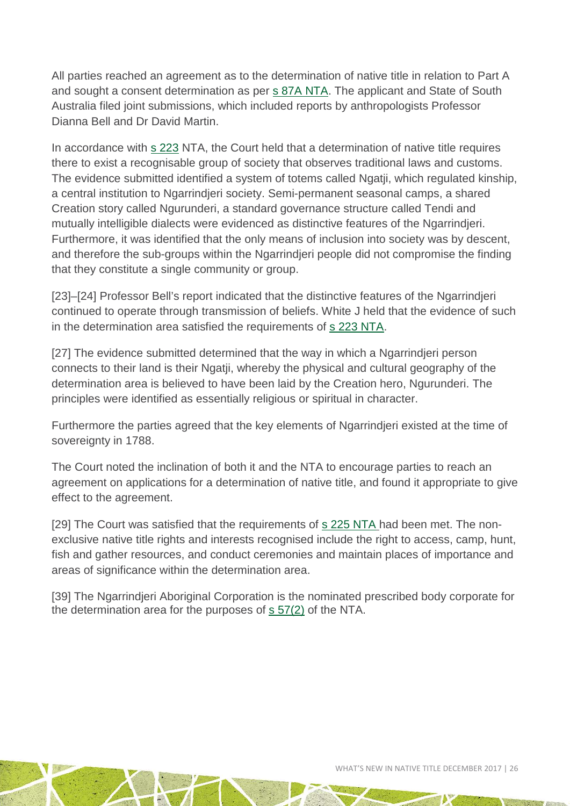All parties reached an agreement as to the determination of native title in relation to Part A and sought a consent determination as per [s 87A NTA.](http://www7.austlii.edu.au/cgi-bin/viewdoc/au/legis/cth/consol_act/nta1993147/s87a.html) The applicant and State of South Australia filed joint submissions, which included reports by anthropologists Professor Dianna Bell and Dr David Martin.

In accordance with [s 223](http://www5.austlii.edu.au/au/legis/cth/consol_act/nta1993147/s223.html) NTA, the Court held that a determination of native title requires there to exist a recognisable group of society that observes traditional laws and customs. The evidence submitted identified a system of totems called Ngatji, which regulated kinship, a central institution to Ngarrindjeri society. Semi-permanent seasonal camps, a shared Creation story called Ngurunderi, a standard governance structure called Tendi and mutually intelligible dialects were evidenced as distinctive features of the Ngarrindjeri. Furthermore, it was identified that the only means of inclusion into society was by descent, and therefore the sub-groups within the Ngarrindjeri people did not compromise the finding that they constitute a single community or group.

[23]–[24] Professor Bell's report indicated that the distinctive features of the Ngarrindjeri continued to operate through transmission of beliefs. White J held that the evidence of such in the determination area satisfied the requirements of [s 223 NTA.](http://www7.austlii.edu.au/cgi-bin/viewdoc/au/legis/cth/consol_act/nta1993147/s223.html)

[27] The evidence submitted determined that the way in which a Ngarrindjeri person connects to their land is their Ngatji, whereby the physical and cultural geography of the determination area is believed to have been laid by the Creation hero, Ngurunderi. The principles were identified as essentially religious or spiritual in character.

Furthermore the parties agreed that the key elements of Ngarrindjeri existed at the time of sovereignty in 1788.

The Court noted the inclination of both it and the NTA to encourage parties to reach an agreement on applications for a determination of native title, and found it appropriate to give effect to the agreement.

[29] The Court was satisfied that the requirements of [s 225 NTA](http://www7.austlii.edu.au/cgi-bin/viewdoc/au/legis/cth/consol_act/nta1993147/s225.html) had been met. The nonexclusive native title rights and interests recognised include the right to access, camp, hunt, fish and gather resources, and conduct ceremonies and maintain places of importance and areas of significance within the determination area.

[39] The Ngarrindjeri Aboriginal Corporation is the nominated prescribed body corporate for the determination area for the purposes of  $s$  57(2) of the NTA.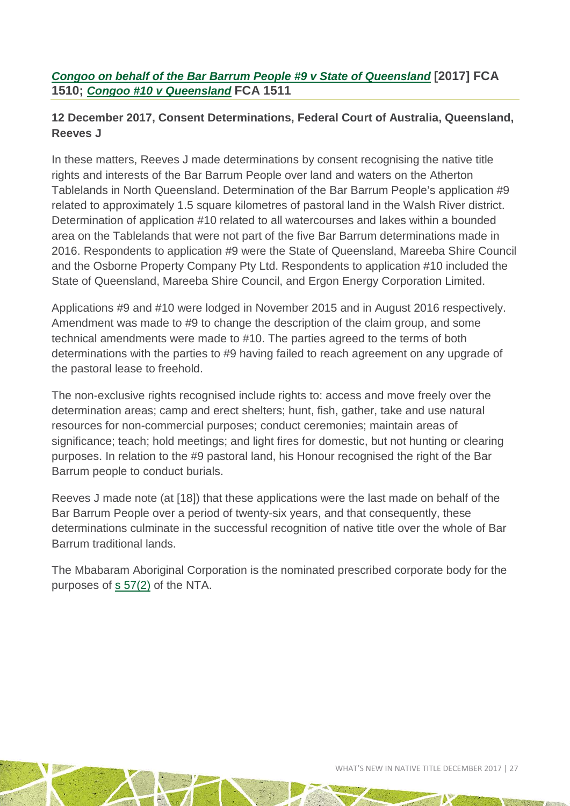#### *[Congoo on behalf of the Bar Barrum People #9 v State of Queensland](http://www.austlii.edu.au/cgi-bin/viewdoc/au/cases/cth/FCA/2017/1510.html)* **[2017] FCA 1510;** *[Congoo #10 v Queensland](http://www.austlii.edu.au/cgi-bin/viewdoc/au/cases/cth/FCA/2017/1511.html)* **[FCA 1511](http://www.austlii.edu.au/cgi-bin/viewdoc/au/cases/cth/FCA/2017/1511.html)**

#### **12 December 2017, Consent Determinations, Federal Court of Australia, Queensland, Reeves J**

In these matters, Reeves J made determinations by consent recognising the native title rights and interests of the Bar Barrum People over land and waters on the Atherton Tablelands in North Queensland. Determination of the Bar Barrum People's application #9 related to approximately 1.5 square kilometres of pastoral land in the Walsh River district. Determination of application #10 related to all watercourses and lakes within a bounded area on the Tablelands that were not part of the five Bar Barrum determinations made in 2016. Respondents to application #9 were the State of Queensland, Mareeba Shire Council and the Osborne Property Company Pty Ltd. Respondents to application #10 included the State of Queensland, Mareeba Shire Council, and Ergon Energy Corporation Limited.

Applications #9 and #10 were lodged in November 2015 and in August 2016 respectively. Amendment was made to #9 to change the description of the claim group, and some technical amendments were made to #10. The parties agreed to the terms of both determinations with the parties to #9 having failed to reach agreement on any upgrade of the pastoral lease to freehold.

The non-exclusive rights recognised include rights to: access and move freely over the determination areas; camp and erect shelters; hunt, fish, gather, take and use natural resources for non-commercial purposes; conduct ceremonies; maintain areas of significance; teach; hold meetings; and light fires for domestic, but not hunting or clearing purposes. In relation to the #9 pastoral land, his Honour recognised the right of the Bar Barrum people to conduct burials.

Reeves J made note (at [18]) that these applications were the last made on behalf of the Bar Barrum People over a period of twenty-six years, and that consequently, these determinations culminate in the successful recognition of native title over the whole of Bar Barrum traditional lands.

The Mbabaram Aboriginal Corporation is the nominated prescribed corporate body for the purposes of  $s$  57(2) of the NTA.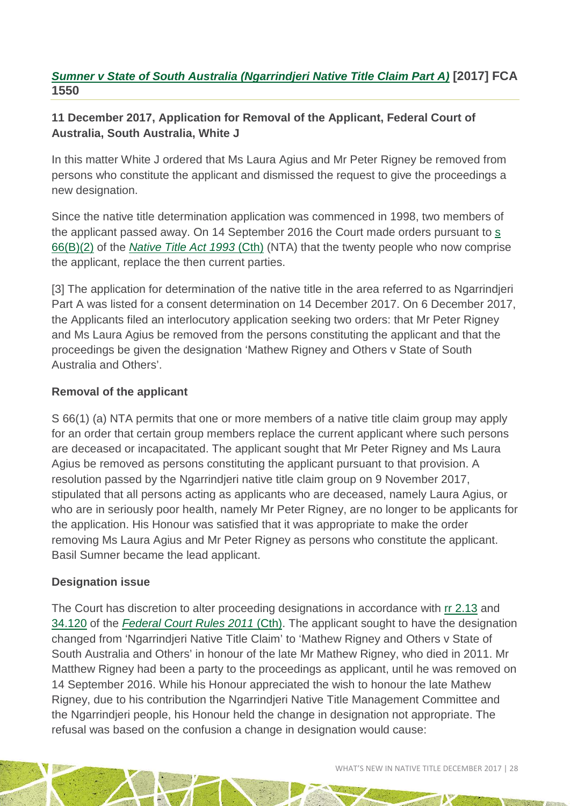#### *[Sumner v State of South Australia \(Ngarrindjeri Native Title Claim Part A\)](http://www.austlii.edu.au/cgi-bin/viewdoc/au/cases/cth/FCA/2017/1550.html)* **[2017] FCA 1550**

#### **11 December 2017, Application for Removal of the Applicant, Federal Court of Australia, South Australia, White J**

In this matter White J ordered that Ms Laura Agius and Mr Peter Rigney be removed from persons who constitute the applicant and dismissed the request to give the proceedings a new designation.

Since the native title determination application was commenced in 1998, two members of the applicant passed away. On 14 September 2016 the Court made orders pursuant to [s](http://www8.austlii.edu.au/cgi-bin/viewdoc/au/legis/cth/consol_act/nta1993147/s66b.html)  [66\(B\)\(2\)](http://www8.austlii.edu.au/cgi-bin/viewdoc/au/legis/cth/consol_act/nta1993147/s66b.html) of the *[Native Title Act 1993](http://www8.austlii.edu.au/cgi-bin/viewdb/au/legis/cth/consol_act/nta1993147/)* (Cth) (NTA) that the twenty people who now comprise the applicant, replace the then current parties.

[3] The application for determination of the native title in the area referred to as Ngarrindieri Part A was listed for a consent determination on 14 December 2017. On 6 December 2017, the Applicants filed an interlocutory application seeking two orders: that Mr Peter Rigney and Ms Laura Agius be removed from the persons constituting the applicant and that the proceedings be given the designation 'Mathew Rigney and Others v State of South Australia and Others'.

#### **Removal of the applicant**

S 66(1) (a) NTA permits that one or more members of a native title claim group may apply for an order that certain group members replace the current applicant where such persons are deceased or incapacitated. The applicant sought that Mr Peter Rigney and Ms Laura Agius be removed as persons constituting the applicant pursuant to that provision. A resolution passed by the Ngarrindjeri native title claim group on 9 November 2017, stipulated that all persons acting as applicants who are deceased, namely Laura Agius, or who are in seriously poor health, namely Mr Peter Rigney, are no longer to be applicants for the application. His Honour was satisfied that it was appropriate to make the order removing Ms Laura Agius and Mr Peter Rigney as persons who constitute the applicant. Basil Sumner became the lead applicant.

#### **Designation issue**

The Court has discretion to alter proceeding designations in accordance with [rr 2.13](http://www8.austlii.edu.au/cgi-bin/viewdoc/au/legis/cth/num_reg/fcr2011n134o2011269/s2.13.html) and [34.120](http://www8.austlii.edu.au/cgi-bin/viewdoc/au/legis/cth/num_reg/fcr2011n134o2011269/s34.120.html) of the *[Federal Court Rules 2011](http://www8.austlii.edu.au/cgi-bin/viewdb/au/legis/cth/num_reg/fcr2011n134o2011269/)* (Cth). The applicant sought to have the designation changed from 'Ngarrindjeri Native Title Claim' to 'Mathew Rigney and Others v State of South Australia and Others' in honour of the late Mr Mathew Rigney, who died in 2011. Mr Matthew Rigney had been a party to the proceedings as applicant, until he was removed on 14 September 2016. While his Honour appreciated the wish to honour the late Mathew Rigney, due to his contribution the Ngarrindjeri Native Title Management Committee and the Ngarrindjeri people, his Honour held the change in designation not appropriate. The refusal was based on the confusion a change in designation would cause: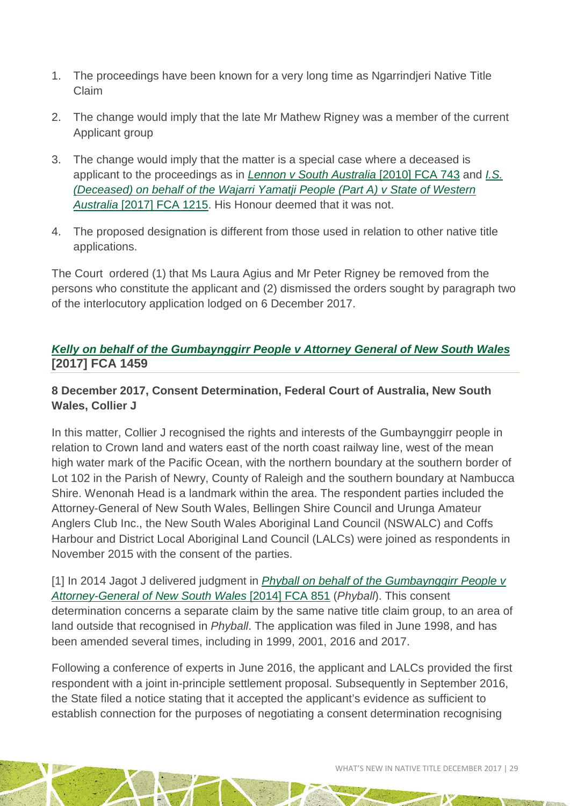- 1. The proceedings have been known for a very long time as Ngarrindjeri Native Title Claim
- 2. The change would imply that the late Mr Mathew Rigney was a member of the current Applicant group
- 3. The change would imply that the matter is a special case where a deceased is applicant to the proceedings as in *[Lennon v South Australia](http://www.austlii.edu.au/cgi-bin/viewdoc/au/cases/cth/FCA/2010/743.html)* [2010] FCA 743 and *[I.S.](http://www.austlii.edu.au/cgi-bin/viewdoc/au/cases/cth/FCA/2017/1215.html)  [\(Deceased\) on behalf of the Wajarri Yamatji People \(Part](http://www.austlii.edu.au/cgi-bin/viewdoc/au/cases/cth/FCA/2017/1215.html) A) v State of Western Australia* [\[2017\] FCA 1215.](http://www.austlii.edu.au/cgi-bin/viewdoc/au/cases/cth/FCA/2017/1215.html) His Honour deemed that it was not.
- 4. The proposed designation is different from those used in relation to other native title applications.

The Court ordered (1) that Ms Laura Agius and Mr Peter Rigney be removed from the persons who constitute the applicant and (2) dismissed the orders sought by paragraph two of the interlocutory application lodged on 6 December 2017.

#### *[Kelly on behalf of the Gumbaynggirr People v Attorney General of New South Wales](http://www.austlii.edu.au/cgi-bin/viewdoc/au/cases/cth/FCA/2017/1459.html)* **[2017] FCA 1459**

#### **8 December 2017, Consent Determination, Federal Court of Australia, New South Wales, Collier J**

In this matter, Collier J recognised the rights and interests of the Gumbaynggirr people in relation to Crown land and waters east of the north coast railway line, west of the mean high water mark of the Pacific Ocean, with the northern boundary at the southern border of Lot 102 in the Parish of Newry, County of Raleigh and the southern boundary at Nambucca Shire. Wenonah Head is a landmark within the area. The respondent parties included the Attorney-General of New South Wales, Bellingen Shire Council and Urunga Amateur Anglers Club Inc., the New South Wales Aboriginal Land Council (NSWALC) and Coffs Harbour and District Local Aboriginal Land Council (LALCs) were joined as respondents in November 2015 with the consent of the parties.

[1] In 2014 Jagot J delivered judgment in *[Phyball on behalf of the Gumbaynggirr People v](http://www.austlii.edu.au/cgi-bin/viewdoc/au/cases/cth/FCA/2014/851.html)  [Attorney-General of New South Wales](http://www.austlii.edu.au/cgi-bin/viewdoc/au/cases/cth/FCA/2014/851.html)* [2014] FCA 851 (*Phyball*). This consent determination concerns a separate claim by the same native title claim group, to an area of land outside that recognised in *Phyball*. The application was filed in June 1998, and has been amended several times, including in 1999, 2001, 2016 and 2017.

Following a conference of experts in June 2016, the applicant and LALCs provided the first respondent with a joint in-principle settlement proposal. Subsequently in September 2016, the State filed a notice stating that it accepted the applicant's evidence as sufficient to establish connection for the purposes of negotiating a consent determination recognising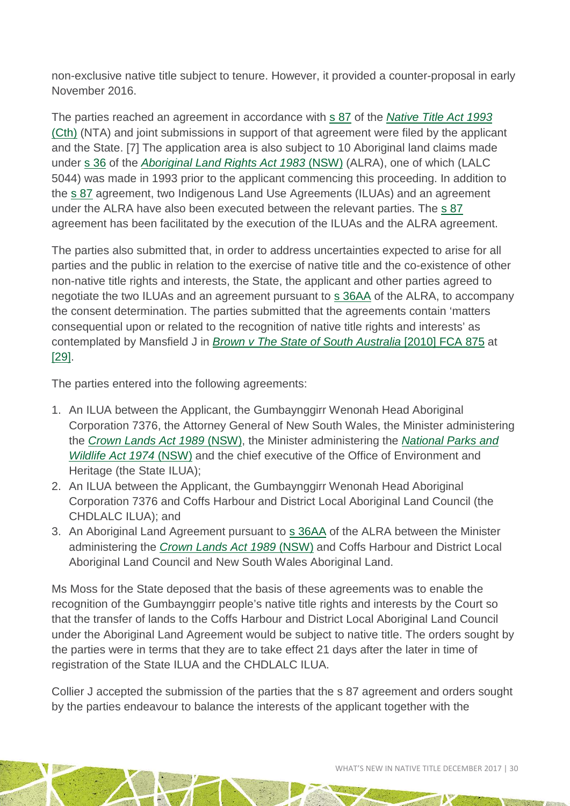non-exclusive native title subject to tenure. However, it provided a counter-proposal in early November 2016.

The parties reached an agreement in accordance with [s 87](http://www.austlii.edu.au/cgi-bin/viewdoc/au/legis/cth/consol_act/nta1993147/s87.html) of the *[Native Title Act 1993](http://www.austlii.edu.au/cgi-bin/viewdb/au/legis/cth/consol_act/nta1993147/)* [\(Cth\)](http://www.austlii.edu.au/cgi-bin/viewdb/au/legis/cth/consol_act/nta1993147/) (NTA) and joint submissions in support of that agreement were filed by the applicant and the State. [7] The application area is also subject to 10 Aboriginal land claims made under [s 36](http://www.austlii.edu.au/cgi-bin/viewdoc/au/legis/nsw/consol_act/alra1983201/s36.html) of the *[Aboriginal Land Rights Act 1983](http://www.austlii.edu.au/cgi-bin/viewdoc/au/legis/nsw/consol_act/alra1983201/)* (NSW) (ALRA), one of which (LALC 5044) was made in 1993 prior to the applicant commencing this proceeding. In addition to the [s 87](http://www.austlii.edu.au/cgi-bin/viewdoc/au/legis/nsw/consol_act/alra1983201/s87.html) agreement, two Indigenous Land Use Agreements (ILUAs) and an agreement under the ALRA have also been executed between the relevant parties. The [s 87](http://www.austlii.edu.au/cgi-bin/viewdoc/au/legis/nsw/consol_act/alra1983201/s87.html) agreement has been facilitated by the execution of the ILUAs and the ALRA agreement.

The parties also submitted that, in order to address uncertainties expected to arise for all parties and the public in relation to the exercise of native title and the co-existence of other non-native title rights and interests, the State, the applicant and other parties agreed to negotiate the two ILUAs and an agreement pursuant to [s 36AA](http://www.austlii.edu.au/cgi-bin/viewdoc/au/legis/nsw/consol_act/alra1983201/s36aa.html) of the ALRA, to accompany the consent determination. The parties submitted that the agreements contain 'matters consequential upon or related to the recognition of native title rights and interests' as contemplated by Mansfield J in *[Brown v The State of South Australia](http://www.austlii.edu.au/cgi-bin/viewdoc/au/cases/cth/FCA/2010/875.html)* [2010] FCA 875 at [\[29\].](http://www.austlii.edu.au/cgi-bin/viewdoc/au/cases/cth/FCA/2010/875.html#para29)

The parties entered into the following agreements:

- 1. An ILUA between the Applicant, the Gumbaynggirr Wenonah Head Aboriginal Corporation 7376, the Attorney General of New South Wales, the Minister administering the *[Crown Lands Act 1989](http://www.austlii.edu.au/cgi-bin/viewdoc/au/legis/nsw/consol_act/cla1989134/)* (NSW), the Minister administering the *[National Parks and](http://www.austlii.edu.au/cgi-bin/viewdoc/au/legis/nsw/consol_act/npawa1974247/)  [Wildlife Act 1974](http://www.austlii.edu.au/cgi-bin/viewdoc/au/legis/nsw/consol_act/npawa1974247/)* (NSW) and the chief executive of the Office of Environment and Heritage (the State ILUA);
- 2. An ILUA between the Applicant, the Gumbaynggirr Wenonah Head Aboriginal Corporation 7376 and Coffs Harbour and District Local Aboriginal Land Council (the CHDLALC ILUA); and
- 3. An Aboriginal Land Agreement pursuant to [s 36AA](http://www.austlii.edu.au/cgi-bin/viewdoc/au/legis/nsw/consol_act/alra1983201/s36aa.html) of the ALRA between the Minister administering the *[Crown Lands Act 1989](http://www.austlii.edu.au/cgi-bin/viewdoc/au/legis/nsw/consol_act/cla1989134/)* (NSW) and Coffs Harbour and District Local Aboriginal Land Council and New South Wales Aboriginal Land.

Ms Moss for the State deposed that the basis of these agreements was to enable the recognition of the Gumbaynggirr people's native title rights and interests by the Court so that the transfer of lands to the Coffs Harbour and District Local Aboriginal Land Council under the Aboriginal Land Agreement would be subject to native title. The orders sought by the parties were in terms that they are to take effect 21 days after the later in time of registration of the State ILUA and the CHDLALC ILUA.

Collier J accepted the submission of the parties that the s 87 agreement and orders sought by the parties endeavour to balance the interests of the applicant together with the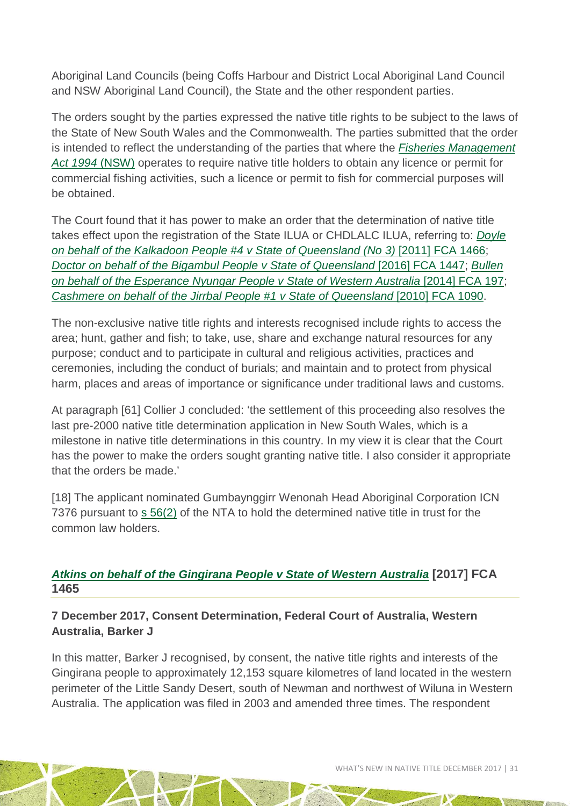Aboriginal Land Councils (being Coffs Harbour and District Local Aboriginal Land Council and NSW Aboriginal Land Council), the State and the other respondent parties.

The orders sought by the parties expressed the native title rights to be subject to the laws of the State of New South Wales and the Commonwealth. The parties submitted that the order is intended to reflect the understanding of the parties that where the *[Fisheries Management](http://www.austlii.edu.au/cgi-bin/viewdoc/au/legis/nsw/consol_act/fma1994193/)  [Act 1994](http://www.austlii.edu.au/cgi-bin/viewdoc/au/legis/nsw/consol_act/fma1994193/)* (NSW) operates to require native title holders to obtain any licence or permit for commercial fishing activities, such a licence or permit to fish for commercial purposes will be obtained.

The Court found that it has power to make an order that the determination of native title takes effect upon the registration of the State ILUA or CHDLALC ILUA, referring to: *[Doyle](http://www.austlii.edu.au/cgi-bin/viewdoc/au/cases/cth/FCA/2011/1466.html)  [on behalf of the Kalkadoon People #4 v State of Queensland \(No 3\)](http://www.austlii.edu.au/cgi-bin/viewdoc/au/cases/cth/FCA/2011/1466.html)* [2011] FCA 1466; *[Doctor on behalf of the Bigambul People v State of Queensland](http://www.austlii.edu.au/cgi-bin/viewdoc/au/cases/cth/FCA/2016/1447.html)* [2016] FCA 1447; *[Bullen](http://www.austlii.edu.au/cgi-bin/viewdoc/au/cases/cth/FCA/2014/197.html)  [on behalf of the Esperance Nyungar People v State of Western Australia](http://www.austlii.edu.au/cgi-bin/viewdoc/au/cases/cth/FCA/2014/197.html)* [2014] FCA 197; *[Cashmere on behalf of the Jirrbal People #1 v State of Queensland](http://www.austlii.edu.au/cgi-bin/viewdoc/au/cases/cth/FCA/2010/1090.html)* [2010] FCA 1090.

The non-exclusive native title rights and interests recognised include rights to access the area; hunt, gather and fish; to take, use, share and exchange natural resources for any purpose; conduct and to participate in cultural and religious activities, practices and ceremonies, including the conduct of burials; and maintain and to protect from physical harm, places and areas of importance or significance under traditional laws and customs.

At paragraph [61] Collier J concluded: 'the settlement of this proceeding also resolves the last pre-2000 native title determination application in New South Wales, which is a milestone in native title determinations in this country. In my view it is clear that the Court has the power to make the orders sought granting native title. I also consider it appropriate that the orders be made.'

[18] The applicant nominated Gumbaynggirr Wenonah Head Aboriginal Corporation ICN 7376 pursuant to [s 56\(2\)](http://www.austlii.edu.au/cgi-bin/viewdoc/au/legis/cth/consol_act/nta1993147/s56.html) of the NTA to hold the determined native title in trust for the common law holders.

#### *[Atkins on behalf of the Gingirana People v State of Western Australia](http://www.austlii.edu.au/cgi-bin/viewdoc/au/cases/cth/FCA/2017/1465.html)* **[2017] FCA 1465**

#### **7 December 2017, Consent Determination, Federal Court of Australia, Western Australia, Barker J**

In this matter, Barker J recognised, by consent, the native title rights and interests of the Gingirana people to approximately 12,153 square kilometres of land located in the western perimeter of the Little Sandy Desert, south of Newman and northwest of Wiluna in Western Australia. The application was filed in 2003 and amended three times. The respondent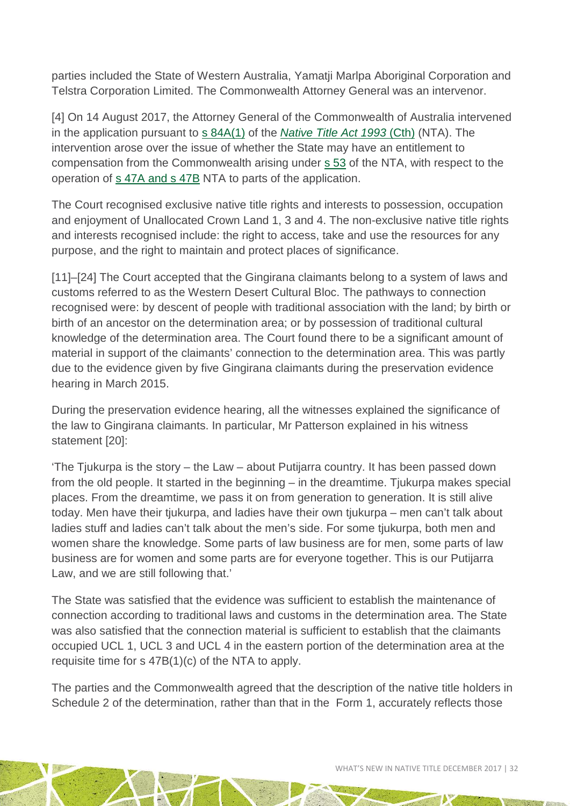parties included the State of Western Australia, Yamatji Marlpa Aboriginal Corporation and Telstra Corporation Limited. The Commonwealth Attorney General was an intervenor.

[4] On 14 August 2017, the Attorney General of the Commonwealth of Australia intervened in the application pursuant to [s 84A\(1\)](http://www8.austlii.edu.au/cgi-bin/viewdoc/au/legis/cth/consol_act/nta1993147/s84.html) of the *[Native Title Act 1993](http://www.austlii.edu.au/cgi-bin/viewdoc/au/legis/cth/num_act/nta1993147/)* (Cth) (NTA). The intervention arose over the issue of whether the State may have an entitlement to compensation from the Commonwealth arising under [s 53](http://www.austlii.edu.au/cgi-bin/viewdoc/au/legis/cth/num_act/nta1993147/s53.html) of the NTA, with respect to the operation of [s 47A and s 47B](http://www.austlii.edu.au/cgi-bin/viewdoc/au/legis/cth/num_act/nta1993147/s47.html) NTA to parts of the application.

The Court recognised exclusive native title rights and interests to possession, occupation and enjoyment of Unallocated Crown Land 1, 3 and 4. The non-exclusive native title rights and interests recognised include: the right to access, take and use the resources for any purpose, and the right to maintain and protect places of significance.

[11]–[24] The Court accepted that the Gingirana claimants belong to a system of laws and customs referred to as the Western Desert Cultural Bloc. The pathways to connection recognised were: by descent of people with traditional association with the land; by birth or birth of an ancestor on the determination area; or by possession of traditional cultural knowledge of the determination area. The Court found there to be a significant amount of material in support of the claimants' connection to the determination area. This was partly due to the evidence given by five Gingirana claimants during the preservation evidence hearing in March 2015.

During the preservation evidence hearing, all the witnesses explained the significance of the law to Gingirana claimants. In particular, Mr Patterson explained in his witness statement [20]:

'The Tjukurpa is the story – the Law – about Putijarra country. It has been passed down from the old people. It started in the beginning – in the dreamtime. Tjukurpa makes special places. From the dreamtime, we pass it on from generation to generation. It is still alive today. Men have their tjukurpa, and ladies have their own tjukurpa – men can't talk about ladies stuff and ladies can't talk about the men's side. For some tjukurpa, both men and women share the knowledge. Some parts of law business are for men, some parts of law business are for women and some parts are for everyone together. This is our Putijarra Law, and we are still following that.'

The State was satisfied that the evidence was sufficient to establish the maintenance of connection according to traditional laws and customs in the determination area. The State was also satisfied that the connection material is sufficient to establish that the claimants occupied UCL 1, UCL 3 and UCL 4 in the eastern portion of the determination area at the requisite time for s 47B(1)(c) of the [NTA](http://www.austlii.edu.au/cgi-bin/viewdoc/au/legis/cth/num_act/nta1993147/) to apply.

The parties and the Commonwealth agreed that the description of the native title holders in Schedule 2 of the determination, rather than that in the Form 1, accurately reflects those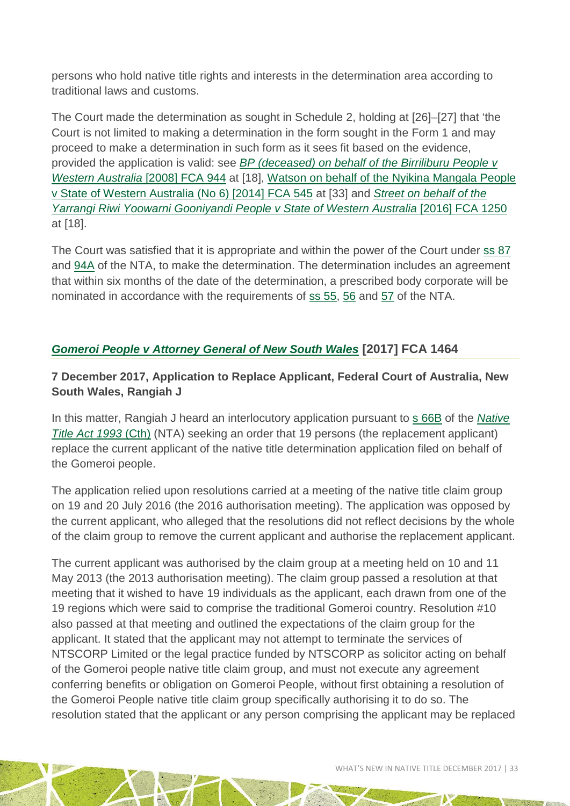persons who hold native title rights and interests in the determination area according to traditional laws and customs.

The Court made the determination as sought in Schedule 2, holding at [26]–[27] that 'the Court is not limited to making a determination in the form sought in the Form 1 and may proceed to make a determination in such form as it sees fit based on the evidence, provided the application is valid: see *[BP \(deceased\) on behalf of the Birriliburu People](http://www.austlii.edu.au/cgi-bin/viewdoc/au/cases/cth/FCA/2008/944.html) v [Western Australia](http://www.austlii.edu.au/cgi-bin/viewdoc/au/cases/cth/FCA/2008/944.html)* [2008] FCA 944 at [18], Watson on behalf of the Nyikina Mangala People v State of Western Australia (No 6) [2014] FCA 545 at [33] and *[Street on behalf of the](http://www.austlii.edu.au/cgi-bin/viewdoc/au/cases/cth/FCA/2016/1250.html)  [Yarrangi Riwi Yoowarni Gooniyandi People v State of Western Australia](http://www.austlii.edu.au/cgi-bin/viewdoc/au/cases/cth/FCA/2016/1250.html)* [2016] FCA 1250 at [18].

The Court was satisfied that it is appropriate and within the power of the Court under [ss 87](http://www.austlii.edu.au/cgi-bin/viewdoc/au/legis/cth/consol_act/nta1993147/s87.html) and [94A](http://www.austlii.edu.au/cgi-bin/viewdoc/au/legis/cth/consol_act/nta1993147/s94a.html) of the [NTA,](http://www.austlii.edu.au/cgi-bin/viewdoc/au/legis/cth/consol_act/nta1993147/) to make the determination. The determination includes an agreement that within six months of the date of the determination, a prescribed body corporate will be nominated in accordance with the requirements of [ss 55,](http://www.austlii.edu.au/cgi-bin/viewdoc/au/legis/cth/num_act/nta1993147/s55.html) [56](http://www.austlii.edu.au/cgi-bin/viewdoc/au/legis/cth/num_act/nta1993147/s56.html) and [57](http://www.austlii.edu.au/cgi-bin/viewdoc/au/legis/cth/num_act/nta1993147/s57.html) of the [NTA.](http://www.austlii.edu.au/cgi-bin/viewdoc/au/legis/cth/num_act/nta1993147/)

#### *[Gomeroi People v Attorney General of New South Wales](http://www.austlii.edu.au/cgi-bin/viewdoc/au/cases/cth/FCA/2017/1464.html)* **[2017] FCA 1464**

#### **7 December 2017, Application to Replace Applicant, Federal Court of Australia, New South Wales, Rangiah J**

In this matter, Rangiah J heard an interlocutory application pursuant to [s 66B](http://www7.austlii.edu.au/cgi-bin/viewdoc/au/legis/cth/consol_act/nta1993147/s66b.html) of the *[Native](http://www7.austlii.edu.au/cgi-bin/viewdb/au/legis/cth/consol_act/nta1993147/)  [Title Act 1993](http://www7.austlii.edu.au/cgi-bin/viewdb/au/legis/cth/consol_act/nta1993147/)* (Cth) (NTA) seeking an order that 19 persons (the replacement applicant) replace the current applicant of the native title determination application filed on behalf of the Gomeroi people.

The application relied upon resolutions carried at a meeting of the native title claim group on 19 and 20 July 2016 (the 2016 authorisation meeting). The application was opposed by the current applicant, who alleged that the resolutions did not reflect decisions by the whole of the claim group to remove the current applicant and authorise the replacement applicant.

The current applicant was authorised by the claim group at a meeting held on 10 and 11 May 2013 (the 2013 authorisation meeting). The claim group passed a resolution at that meeting that it wished to have 19 individuals as the applicant, each drawn from one of the 19 regions which were said to comprise the traditional Gomeroi country. Resolution #10 also passed at that meeting and outlined the expectations of the claim group for the applicant. It stated that the applicant may not attempt to terminate the services of NTSCORP Limited or the legal practice funded by NTSCORP as solicitor acting on behalf of the Gomeroi people native title claim group, and must not execute any agreement conferring benefits or obligation on Gomeroi People, without first obtaining a resolution of the Gomeroi People native title claim group specifically authorising it to do so. The resolution stated that the applicant or any person comprising the applicant may be replaced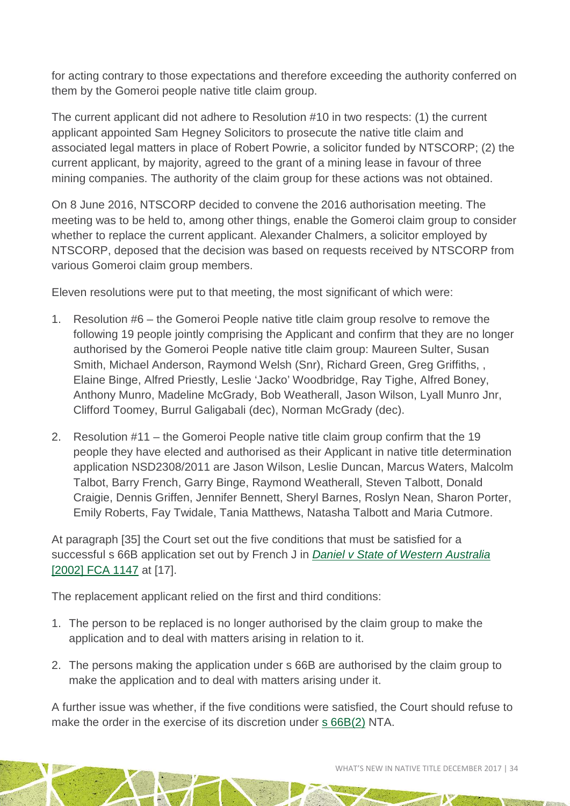for acting contrary to those expectations and therefore exceeding the authority conferred on them by the Gomeroi people native title claim group.

The current applicant did not adhere to Resolution #10 in two respects: (1) the current applicant appointed Sam Hegney Solicitors to prosecute the native title claim and associated legal matters in place of Robert Powrie, a solicitor funded by NTSCORP; (2) the current applicant, by majority, agreed to the grant of a mining lease in favour of three mining companies. The authority of the claim group for these actions was not obtained.

On 8 June 2016, NTSCORP decided to convene the 2016 authorisation meeting. The meeting was to be held to, among other things, enable the Gomeroi claim group to consider whether to replace the current applicant. Alexander Chalmers, a solicitor employed by NTSCORP, deposed that the decision was based on requests received by NTSCORP from various Gomeroi claim group members.

Eleven resolutions were put to that meeting, the most significant of which were:

- 1. Resolution #6 the Gomeroi People native title claim group resolve to remove the following 19 people jointly comprising the Applicant and confirm that they are no longer authorised by the Gomeroi People native title claim group: Maureen Sulter, Susan Smith, Michael Anderson, Raymond Welsh (Snr), Richard Green, Greg Griffiths, , Elaine Binge, Alfred Priestly, Leslie 'Jacko' Woodbridge, Ray Tighe, Alfred Boney, Anthony Munro, Madeline McGrady, Bob Weatherall, Jason Wilson, Lyall Munro Jnr, Clifford Toomey, Burrul Galigabali (dec), Norman McGrady (dec).
- 2. Resolution #11 the Gomeroi People native title claim group confirm that the 19 people they have elected and authorised as their Applicant in native title determination application NSD2308/2011 are Jason Wilson, Leslie Duncan, Marcus Waters, Malcolm Talbot, Barry French, Garry Binge, Raymond Weatherall, Steven Talbott, Donald Craigie, Dennis Griffen, Jennifer Bennett, Sheryl Barnes, Roslyn Nean, Sharon Porter, Emily Roberts, Fay Twidale, Tania Matthews, Natasha Talbott and Maria Cutmore.

At paragraph [35] the Court set out the five conditions that must be satisfied for a successful s 66B application set out by French J in *[Daniel v State of Western Australia](http://www.austlii.edu.au/cgi-bin/viewdoc/au/cases/cth/FCA/2002/1147.html)* [\[2002\] FCA 1147](http://www.austlii.edu.au/cgi-bin/viewdoc/au/cases/cth/FCA/2002/1147.html) at [17].

The replacement applicant relied on the first and third conditions:

- 1. The person to be replaced is no longer authorised by the claim group to make the application and to deal with matters arising in relation to it.
- 2. The persons making the application under s 66B are authorised by the claim group to make the application and to deal with matters arising under it.

A further issue was whether, if the five conditions were satisfied, the Court should refuse to make the order in the exercise of its discretion under [s 66B\(2\)](http://www.austlii.edu.au/cgi-bin/viewdoc/au/legis/cth/consol_act/nta1993147/s66b.html) NTA.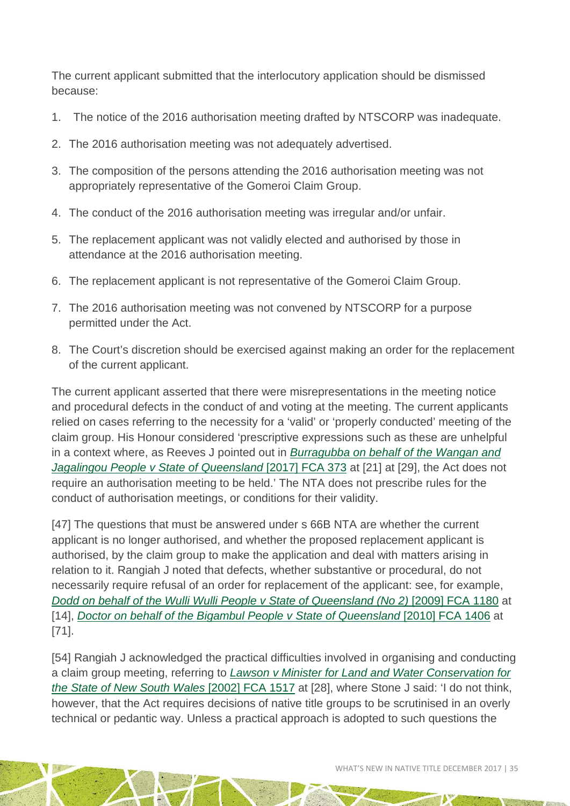The current applicant submitted that the interlocutory application should be dismissed because:

- 1. The notice of the 2016 authorisation meeting drafted by NTSCORP was inadequate.
- 2. The 2016 authorisation meeting was not adequately advertised.
- 3. The composition of the persons attending the 2016 authorisation meeting was not appropriately representative of the Gomeroi Claim Group.
- 4. The conduct of the 2016 authorisation meeting was irregular and/or unfair.
- 5. The replacement applicant was not validly elected and authorised by those in attendance at the 2016 authorisation meeting.
- 6. The replacement applicant is not representative of the Gomeroi Claim Group.
- 7. The 2016 authorisation meeting was not convened by NTSCORP for a purpose permitted under the Act.
- 8. The Court's discretion should be exercised against making an order for the replacement of the current applicant.

The current applicant asserted that there were misrepresentations in the meeting notice and procedural defects in the conduct of and voting at the meeting. The current applicants relied on cases referring to the necessity for a 'valid' or 'properly conducted' meeting of the claim group. His Honour considered 'prescriptive expressions such as these are unhelpful in a context where, as Reeves J pointed out in *[Burragubba on behalf of the Wangan and](http://www.austlii.edu.au/cgi-bin/viewdoc/au/cases/cth/FCA/2017/373.html)  [Jagalingou People v State of Queensland](http://www.austlii.edu.au/cgi-bin/viewdoc/au/cases/cth/FCA/2017/373.html)* [2017] FCA 373 at [21] at [29], the Act does not require an authorisation meeting to be held.' The NTA does not prescribe rules for the conduct of authorisation meetings, or conditions for their validity.

[47] The questions that must be answered under s 66B NTA are whether the current applicant is no longer authorised, and whether the proposed replacement applicant is authorised, by the claim group to make the application and deal with matters arising in relation to it. Rangiah J noted that defects, whether substantive or procedural, do not necessarily require refusal of an order for replacement of the applicant: see, for example, *[Dodd on behalf of the Wulli Wulli People v State of Queensland \(No 2\)](http://www.austlii.edu.au/cgi-bin/viewdoc/au/cases/cth/FCA/2009/1180.html)* [2009] FCA 1180 at [14], *[Doctor on behalf of the Bigambul People v State of Queensland](http://www.austlii.edu.au/cgi-bin/viewdoc/au/cases/cth/FCA/2010/1406.html)* [2010] FCA 1406 at [71].

[54] Rangiah J acknowledged the practical difficulties involved in organising and conducting a claim group meeting, referring to *[Lawson v Minister for Land and Water Conservation for](http://www.austlii.edu.au/cgi-bin/viewdoc/au/cases/cth/FCA/2002/1517.html)  [the State of New South Wales](http://www.austlii.edu.au/cgi-bin/viewdoc/au/cases/cth/FCA/2002/1517.html)* [2002] FCA 1517 at [28], where Stone J said: 'I do not think, however, that the Act requires decisions of native title groups to be scrutinised in an overly technical or pedantic way. Unless a practical approach is adopted to such questions the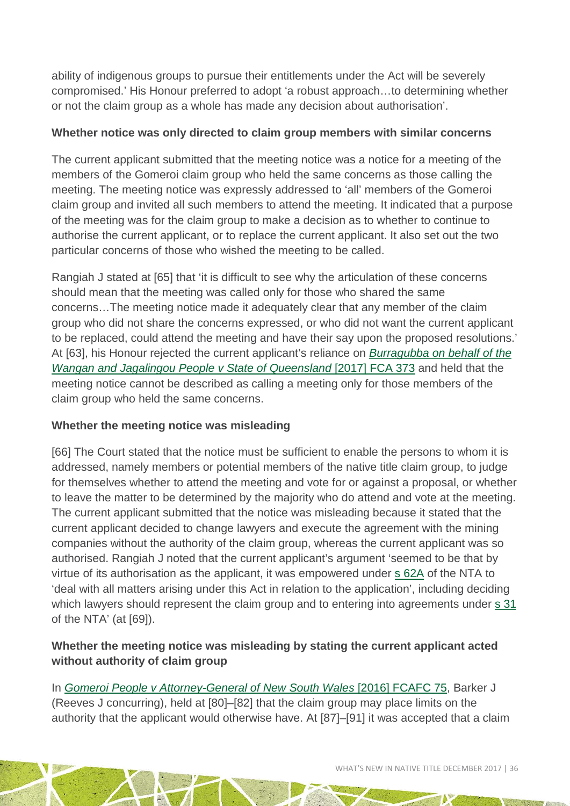ability of indigenous groups to pursue their entitlements under the Act will be severely compromised.' His Honour preferred to adopt 'a robust approach…to determining whether or not the claim group as a whole has made any decision about authorisation'.

#### **Whether notice was only directed to claim group members with similar concerns**

The current applicant submitted that the meeting notice was a notice for a meeting of the members of the Gomeroi claim group who held the same concerns as those calling the meeting. The meeting notice was expressly addressed to 'all' members of the Gomeroi claim group and invited all such members to attend the meeting. It indicated that a purpose of the meeting was for the claim group to make a decision as to whether to continue to authorise the current applicant, or to replace the current applicant. It also set out the two particular concerns of those who wished the meeting to be called.

Rangiah J stated at [65] that 'it is difficult to see why the articulation of these concerns should mean that the meeting was called only for those who shared the same concerns…The meeting notice made it adequately clear that any member of the claim group who did not share the concerns expressed, or who did not want the current applicant to be replaced, could attend the meeting and have their say upon the proposed resolutions.' At [63], his Honour rejected the current applicant's reliance on *[Burragubba on behalf of the](http://www.austlii.edu.au/cgi-bin/viewdoc/au/cases/cth/FCA/2017/373.html)  [Wangan and Jagalingou People v State](http://www.austlii.edu.au/cgi-bin/viewdoc/au/cases/cth/FCA/2017/373.html) of Queensland* [2017] FCA 373 and held that the meeting notice cannot be described as calling a meeting only for those members of the claim group who held the same concerns.

#### **Whether the meeting notice was misleading**

[66] The Court stated that the notice must be sufficient to enable the persons to whom it is addressed, namely members or potential members of the native title claim group, to judge for themselves whether to attend the meeting and vote for or against a proposal, or whether to leave the matter to be determined by the majority who do attend and vote at the meeting. The current applicant submitted that the notice was misleading because it stated that the current applicant decided to change lawyers and execute the agreement with the mining companies without the authority of the claim group, whereas the current applicant was so authorised. Rangiah J noted that the current applicant's argument 'seemed to be that by virtue of its authorisation as the applicant, it was empowered under [s 62A](http://www.austlii.edu.au/cgi-bin/viewdoc/au/legis/cth/consol_act/nta1993147/s62a.html) of the NTA to 'deal with all matters arising under this Act in relation to the application', including deciding which lawyers should represent the claim group and to entering into agreements under [s 31](http://www.austlii.edu.au/cgi-bin/viewdoc/au/legis/cth/consol_act/ea199580/s31.html) of the NTA' (at [69]).

#### **Whether the meeting notice was misleading by stating the current applicant acted without authority of claim group**

In *[Gomeroi People v Attorney-General of New South Wales](http://www.austlii.edu.au/cgi-bin/viewdoc/au/cases/cth/FCAFC/2016/75.html)* [2016] FCAFC 75, Barker J (Reeves J concurring), held at [80]–[82] that the claim group may place limits on the authority that the applicant would otherwise have. At [87]–[91] it was accepted that a claim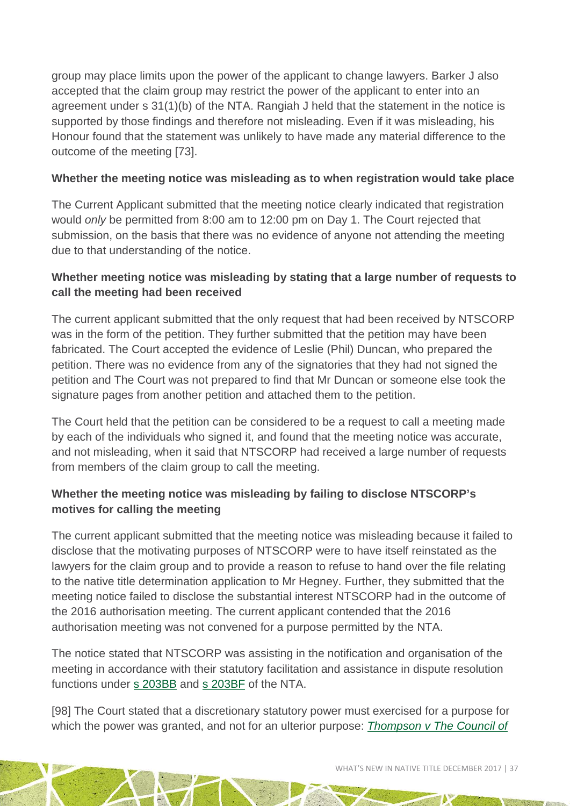group may place limits upon the power of the applicant to change lawyers. Barker J also accepted that the claim group may restrict the power of the applicant to enter into an agreement under s 31(1)(b) of the NTA. Rangiah J held that the statement in the notice is supported by those findings and therefore not misleading. Even if it was misleading, his Honour found that the statement was unlikely to have made any material difference to the outcome of the meeting [73].

#### **Whether the meeting notice was misleading as to when registration would take place**

The Current Applicant submitted that the meeting notice clearly indicated that registration would *only* be permitted from 8:00 am to 12:00 pm on Day 1. The Court rejected that submission, on the basis that there was no evidence of anyone not attending the meeting due to that understanding of the notice.

#### **Whether meeting notice was misleading by stating that a large number of requests to call the meeting had been received**

The current applicant submitted that the only request that had been received by NTSCORP was in the form of the petition. They further submitted that the petition may have been fabricated. The Court accepted the evidence of Leslie (Phil) Duncan, who prepared the petition. There was no evidence from any of the signatories that they had not signed the petition and The Court was not prepared to find that Mr Duncan or someone else took the signature pages from another petition and attached them to the petition.

The Court held that the petition can be considered to be a request to call a meeting made by each of the individuals who signed it, and found that the meeting notice was accurate, and not misleading, when it said that NTSCORP had received a large number of requests from members of the claim group to call the meeting.

#### **Whether the meeting notice was misleading by failing to disclose NTSCORP's motives for calling the meeting**

The current applicant submitted that the meeting notice was misleading because it failed to disclose that the motivating purposes of NTSCORP were to have itself reinstated as the lawyers for the claim group and to provide a reason to refuse to hand over the file relating to the native title determination application to Mr Hegney. Further, they submitted that the meeting notice failed to disclose the substantial interest NTSCORP had in the outcome of the 2016 authorisation meeting. The current applicant contended that the 2016 authorisation meeting was not convened for a purpose permitted by the NTA.

The notice stated that NTSCORP was assisting in the notification and organisation of the meeting in accordance with their statutory facilitation and assistance in dispute resolution functions under [s 203BB](http://www.austlii.edu.au/cgi-bin/viewdoc/au/legis/cth/consol_act/nta1993147/s203bb.html) and [s 203BF](http://www.austlii.edu.au/cgi-bin/viewdoc/au/legis/cth/consol_act/nta1993147/s203bf.html) of the NTA.

[98] The Court stated that a discretionary statutory power must exercised for a purpose for which the power was granted, and not for an ulterior purpose: *[Thompson v The Council of](https://aia-dams-pro.aiatsis.local/alfresco/aos/_aos_nodeid/0a12701e-108e-4227-8b2d-458905ead073/Thompson%20v%20The%20Council%20of%20the%20Municipality%20of%20Randwick%20%5b1950%5d%20HCA%2033)*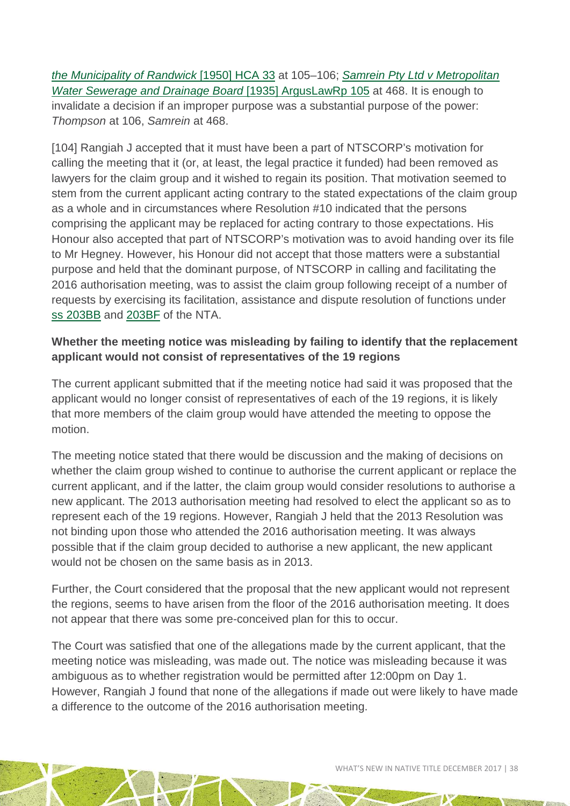*[the Municipality of Randwick](https://aia-dams-pro.aiatsis.local/alfresco/aos/_aos_nodeid/0a12701e-108e-4227-8b2d-458905ead073/Thompson%20v%20The%20Council%20of%20the%20Municipality%20of%20Randwick%20%5b1950%5d%20HCA%2033)* [1950] HCA 33 at 105–106; *[Samrein Pty Ltd v Metropolitan](http://www.austlii.edu.au/cgi-bin/viewdoc/au/cases/cth/ArgusLawRp/1935/105.html)  [Water Sewerage and Drainage Board](http://www.austlii.edu.au/cgi-bin/viewdoc/au/cases/cth/ArgusLawRp/1935/105.html)* [1935] ArgusLawRp 105 at 468. It is enough to invalidate a decision if an improper purpose was a substantial purpose of the power: *Thompson* at 106, *Samrein* at 468.

[104] Rangiah J accepted that it must have been a part of NTSCORP's motivation for calling the meeting that it (or, at least, the legal practice it funded) had been removed as lawyers for the claim group and it wished to regain its position. That motivation seemed to stem from the current applicant acting contrary to the stated expectations of the claim group as a whole and in circumstances where Resolution #10 indicated that the persons comprising the applicant may be replaced for acting contrary to those expectations. His Honour also accepted that part of NTSCORP's motivation was to avoid handing over its file to Mr Hegney. However, his Honour did not accept that those matters were a substantial purpose and held that the dominant purpose, of NTSCORP in calling and facilitating the 2016 authorisation meeting, was to assist the claim group following receipt of a number of requests by exercising its facilitation, assistance and dispute resolution of functions under [ss 203BB](http://www.austlii.edu.au/cgi-bin/viewdoc/au/legis/cth/consol_act/nta1993147/s203bb.html) and [203BF](http://www.austlii.edu.au/cgi-bin/viewdoc/au/legis/cth/consol_act/nta1993147/s203bf.html) of the NTA.

#### **Whether the meeting notice was misleading by failing to identify that the replacement applicant would not consist of representatives of the 19 regions**

The current applicant submitted that if the meeting notice had said it was proposed that the applicant would no longer consist of representatives of each of the 19 regions, it is likely that more members of the claim group would have attended the meeting to oppose the motion.

The meeting notice stated that there would be discussion and the making of decisions on whether the claim group wished to continue to authorise the current applicant or replace the current applicant, and if the latter, the claim group would consider resolutions to authorise a new applicant. The 2013 authorisation meeting had resolved to elect the applicant so as to represent each of the 19 regions. However, Rangiah J held that the 2013 Resolution was not binding upon those who attended the 2016 authorisation meeting. It was always possible that if the claim group decided to authorise a new applicant, the new applicant would not be chosen on the same basis as in 2013.

Further, the Court considered that the proposal that the new applicant would not represent the regions, seems to have arisen from the floor of the 2016 authorisation meeting. It does not appear that there was some pre-conceived plan for this to occur.

The Court was satisfied that one of the allegations made by the current applicant, that the meeting notice was misleading, was made out. The notice was misleading because it was ambiguous as to whether registration would be permitted after 12:00pm on Day 1. However, Rangiah J found that none of the allegations if made out were likely to have made a difference to the outcome of the 2016 authorisation meeting.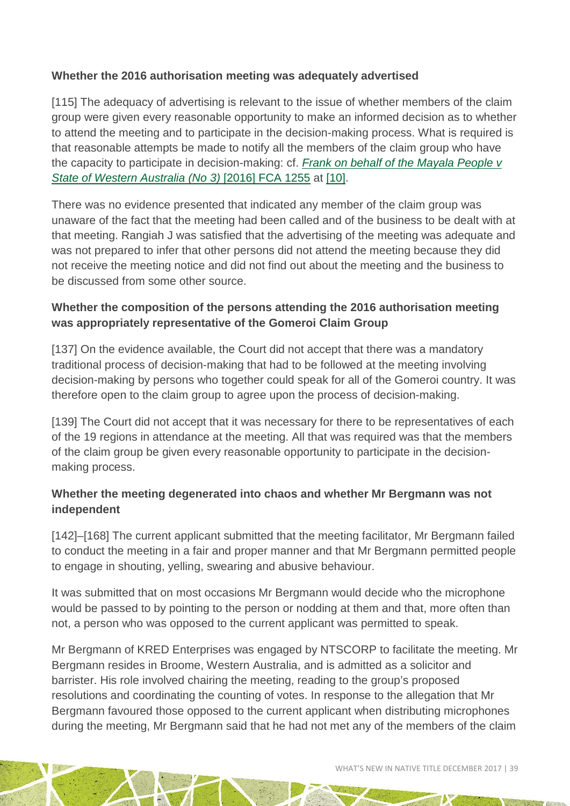#### **Whether the 2016 authorisation meeting was adequately advertised**

[115] The adequacy of advertising is relevant to the issue of whether members of the claim group were given every reasonable opportunity to make an informed decision as to whether to attend the meeting and to participate in the decision-making process. What is required is that reasonable attempts be made to notify all the members of the claim group who have the capacity to participate in decision-making: cf. *[Frank on behalf of the Mayala People v](http://www.austlii.edu.au/cgi-bin/viewdoc/au/cases/cth/FCA/2016/1255.html)  [State of Western Australia \(No 3\)](http://www.austlii.edu.au/cgi-bin/viewdoc/au/cases/cth/FCA/2016/1255.html)* [2016] FCA 1255 at [\[10\].](http://www.austlii.edu.au/cgi-bin/viewdoc/au/cases/cth/FCA/2016/1255.html#para10)

There was no evidence presented that indicated any member of the claim group was unaware of the fact that the meeting had been called and of the business to be dealt with at that meeting. Rangiah J was satisfied that the advertising of the meeting was adequate and was not prepared to infer that other persons did not attend the meeting because they did not receive the meeting notice and did not find out about the meeting and the business to be discussed from some other source.

#### **Whether the composition of the persons attending the 2016 authorisation meeting was appropriately representative of the Gomeroi Claim Group**

[137] On the evidence available, the Court did not accept that there was a mandatory traditional process of decision-making that had to be followed at the meeting involving decision-making by persons who together could speak for all of the Gomeroi country. It was therefore open to the claim group to agree upon the process of decision-making.

[139] The Court did not accept that it was necessary for there to be representatives of each of the 19 regions in attendance at the meeting. All that was required was that the members of the claim group be given every reasonable opportunity to participate in the decisionmaking process.

#### **Whether the meeting degenerated into chaos and whether Mr Bergmann was not independent**

[142]–[168] The current applicant submitted that the meeting facilitator, Mr Bergmann failed to conduct the meeting in a fair and proper manner and that Mr Bergmann permitted people to engage in shouting, yelling, swearing and abusive behaviour.

It was submitted that on most occasions Mr Bergmann would decide who the microphone would be passed to by pointing to the person or nodding at them and that, more often than not, a person who was opposed to the current applicant was permitted to speak.

Mr Bergmann of KRED Enterprises was engaged by NTSCORP to facilitate the meeting. Mr Bergmann resides in Broome, Western Australia, and is admitted as a solicitor and barrister. His role involved chairing the meeting, reading to the group's proposed resolutions and coordinating the counting of votes. In response to the allegation that Mr Bergmann favoured those opposed to the current applicant when distributing microphones during the meeting, Mr Bergmann said that he had not met any of the members of the claim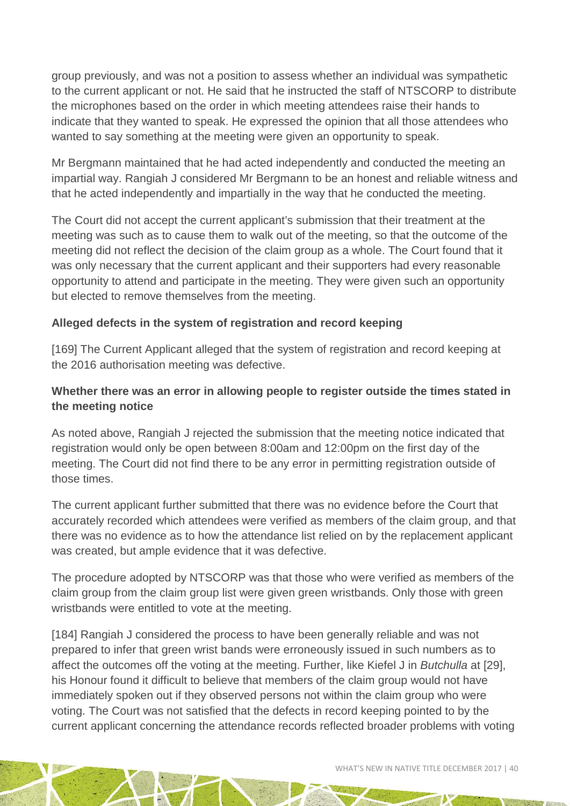group previously, and was not a position to assess whether an individual was sympathetic to the current applicant or not. He said that he instructed the staff of NTSCORP to distribute the microphones based on the order in which meeting attendees raise their hands to indicate that they wanted to speak. He expressed the opinion that all those attendees who wanted to say something at the meeting were given an opportunity to speak.

Mr Bergmann maintained that he had acted independently and conducted the meeting an impartial way. Rangiah J considered Mr Bergmann to be an honest and reliable witness and that he acted independently and impartially in the way that he conducted the meeting.

The Court did not accept the current applicant's submission that their treatment at the meeting was such as to cause them to walk out of the meeting, so that the outcome of the meeting did not reflect the decision of the claim group as a whole. The Court found that it was only necessary that the current applicant and their supporters had every reasonable opportunity to attend and participate in the meeting. They were given such an opportunity but elected to remove themselves from the meeting.

#### **Alleged defects in the system of registration and record keeping**

[169] The Current Applicant alleged that the system of registration and record keeping at the 2016 authorisation meeting was defective.

#### **Whether there was an error in allowing people to register outside the times stated in the meeting notice**

As noted above, Rangiah J rejected the submission that the meeting notice indicated that registration would only be open between 8:00am and 12:00pm on the first day of the meeting. The Court did not find there to be any error in permitting registration outside of those times.

The current applicant further submitted that there was no evidence before the Court that accurately recorded which attendees were verified as members of the claim group, and that there was no evidence as to how the attendance list relied on by the replacement applicant was created, but ample evidence that it was defective.

The procedure adopted by NTSCORP was that those who were verified as members of the claim group from the claim group list were given green wristbands. Only those with green wristbands were entitled to vote at the meeting.

[184] Rangiah J considered the process to have been generally reliable and was not prepared to infer that green wrist bands were erroneously issued in such numbers as to affect the outcomes off the voting at the meeting. Further, like Kiefel J in *Butchulla* at [29], his Honour found it difficult to believe that members of the claim group would not have immediately spoken out if they observed persons not within the claim group who were voting. The Court was not satisfied that the defects in record keeping pointed to by the current applicant concerning the attendance records reflected broader problems with voting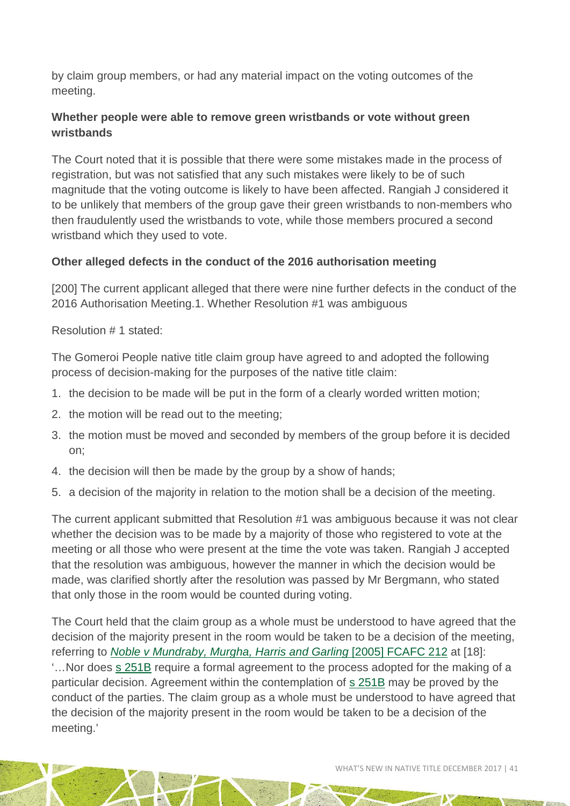by claim group members, or had any material impact on the voting outcomes of the meeting.

#### **Whether people were able to remove green wristbands or vote without green wristbands**

The Court noted that it is possible that there were some mistakes made in the process of registration, but was not satisfied that any such mistakes were likely to be of such magnitude that the voting outcome is likely to have been affected. Rangiah J considered it to be unlikely that members of the group gave their green wristbands to non-members who then fraudulently used the wristbands to vote, while those members procured a second wristband which they used to vote.

#### **Other alleged defects in the conduct of the 2016 authorisation meeting**

[200] The current applicant alleged that there were nine further defects in the conduct of the 2016 Authorisation Meeting.1. Whether Resolution #1 was ambiguous

Resolution # 1 stated:

The Gomeroi People native title claim group have agreed to and adopted the following process of decision-making for the purposes of the native title claim:

- 1. the decision to be made will be put in the form of a clearly worded written motion;
- 2. the motion will be read out to the meeting;
- 3. the motion must be moved and seconded by members of the group before it is decided on;
- 4. the decision will then be made by the group by a show of hands;
- 5. a decision of the majority in relation to the motion shall be a decision of the meeting.

The current applicant submitted that Resolution #1 was ambiguous because it was not clear whether the decision was to be made by a majority of those who registered to vote at the meeting or all those who were present at the time the vote was taken. Rangiah J accepted that the resolution was ambiguous, however the manner in which the decision would be made, was clarified shortly after the resolution was passed by Mr Bergmann, who stated that only those in the room would be counted during voting.

The Court held that the claim group as a whole must be understood to have agreed that the decision of the majority present in the room would be taken to be a decision of the meeting, referring to *[Noble v Mundraby, Murgha, Harris and Garling](http://www.austlii.edu.au/cgi-bin/viewdoc/au/cases/cth/FCAFC/2005/212.html)* [2005] FCAFC 212 at [18]: '…Nor does [s 251B](http://www.austlii.edu.au/cgi-bin/viewdoc/au/legis/cth/consol_act/nta1993147/s251b.html) require a formal agreement to the process adopted for the making of a particular decision. Agreement within the contemplation of [s 251B](http://www.austlii.edu.au/cgi-bin/viewdoc/au/legis/cth/consol_act/nta1993147/s251b.html) may be proved by the conduct of the parties. The claim group as a whole must be understood to have agreed that the decision of the majority present in the room would be taken to be a decision of the meeting.'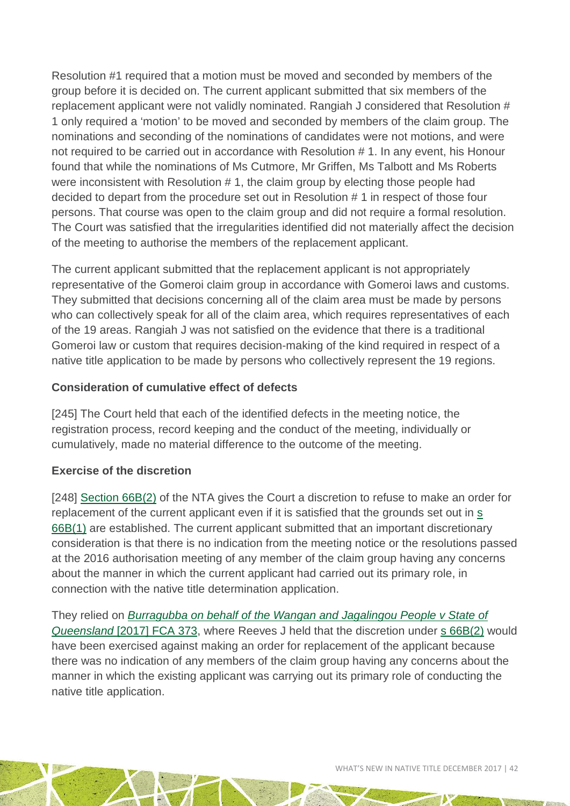Resolution #1 required that a motion must be moved and seconded by members of the group before it is decided on. The current applicant submitted that six members of the replacement applicant were not validly nominated. Rangiah J considered that Resolution # 1 only required a 'motion' to be moved and seconded by members of the claim group. The nominations and seconding of the nominations of candidates were not motions, and were not required to be carried out in accordance with Resolution # 1. In any event, his Honour found that while the nominations of Ms Cutmore, Mr Griffen, Ms Talbott and Ms Roberts were inconsistent with Resolution # 1, the claim group by electing those people had decided to depart from the procedure set out in Resolution # 1 in respect of those four persons. That course was open to the claim group and did not require a formal resolution. The Court was satisfied that the irregularities identified did not materially affect the decision of the meeting to authorise the members of the replacement applicant.

The current applicant submitted that the replacement applicant is not appropriately representative of the Gomeroi claim group in accordance with Gomeroi laws and customs. They submitted that decisions concerning all of the claim area must be made by persons who can collectively speak for all of the claim area, which requires representatives of each of the 19 areas. Rangiah J was not satisfied on the evidence that there is a traditional Gomeroi law or custom that requires decision-making of the kind required in respect of a native title application to be made by persons who collectively represent the 19 regions.

#### **Consideration of cumulative effect of defects**

[245] The Court held that each of the identified defects in the meeting notice, the registration process, record keeping and the conduct of the meeting, individually or cumulatively, made no material difference to the outcome of the meeting.

#### **Exercise of the discretion**

[248] [Section 66B\(2\)](http://www.austlii.edu.au/cgi-bin/viewdoc/au/legis/cth/consol_act/nta1993147/s66b.html) of the NTA gives the Court a discretion to refuse to make an order for replacement of the current applicant even if it is satisfied that the grounds set out in [s](http://www.austlii.edu.au/cgi-bin/viewdoc/au/legis/cth/consol_act/nta1993147/s66b.html)  [66B\(1\)](http://www.austlii.edu.au/cgi-bin/viewdoc/au/legis/cth/consol_act/nta1993147/s66b.html) are established. The current applicant submitted that an important discretionary consideration is that there is no indication from the meeting notice or the resolutions passed at the 2016 authorisation meeting of any member of the claim group having any concerns about the manner in which the current applicant had carried out its primary role, in connection with the native title determination application.

They relied on *[Burragubba on behalf of the Wangan and Jagalingou People v State of](http://www.austlii.edu.au/cgi-bin/viewdoc/au/cases/cth/FCA/2017/373.html)  Queensland* [\[2017\] FCA 373,](http://www.austlii.edu.au/cgi-bin/viewdoc/au/cases/cth/FCA/2017/373.html) where Reeves J held that the discretion under [s 66B\(2\)](http://www.austlii.edu.au/cgi-bin/viewdoc/au/legis/cth/consol_act/nta1993147/s66b.html) would have been exercised against making an order for replacement of the applicant because there was no indication of any members of the claim group having any concerns about the manner in which the existing applicant was carrying out its primary role of conducting the native title application.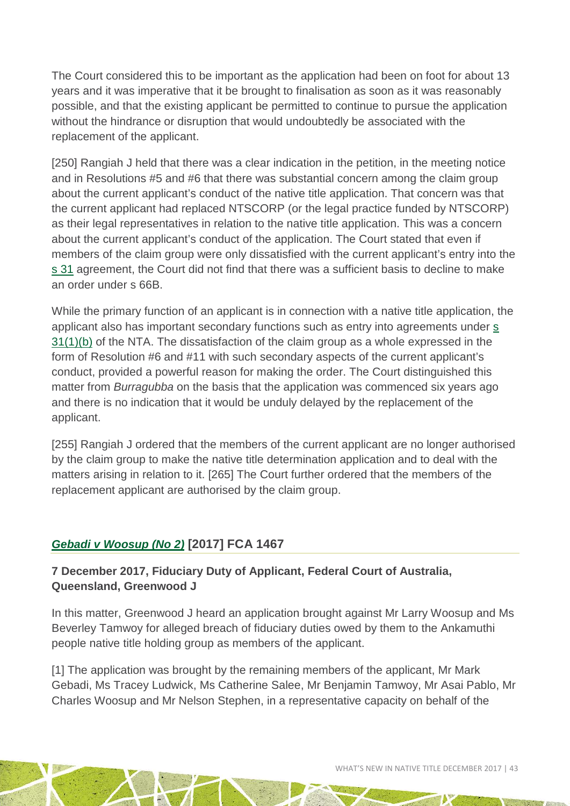The Court considered this to be important as the application had been on foot for about 13 years and it was imperative that it be brought to finalisation as soon as it was reasonably possible, and that the existing applicant be permitted to continue to pursue the application without the hindrance or disruption that would undoubtedly be associated with the replacement of the applicant.

[250] Rangiah J held that there was a clear indication in the petition, in the meeting notice and in Resolutions #5 and #6 that there was substantial concern among the claim group about the current applicant's conduct of the native title application. That concern was that the current applicant had replaced NTSCORP (or the legal practice funded by NTSCORP) as their legal representatives in relation to the native title application. This was a concern about the current applicant's conduct of the application. The Court stated that even if members of the claim group were only dissatisfied with the current applicant's entry into the [s 31](http://www.austlii.edu.au/cgi-bin/viewdoc/au/legis/cth/consol_act/nta1993147/s31.html) agreement, the Court did not find that there was a sufficient basis to decline to make an order under s 66B.

While the primary function of an applicant is in connection with a native title application, the applicant also has important secondary functions such as entry into agreements under [s](http://www.austlii.edu.au/cgi-bin/viewdoc/au/legis/cth/consol_act/nta1993147/s31.html)  [31\(1\)\(b\)](http://www.austlii.edu.au/cgi-bin/viewdoc/au/legis/cth/consol_act/nta1993147/s31.html) of the NTA. The dissatisfaction of the claim group as a whole expressed in the form of Resolution #6 and #11 with such secondary aspects of the current applicant's conduct, provided a powerful reason for making the order. The Court distinguished this matter from *Burragubba* on the basis that the application was commenced six years ago and there is no indication that it would be unduly delayed by the replacement of the applicant.

[255] Rangiah J ordered that the members of the current applicant are no longer authorised by the claim group to make the native title determination application and to deal with the matters arising in relation to it. [265] The Court further ordered that the members of the replacement applicant are authorised by the claim group.

#### *[Gebadi v Woosup \(No 2\)](https://www.austlii.edu.au/cgi-bin/viewdoc/au/cases/cth/FCA/2017/1467.html)* **[2017] FCA 1467**

#### **7 December 2017, Fiduciary Duty of Applicant, Federal Court of Australia, Queensland, Greenwood J**

In this matter, Greenwood J heard an application brought against Mr Larry Woosup and Ms Beverley Tamwoy for alleged breach of fiduciary duties owed by them to the Ankamuthi people native title holding group as members of the applicant.

[1] The application was brought by the remaining members of the applicant, Mr Mark Gebadi, Ms Tracey Ludwick, Ms Catherine Salee, Mr Benjamin Tamwoy, Mr Asai Pablo, Mr Charles Woosup and Mr Nelson Stephen, in a representative capacity on behalf of the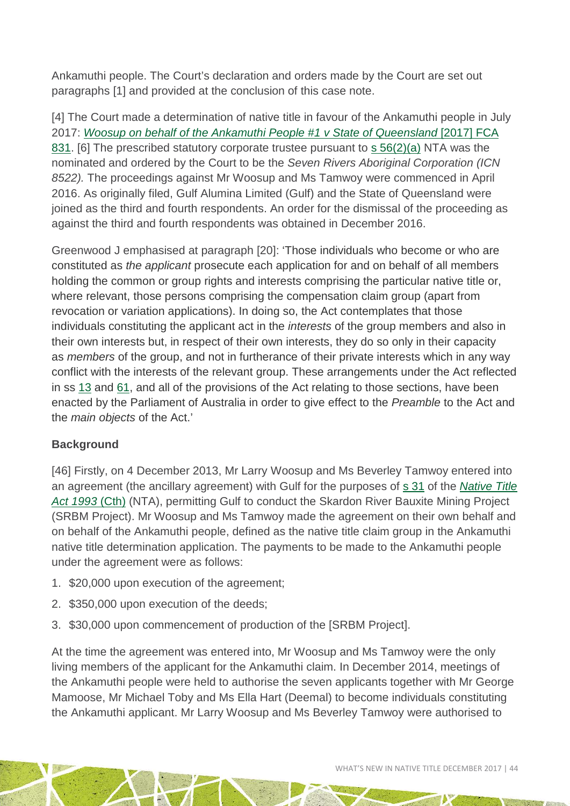Ankamuthi people. The Court's declaration and orders made by the Court are set out paragraphs [1] and provided at the conclusion of this case note.

[4] The Court made a determination of native title in favour of the Ankamuthi people in July 2017: *[Woosup on behalf of the Ankamuthi People #1 v State of Queensland](https://www.austlii.edu.au/cgi-bin/viewdoc/au/cases/cth/FCA/2017/831.html)* [2017] FCA [831.](https://www.austlii.edu.au/cgi-bin/viewdoc/au/cases/cth/FCA/2017/831.html) [6] The prescribed statutory corporate trustee pursuant to [s 56\(2\)\(a\)](http://www8.austlii.edu.au/cgi-bin/viewdoc/au/legis/cth/consol_act/nta1993147/s56.html) NTA was the nominated and ordered by the Court to be the *Seven Rivers Aboriginal Corporation (ICN 8522).* The proceedings against Mr Woosup and Ms Tamwoy were commenced in April 2016. As originally filed, Gulf Alumina Limited (Gulf) and the State of Queensland were joined as the third and fourth respondents. An order for the dismissal of the proceeding as against the third and fourth respondents was obtained in December 2016.

Greenwood J emphasised at paragraph [20]: 'Those individuals who become or who are constituted as *the applicant* prosecute each application for and on behalf of all members holding the common or group rights and interests comprising the particular native title or, where relevant, those persons comprising the compensation claim group (apart from revocation or variation applications). In doing so, the Act contemplates that those individuals constituting the applicant act in the *interests* of the group members and also in their own interests but, in respect of their own interests, they do so only in their capacity as *members* of the group, and not in furtherance of their private interests which in any way conflict with the interests of the relevant group. These arrangements under the Act reflected in ss [13](http://www8.austlii.edu.au/cgi-bin/viewdoc/au/legis/cth/consol_act/nta1993147/s13.html) and [61,](http://www8.austlii.edu.au/cgi-bin/viewdoc/au/legis/cth/consol_act/nta1993147/s61.html) and all of the provisions of the Act relating to those sections, have been enacted by the Parliament of Australia in order to give effect to the *Preamble* to the Act and the *main objects* of the Act.'

#### **Background**

[46] Firstly, on 4 December 2013, Mr Larry Woosup and Ms Beverley Tamwoy entered into an agreement (the ancillary agreement) with Gulf for the purposes of [s 31](http://www8.austlii.edu.au/cgi-bin/viewdoc/au/legis/cth/consol_act/nta1993147/s31.html) of the *[Native Title](http://www8.austlii.edu.au/cgi-bin/viewdb/au/legis/cth/consol_act/nta1993147/)  [Act 1993](http://www8.austlii.edu.au/cgi-bin/viewdb/au/legis/cth/consol_act/nta1993147/)* (Cth) (NTA), permitting Gulf to conduct the Skardon River Bauxite Mining Project (SRBM Project). Mr Woosup and Ms Tamwoy made the agreement on their own behalf and on behalf of the Ankamuthi people, defined as the native title claim group in the Ankamuthi native title determination application. The payments to be made to the Ankamuthi people under the agreement were as follows:

- 1. \$20,000 upon execution of the agreement;
- 2. \$350,000 upon execution of the deeds;
- 3. \$30,000 upon commencement of production of the [SRBM Project].

At the time the agreement was entered into, Mr Woosup and Ms Tamwoy were the only living members of the applicant for the Ankamuthi claim. In December 2014, meetings of the Ankamuthi people were held to authorise the seven applicants together with Mr George Mamoose, Mr Michael Toby and Ms Ella Hart (Deemal) to become individuals constituting the Ankamuthi applicant. Mr Larry Woosup and Ms Beverley Tamwoy were authorised to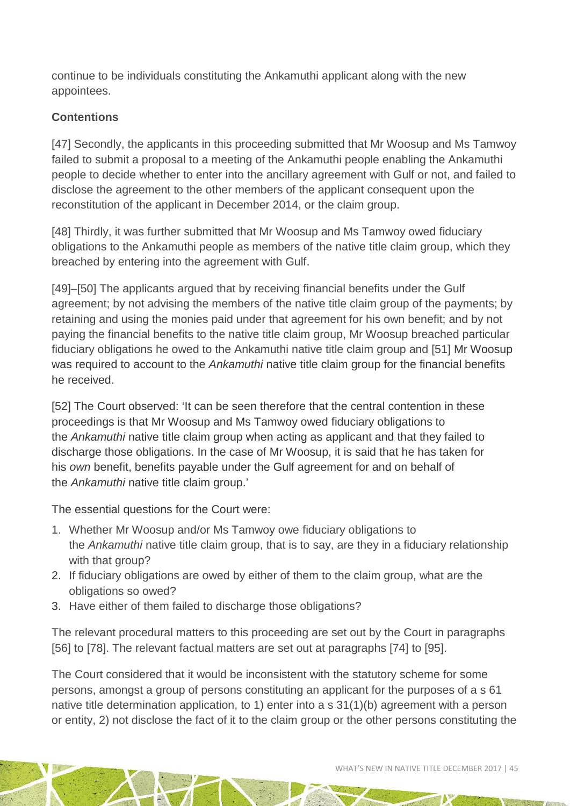continue to be individuals constituting the Ankamuthi applicant along with the new appointees.

#### **Contentions**

[47] Secondly, the applicants in this proceeding submitted that Mr Woosup and Ms Tamwoy failed to submit a proposal to a meeting of the Ankamuthi people enabling the Ankamuthi people to decide whether to enter into the ancillary agreement with Gulf or not, and failed to disclose the agreement to the other members of the applicant consequent upon the reconstitution of the applicant in December 2014, or the claim group.

[48] Thirdly, it was further submitted that Mr Woosup and Ms Tamwoy owed fiduciary obligations to the Ankamuthi people as members of the native title claim group, which they breached by entering into the agreement with Gulf.

[49]–[50] The applicants argued that by receiving financial benefits under the Gulf agreement; by not advising the members of the native title claim group of the payments; by retaining and using the monies paid under that agreement for his own benefit; and by not paying the financial benefits to the native title claim group, Mr Woosup breached particular fiduciary obligations he owed to the Ankamuthi native title claim group and [51] Mr Woosup was required to account to the *Ankamuthi* native title claim group for the financial benefits he received.

[52] The Court observed: 'It can be seen therefore that the central contention in these proceedings is that Mr Woosup and Ms Tamwoy owed fiduciary obligations to the *Ankamuthi* native title claim group when acting as applicant and that they failed to discharge those obligations. In the case of Mr Woosup, it is said that he has taken for his *own* benefit, benefits payable under the Gulf agreement for and on behalf of the *Ankamuthi* native title claim group.'

The essential questions for the Court were:

- 1. Whether Mr Woosup and/or Ms Tamwoy owe fiduciary obligations to the *Ankamuthi* native title claim group, that is to say, are they in a fiduciary relationship with that group?
- 2. If fiduciary obligations are owed by either of them to the claim group, what are the obligations so owed?
- 3. Have either of them failed to discharge those obligations?

The relevant procedural matters to this proceeding are set out by the Court in paragraphs [56] to [78]. The relevant factual matters are set out at paragraphs [74] to [95].

The Court considered that it would be inconsistent with the statutory scheme for some persons, amongst a group of persons constituting an applicant for the purposes of a s 61 native title determination application, to 1) enter into a s 31(1)(b) agreement with a person or entity, 2) not disclose the fact of it to the claim group or the other persons constituting the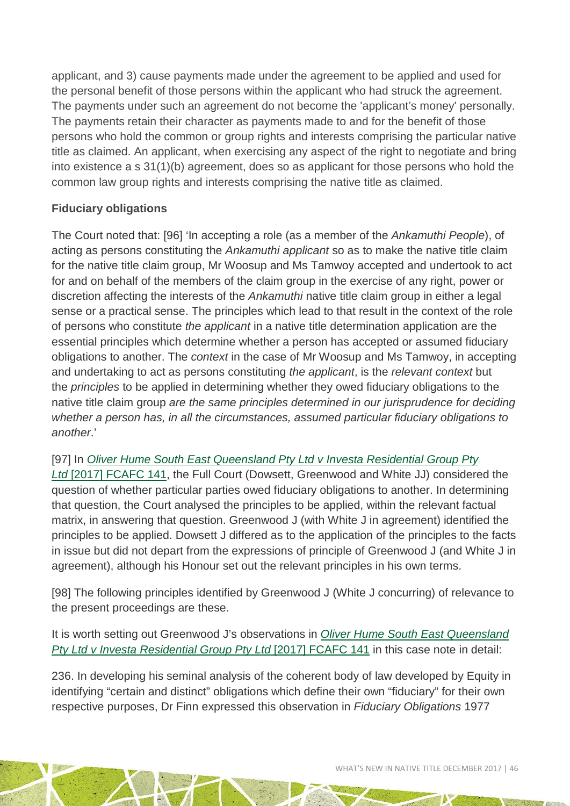applicant, and 3) cause payments made under the agreement to be applied and used for the personal benefit of those persons within the applicant who had struck the agreement. The payments under such an agreement do not become the 'applicant's money' personally. The payments retain their character as payments made to and for the benefit of those persons who hold the common or group rights and interests comprising the particular native title as claimed. An applicant, when exercising any aspect of the right to negotiate and bring into existence a s 31(1)(b) agreement, does so as applicant for those persons who hold the common law group rights and interests comprising the native title as claimed.

#### **Fiduciary obligations**

The Court noted that: [96] 'In accepting a role (as a member of the *Ankamuthi People*), of acting as persons constituting the *Ankamuthi applicant* so as to make the native title claim for the native title claim group, Mr Woosup and Ms Tamwoy accepted and undertook to act for and on behalf of the members of the claim group in the exercise of any right, power or discretion affecting the interests of the *Ankamuthi* native title claim group in either a legal sense or a practical sense. The principles which lead to that result in the context of the role of persons who constitute *the applicant* in a native title determination application are the essential principles which determine whether a person has accepted or assumed fiduciary obligations to another. The *context* in the case of Mr Woosup and Ms Tamwoy, in accepting and undertaking to act as persons constituting *the applicant*, is the *relevant context* but the *principles* to be applied in determining whether they owed fiduciary obligations to the native title claim group *are the same principles determined in our jurisprudence for deciding whether a person has, in all the circumstances, assumed particular fiduciary obligations to another*.'

[97] In *[Oliver Hume South East Queensland Pty Ltd v Investa Residential Group Pty](https://www.austlii.edu.au/cgi-bin/viewdoc/au/cases/cth/FCAFC/2017/141.html)  Ltd* [2017] [FCAFC 141,](https://www.austlii.edu.au/cgi-bin/viewdoc/au/cases/cth/FCAFC/2017/141.html) the Full Court (Dowsett, Greenwood and White JJ) considered the question of whether particular parties owed fiduciary obligations to another. In determining that question, the Court analysed the principles to be applied, within the relevant factual matrix, in answering that question. Greenwood J (with White J in agreement) identified the principles to be applied. Dowsett J differed as to the application of the principles to the facts in issue but did not depart from the expressions of principle of Greenwood J (and White J in agreement), although his Honour set out the relevant principles in his own terms.

[98] The following principles identified by Greenwood J (White J concurring) of relevance to the present proceedings are these.

It is worth setting out Greenwood J's observations in *[Oliver Hume South East Queensland](https://www.austlii.edu.au/cgi-bin/viewdoc/au/cases/cth/FCAFC/2017/141.html)  [Pty Ltd v Investa Residential Group Pty Ltd](https://www.austlii.edu.au/cgi-bin/viewdoc/au/cases/cth/FCAFC/2017/141.html)* [2017] FCAFC 141 in this case note in detail:

236. In developing his seminal analysis of the coherent body of law developed by Equity in identifying "certain and distinct" obligations which define their own "fiduciary" for their own respective purposes, Dr Finn expressed this observation in *Fiduciary Obligations* 1977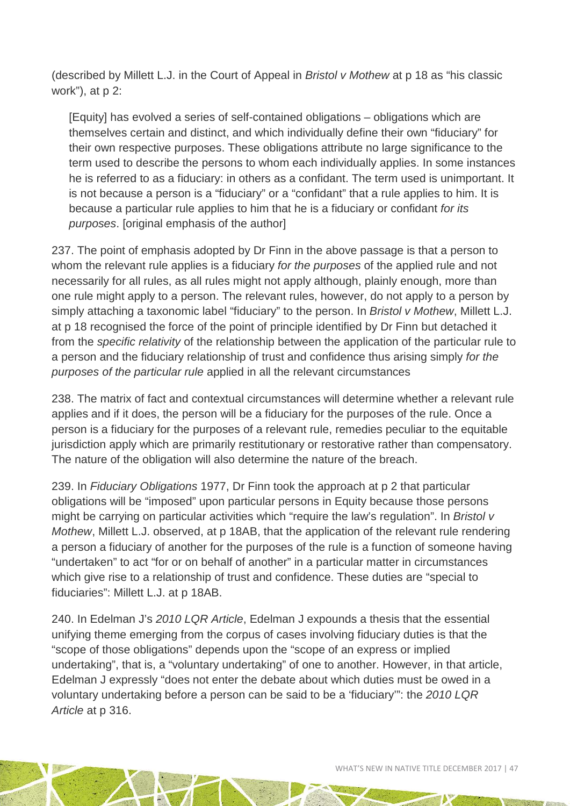(described by Millett L.J. in the Court of Appeal in *Bristol v Mothew* at p 18 as "his classic work"), at p 2:

[Equity] has evolved a series of self-contained obligations – obligations which are themselves certain and distinct, and which individually define their own "fiduciary" for their own respective purposes. These obligations attribute no large significance to the term used to describe the persons to whom each individually applies. In some instances he is referred to as a fiduciary: in others as a confidant. The term used is unimportant. It is not because a person is a "fiduciary" or a "confidant" that a rule applies to him. It is because a particular rule applies to him that he is a fiduciary or confidant *for its purposes*. [original emphasis of the author]

237. The point of emphasis adopted by Dr Finn in the above passage is that a person to whom the relevant rule applies is a fiduciary *for the purposes* of the applied rule and not necessarily for all rules, as all rules might not apply although, plainly enough, more than one rule might apply to a person. The relevant rules, however, do not apply to a person by simply attaching a taxonomic label "fiduciary" to the person. In *Bristol v Mothew*, Millett L.J. at p 18 recognised the force of the point of principle identified by Dr Finn but detached it from the *specific relativity* of the relationship between the application of the particular rule to a person and the fiduciary relationship of trust and confidence thus arising simply *for the purposes of the particular rule* applied in all the relevant circumstances

238. The matrix of fact and contextual circumstances will determine whether a relevant rule applies and if it does, the person will be a fiduciary for the purposes of the rule. Once a person is a fiduciary for the purposes of a relevant rule, remedies peculiar to the equitable jurisdiction apply which are primarily restitutionary or restorative rather than compensatory. The nature of the obligation will also determine the nature of the breach.

239. In *Fiduciary Obligations* 1977, Dr Finn took the approach at p 2 that particular obligations will be "imposed" upon particular persons in Equity because those persons might be carrying on particular activities which "require the law's regulation". In *Bristol v Mothew*, Millett L.J. observed, at p 18AB, that the application of the relevant rule rendering a person a fiduciary of another for the purposes of the rule is a function of someone having "undertaken" to act "for or on behalf of another" in a particular matter in circumstances which give rise to a relationship of trust and confidence. These duties are "special to fiduciaries": Millett L.J. at p 18AB.

240. In Edelman J's *2010 LQR Article*, Edelman J expounds a thesis that the essential unifying theme emerging from the corpus of cases involving fiduciary duties is that the "scope of those obligations" depends upon the "scope of an express or implied undertaking", that is, a "voluntary undertaking" of one to another. However, in that article, Edelman J expressly "does not enter the debate about which duties must be owed in a voluntary undertaking before a person can be said to be a 'fiduciary'": the *2010 LQR Article* at p 316.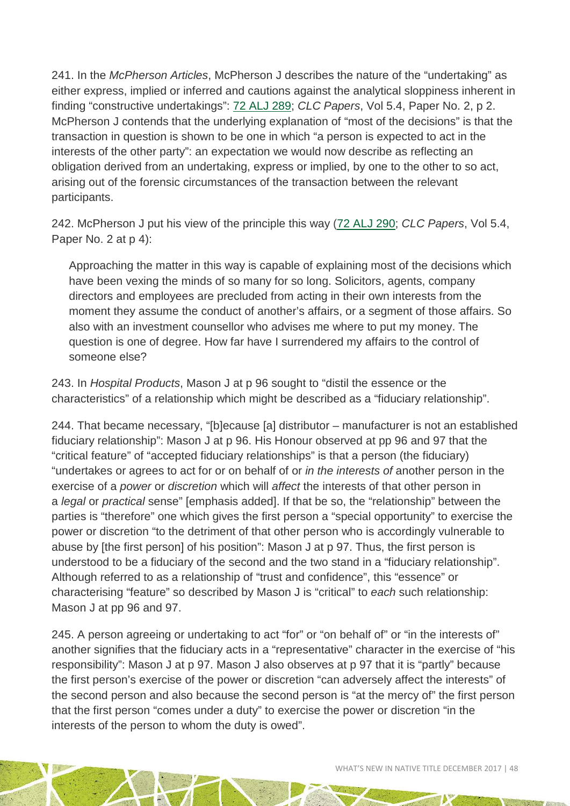241. In the *McPherson Articles*, McPherson J describes the nature of the "undertaking" as either express, implied or inferred and cautions against the analytical sloppiness inherent in finding "constructive undertakings": [72 ALJ 289;](https://www.austlii.edu.au/cgi-bin/LawCite?cit=72%20Australian%20Law%20Journal%20289) *CLC Papers*, Vol 5.4, Paper No. 2, p 2. McPherson J contends that the underlying explanation of "most of the decisions" is that the transaction in question is shown to be one in which "a person is expected to act in the interests of the other party": an expectation we would now describe as reflecting an obligation derived from an undertaking, express or implied, by one to the other to so act, arising out of the forensic circumstances of the transaction between the relevant participants.

242. McPherson J put his view of the principle this way [\(72 ALJ 290;](https://www.austlii.edu.au/cgi-bin/LawCite?cit=72%20Australian%20Law%20Journal%20290) *CLC Papers*, Vol 5.4, Paper No. 2 at p 4):

Approaching the matter in this way is capable of explaining most of the decisions which have been vexing the minds of so many for so long. Solicitors, agents, company directors and employees are precluded from acting in their own interests from the moment they assume the conduct of another's affairs, or a segment of those affairs. So also with an investment counsellor who advises me where to put my money. The question is one of degree. How far have I surrendered my affairs to the control of someone else?

243. In *Hospital Products*, Mason J at p 96 sought to "distil the essence or the characteristics" of a relationship which might be described as a "fiduciary relationship".

244. That became necessary, "[b]ecause [a] distributor – manufacturer is not an established fiduciary relationship": Mason J at p 96. His Honour observed at pp 96 and 97 that the "critical feature" of "accepted fiduciary relationships" is that a person (the fiduciary) "undertakes or agrees to act for or on behalf of or *in the interests of* another person in the exercise of a *power* or *discretion* which will *affect* the interests of that other person in a *legal* or *practical* sense" [emphasis added]. If that be so, the "relationship" between the parties is "therefore" one which gives the first person a "special opportunity" to exercise the power or discretion "to the detriment of that other person who is accordingly vulnerable to abuse by [the first person] of his position": Mason J at p 97. Thus, the first person is understood to be a fiduciary of the second and the two stand in a "fiduciary relationship". Although referred to as a relationship of "trust and confidence", this "essence" or characterising "feature" so described by Mason J is "critical" to *each* such relationship: Mason J at pp 96 and 97.

245. A person agreeing or undertaking to act "for" or "on behalf of" or "in the interests of" another signifies that the fiduciary acts in a "representative" character in the exercise of "his responsibility": Mason J at p 97. Mason J also observes at p 97 that it is "partly" because the first person's exercise of the power or discretion "can adversely affect the interests" of the second person and also because the second person is "at the mercy of" the first person that the first person "comes under a duty" to exercise the power or discretion "in the interests of the person to whom the duty is owed".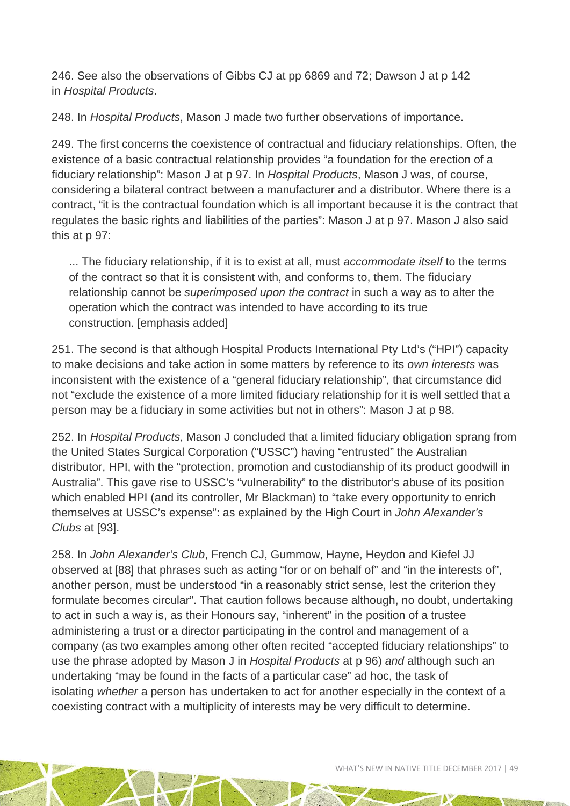246. See also the observations of Gibbs CJ at pp 6869 and 72; Dawson J at p 142 in *Hospital Products*.

248. In *Hospital Products*, Mason J made two further observations of importance.

249. The first concerns the coexistence of contractual and fiduciary relationships. Often, the existence of a basic contractual relationship provides "a foundation for the erection of a fiduciary relationship": Mason J at p 97. In *Hospital Products*, Mason J was, of course, considering a bilateral contract between a manufacturer and a distributor. Where there is a contract, "it is the contractual foundation which is all important because it is the contract that regulates the basic rights and liabilities of the parties": Mason J at p 97. Mason J also said this at p 97:

... The fiduciary relationship, if it is to exist at all, must *accommodate itself* to the terms of the contract so that it is consistent with, and conforms to, them. The fiduciary relationship cannot be *superimposed upon the contract* in such a way as to alter the operation which the contract was intended to have according to its true construction. [emphasis added]

251. The second is that although Hospital Products International Pty Ltd's ("HPI") capacity to make decisions and take action in some matters by reference to its *own interests* was inconsistent with the existence of a "general fiduciary relationship", that circumstance did not "exclude the existence of a more limited fiduciary relationship for it is well settled that a person may be a fiduciary in some activities but not in others": Mason J at p 98.

252. In *Hospital Products*, Mason J concluded that a limited fiduciary obligation sprang from the United States Surgical Corporation ("USSC") having "entrusted" the Australian distributor, HPI, with the "protection, promotion and custodianship of its product goodwill in Australia". This gave rise to USSC's "vulnerability" to the distributor's abuse of its position which enabled HPI (and its controller, Mr Blackman) to "take every opportunity to enrich themselves at USSC's expense": as explained by the High Court in *John Alexander's Clubs* at [93].

258. In *John Alexander's Club*, French CJ, Gummow, Hayne, Heydon and Kiefel JJ observed at [88] that phrases such as acting "for or on behalf of" and "in the interests of", another person, must be understood "in a reasonably strict sense, lest the criterion they formulate becomes circular". That caution follows because although, no doubt, undertaking to act in such a way is, as their Honours say, "inherent" in the position of a trustee administering a trust or a director participating in the control and management of a company (as two examples among other often recited "accepted fiduciary relationships" to use the phrase adopted by Mason J in *Hospital Products* at p 96) *and* although such an undertaking "may be found in the facts of a particular case" ad hoc, the task of isolating *whether* a person has undertaken to act for another especially in the context of a coexisting contract with a multiplicity of interests may be very difficult to determine.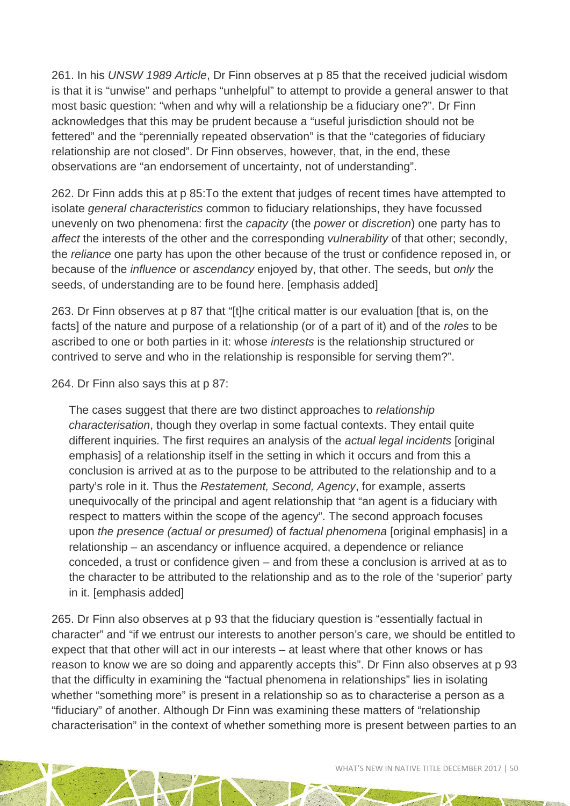261. In his *UNSW 1989 Article*, Dr Finn observes at p 85 that the received judicial wisdom is that it is "unwise" and perhaps "unhelpful" to attempt to provide a general answer to that most basic question: "when and why will a relationship be a fiduciary one?". Dr Finn acknowledges that this may be prudent because a "useful jurisdiction should not be fettered" and the "perennially repeated observation" is that the "categories of fiduciary relationship are not closed". Dr Finn observes, however, that, in the end, these observations are "an endorsement of uncertainty, not of understanding".

262. Dr Finn adds this at p 85:To the extent that judges of recent times have attempted to isolate *general characteristics* common to fiduciary relationships, they have focussed unevenly on two phenomena: first the *capacity* (the *power* or *discretion*) one party has to *affect* the interests of the other and the corresponding *vulnerability* of that other; secondly, the *reliance* one party has upon the other because of the trust or confidence reposed in, or because of the *influence* or *ascendancy* enjoyed by, that other. The seeds, but *only* the seeds, of understanding are to be found here. [emphasis added]

263. Dr Finn observes at p 87 that "[t]he critical matter is our evaluation [that is, on the facts] of the nature and purpose of a relationship (or of a part of it) and of the *roles* to be ascribed to one or both parties in it: whose *interests* is the relationship structured or contrived to serve and who in the relationship is responsible for serving them?".

264. Dr Finn also says this at p 87:

The cases suggest that there are two distinct approaches to *relationship characterisation*, though they overlap in some factual contexts. They entail quite different inquiries. The first requires an analysis of the *actual legal incidents* [original emphasis] of a relationship itself in the setting in which it occurs and from this a conclusion is arrived at as to the purpose to be attributed to the relationship and to a party's role in it. Thus the *Restatement, Second, Agency*, for example, asserts unequivocally of the principal and agent relationship that "an agent is a fiduciary with respect to matters within the scope of the agency". The second approach focuses upon *the presence (actual or presumed)* of *factual phenomena* [original emphasis] in a relationship – an ascendancy or influence acquired, a dependence or reliance conceded, a trust or confidence given – and from these a conclusion is arrived at as to the character to be attributed to the relationship and as to the role of the 'superior' party in it. [emphasis added]

265. Dr Finn also observes at p 93 that the fiduciary question is "essentially factual in character" and "if we entrust our interests to another person's care, we should be entitled to expect that that other will act in our interests – at least where that other knows or has reason to know we are so doing and apparently accepts this". Dr Finn also observes at p 93 that the difficulty in examining the "factual phenomena in relationships" lies in isolating whether "something more" is present in a relationship so as to characterise a person as a "fiduciary" of another. Although Dr Finn was examining these matters of "relationship characterisation" in the context of whether something more is present between parties to an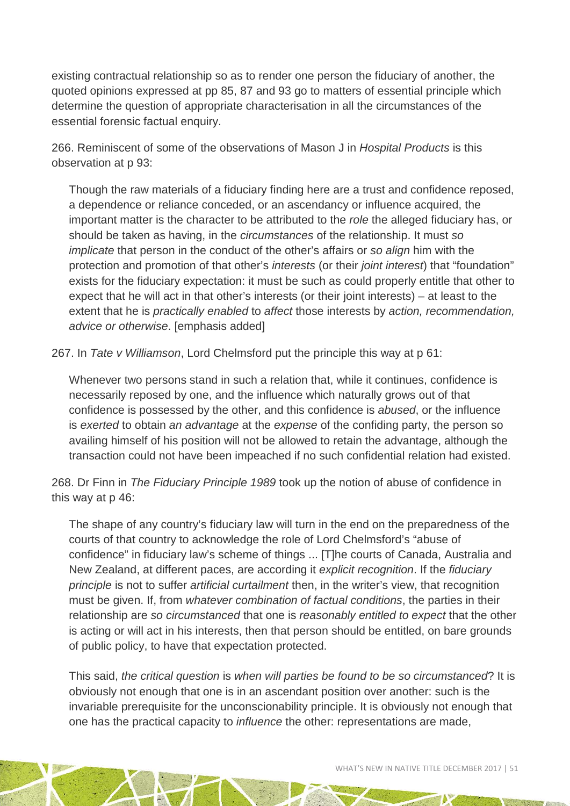existing contractual relationship so as to render one person the fiduciary of another, the quoted opinions expressed at pp 85, 87 and 93 go to matters of essential principle which determine the question of appropriate characterisation in all the circumstances of the essential forensic factual enquiry.

266. Reminiscent of some of the observations of Mason J in *Hospital Products* is this observation at p 93:

Though the raw materials of a fiduciary finding here are a trust and confidence reposed, a dependence or reliance conceded, or an ascendancy or influence acquired, the important matter is the character to be attributed to the *role* the alleged fiduciary has, or should be taken as having, in the *circumstances* of the relationship. It must *so implicate* that person in the conduct of the other's affairs or *so align* him with the protection and promotion of that other's *interests* (or their *joint interest*) that "foundation" exists for the fiduciary expectation: it must be such as could properly entitle that other to expect that he will act in that other's interests (or their joint interests) – at least to the extent that he is *practically enabled* to *affect* those interests by *action, recommendation, advice or otherwise*. [emphasis added]

267. In *Tate v Williamson*, Lord Chelmsford put the principle this way at p 61:

Whenever two persons stand in such a relation that, while it continues, confidence is necessarily reposed by one, and the influence which naturally grows out of that confidence is possessed by the other, and this confidence is *abused*, or the influence is *exerted* to obtain *an advantage* at the *expense* of the confiding party, the person so availing himself of his position will not be allowed to retain the advantage, although the transaction could not have been impeached if no such confidential relation had existed.

268. Dr Finn in *The Fiduciary Principle 1989* took up the notion of abuse of confidence in this way at p 46:

The shape of any country's fiduciary law will turn in the end on the preparedness of the courts of that country to acknowledge the role of Lord Chelmsford's "abuse of confidence" in fiduciary law's scheme of things ... [T]he courts of Canada, Australia and New Zealand, at different paces, are according it *explicit recognition*. If the *fiduciary principle* is not to suffer *artificial curtailment* then, in the writer's view, that recognition must be given. If, from *whatever combination of factual conditions*, the parties in their relationship are *so circumstanced* that one is *reasonably entitled to expect* that the other is acting or will act in his interests, then that person should be entitled, on bare grounds of public policy, to have that expectation protected.

This said, *the critical question* is *when will parties be found to be so circumstanced*? It is obviously not enough that one is in an ascendant position over another: such is the invariable prerequisite for the unconscionability principle. It is obviously not enough that one has the practical capacity to *influence* the other: representations are made,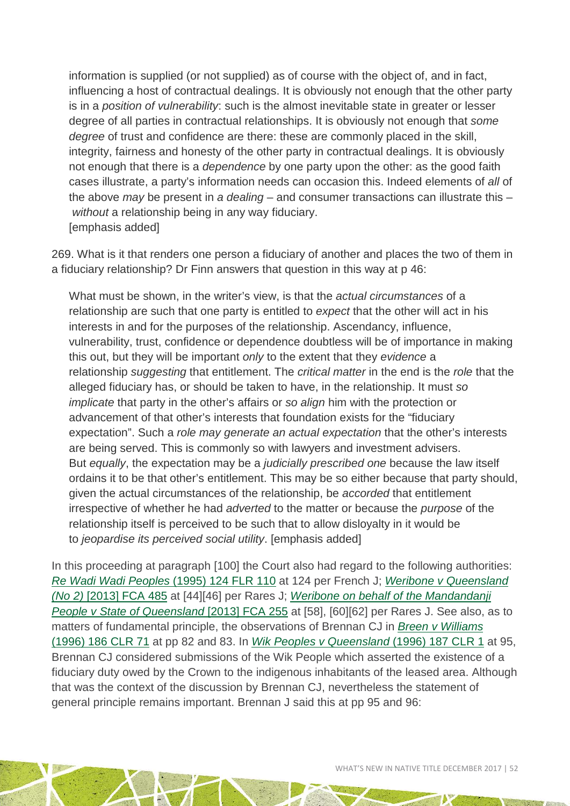information is supplied (or not supplied) as of course with the object of, and in fact, influencing a host of contractual dealings. It is obviously not enough that the other party is in a *position of vulnerability*: such is the almost inevitable state in greater or lesser degree of all parties in contractual relationships. It is obviously not enough that *some degree* of trust and confidence are there: these are commonly placed in the skill, integrity, fairness and honesty of the other party in contractual dealings. It is obviously not enough that there is a *dependence* by one party upon the other: as the good faith cases illustrate, a party's information needs can occasion this. Indeed elements of *all* of the above *may* be present in *a dealing* – and consumer transactions can illustrate this – *without* a relationship being in any way fiduciary. [emphasis added]

269. What is it that renders one person a fiduciary of another and places the two of them in a fiduciary relationship? Dr Finn answers that question in this way at p 46:

What must be shown, in the writer's view, is that the *actual circumstances* of a relationship are such that one party is entitled to *expect* that the other will act in his interests in and for the purposes of the relationship. Ascendancy, influence, vulnerability, trust, confidence or dependence doubtless will be of importance in making this out, but they will be important *only* to the extent that they *evidence* a relationship *suggesting* that entitlement. The *critical matter* in the end is the *role* that the alleged fiduciary has, or should be taken to have, in the relationship. It must *so implicate* that party in the other's affairs or *so align* him with the protection or advancement of that other's interests that foundation exists for the "fiduciary expectation". Such a *role may generate an actual expectation* that the other's interests are being served. This is commonly so with lawyers and investment advisers. But *equally*, the expectation may be a *judicially prescribed one* because the law itself ordains it to be that other's entitlement. This may be so either because that party should, given the actual circumstances of the relationship, be *accorded* that entitlement irrespective of whether he had *adverted* to the matter or because the *purpose* of the relationship itself is perceived to be such that to allow disloyalty in it would be to *jeopardise its perceived social utility*. [emphasis added]

In this proceeding at paragraph [100] the Court also had regard to the following authorities: *[Re Wadi Wadi Peoples](https://www.austlii.edu.au/cgi-bin/LawCite?cit=%281995%29%20124%20FLR%20110)* (1995) 124 FLR 110 at 124 per French J; *[Weribone v Queensland](https://www.austlii.edu.au/cgi-bin/viewdoc/au/cases/cth/FCA/2013/485.html)  (No 2)* [\[2013\] FCA 485](https://www.austlii.edu.au/cgi-bin/viewdoc/au/cases/cth/FCA/2013/485.html) at [44][46] per Rares J; *[Weribone on behalf of the Mandandanji](https://www.austlii.edu.au/cgi-bin/viewdoc/au/cases/cth/FCA/2013/255.html)  [People v State of Queensland](https://www.austlii.edu.au/cgi-bin/viewdoc/au/cases/cth/FCA/2013/255.html)* [2013] FCA 255 at [58], [60][62] per Rares J. See also, as to matters of fundamental principle, the observations of Brennan CJ in *[Breen v Williams](http://www8.austlii.edu.au/cgi-bin/viewdoc/au/cases/cth/HCA/1996/57.html)* [\(1996\) 186 CLR 71](http://www8.austlii.edu.au/cgi-bin/viewdoc/au/cases/cth/HCA/1996/57.html) at pp 82 and 83. In *[Wik Peoples v Queensland](https://www.austlii.edu.au/cgi-bin/LawCite?cit=%281996%29%20187%20CLR%201)* (1996) 187 CLR 1 at 95, Brennan CJ considered submissions of the Wik People which asserted the existence of a fiduciary duty owed by the Crown to the indigenous inhabitants of the leased area. Although that was the context of the discussion by Brennan CJ, nevertheless the statement of general principle remains important. Brennan J said this at pp 95 and 96: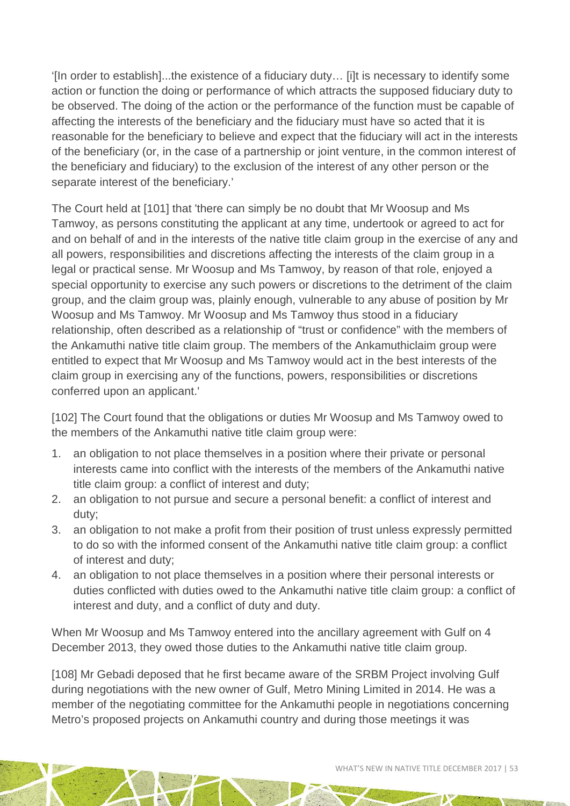'[In order to establish]...the existence of a fiduciary duty… [i]t is necessary to identify some action or function the doing or performance of which attracts the supposed fiduciary duty to be observed. The doing of the action or the performance of the function must be capable of affecting the interests of the beneficiary and the fiduciary must have so acted that it is reasonable for the beneficiary to believe and expect that the fiduciary will act in the interests of the beneficiary (or, in the case of a partnership or joint venture, in the common interest of the beneficiary and fiduciary) to the exclusion of the interest of any other person or the separate interest of the beneficiary.'

The Court held at [101] that 'there can simply be no doubt that Mr Woosup and Ms Tamwoy, as persons constituting the applicant at any time, undertook or agreed to act for and on behalf of and in the interests of the native title claim group in the exercise of any and all powers, responsibilities and discretions affecting the interests of the claim group in a legal or practical sense. Mr Woosup and Ms Tamwoy, by reason of that role, enjoyed a special opportunity to exercise any such powers or discretions to the detriment of the claim group, and the claim group was, plainly enough, vulnerable to any abuse of position by Mr Woosup and Ms Tamwoy. Mr Woosup and Ms Tamwoy thus stood in a fiduciary relationship, often described as a relationship of "trust or confidence" with the members of the Ankamuthi native title claim group. The members of the Ankamuthiclaim group were entitled to expect that Mr Woosup and Ms Tamwoy would act in the best interests of the claim group in exercising any of the functions, powers, responsibilities or discretions conferred upon an applicant.'

[102] The Court found that the obligations or duties Mr Woosup and Ms Tamwoy owed to the members of the Ankamuthi native title claim group were:

- 1. an obligation to not place themselves in a position where their private or personal interests came into conflict with the interests of the members of the Ankamuthi native title claim group: a conflict of interest and duty;
- 2. an obligation to not pursue and secure a personal benefit: a conflict of interest and duty;
- 3. an obligation to not make a profit from their position of trust unless expressly permitted to do so with the informed consent of the Ankamuthi native title claim group: a conflict of interest and duty;
- 4. an obligation to not place themselves in a position where their personal interests or duties conflicted with duties owed to the Ankamuthi native title claim group: a conflict of interest and duty, and a conflict of duty and duty.

When Mr Woosup and Ms Tamwoy entered into the ancillary agreement with Gulf on 4 December 2013, they owed those duties to the Ankamuthi native title claim group.

[108] Mr Gebadi deposed that he first became aware of the SRBM Project involving Gulf during negotiations with the new owner of Gulf, Metro Mining Limited in 2014. He was a member of the negotiating committee for the Ankamuthi people in negotiations concerning Metro's proposed projects on Ankamuthi country and during those meetings it was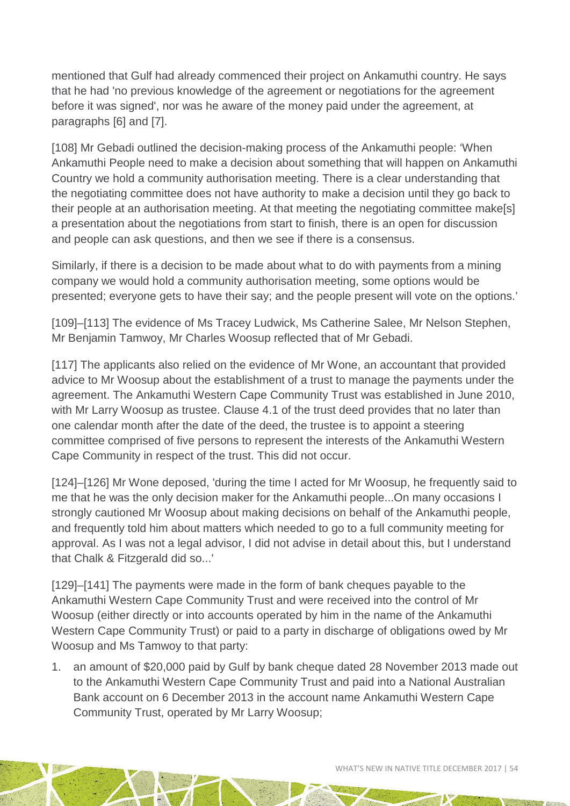mentioned that Gulf had already commenced their project on Ankamuthi country. He says that he had 'no previous knowledge of the agreement or negotiations for the agreement before it was signed', nor was he aware of the money paid under the agreement, at paragraphs [6] and [7].

[108] Mr Gebadi outlined the decision-making process of the Ankamuthi people: 'When Ankamuthi People need to make a decision about something that will happen on Ankamuthi Country we hold a community authorisation meeting. There is a clear understanding that the negotiating committee does not have authority to make a decision until they go back to their people at an authorisation meeting. At that meeting the negotiating committee make[s] a presentation about the negotiations from start to finish, there is an open for discussion and people can ask questions, and then we see if there is a consensus.

Similarly, if there is a decision to be made about what to do with payments from a mining company we would hold a community authorisation meeting, some options would be presented; everyone gets to have their say; and the people present will vote on the options.'

[109]–[113] The evidence of Ms Tracey Ludwick, Ms Catherine Salee, Mr Nelson Stephen, Mr Benjamin Tamwoy, Mr Charles Woosup reflected that of Mr Gebadi.

[117] The applicants also relied on the evidence of Mr Wone, an accountant that provided advice to Mr Woosup about the establishment of a trust to manage the payments under the agreement. The Ankamuthi Western Cape Community Trust was established in June 2010, with Mr Larry Woosup as trustee. Clause 4.1 of the trust deed provides that no later than one calendar month after the date of the deed, the trustee is to appoint a steering committee comprised of five persons to represent the interests of the Ankamuthi Western Cape Community in respect of the trust. This did not occur.

[124]–[126] Mr Wone deposed, 'during the time I acted for Mr Woosup, he frequently said to me that he was the only decision maker for the Ankamuthi people...On many occasions I strongly cautioned Mr Woosup about making decisions on behalf of the Ankamuthi people, and frequently told him about matters which needed to go to a full community meeting for approval. As I was not a legal advisor, I did not advise in detail about this, but I understand that Chalk & Fitzgerald did so...'

[129]–[141] The payments were made in the form of bank cheques payable to the Ankamuthi Western Cape Community Trust and were received into the control of Mr Woosup (either directly or into accounts operated by him in the name of the Ankamuthi Western Cape Community Trust) or paid to a party in discharge of obligations owed by Mr Woosup and Ms Tamwoy to that party:

1. an amount of \$20,000 paid by Gulf by bank cheque dated 28 November 2013 made out to the Ankamuthi Western Cape Community Trust and paid into a National Australian Bank account on 6 December 2013 in the account name Ankamuthi Western Cape Community Trust, operated by Mr Larry Woosup;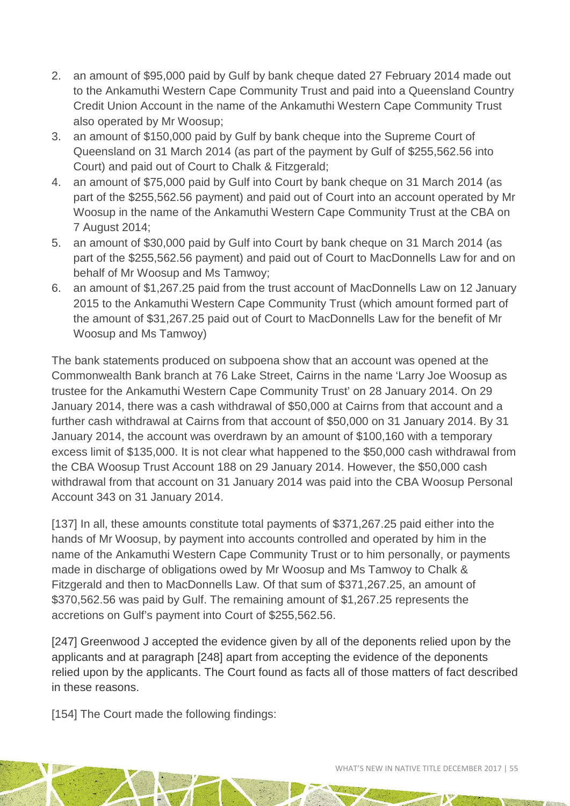- 2. an amount of \$95,000 paid by Gulf by bank cheque dated 27 February 2014 made out to the Ankamuthi Western Cape Community Trust and paid into a Queensland Country Credit Union Account in the name of the Ankamuthi Western Cape Community Trust also operated by Mr Woosup;
- 3. an amount of \$150,000 paid by Gulf by bank cheque into the Supreme Court of Queensland on 31 March 2014 (as part of the payment by Gulf of \$255,562.56 into Court) and paid out of Court to Chalk & Fitzgerald;
- 4. an amount of \$75,000 paid by Gulf into Court by bank cheque on 31 March 2014 (as part of the \$255,562.56 payment) and paid out of Court into an account operated by Mr Woosup in the name of the Ankamuthi Western Cape Community Trust at the CBA on 7 August 2014;
- 5. an amount of \$30,000 paid by Gulf into Court by bank cheque on 31 March 2014 (as part of the \$255,562.56 payment) and paid out of Court to MacDonnells Law for and on behalf of Mr Woosup and Ms Tamwoy;
- 6. an amount of \$1,267.25 paid from the trust account of MacDonnells Law on 12 January 2015 to the Ankamuthi Western Cape Community Trust (which amount formed part of the amount of \$31,267.25 paid out of Court to MacDonnells Law for the benefit of Mr Woosup and Ms Tamwoy)

The bank statements produced on subpoena show that an account was opened at the Commonwealth Bank branch at 76 Lake Street, Cairns in the name 'Larry Joe Woosup as trustee for the Ankamuthi Western Cape Community Trust' on 28 January 2014. On 29 January 2014, there was a cash withdrawal of \$50,000 at Cairns from that account and a further cash withdrawal at Cairns from that account of \$50,000 on 31 January 2014. By 31 January 2014, the account was overdrawn by an amount of \$100,160 with a temporary excess limit of \$135,000. It is not clear what happened to the \$50,000 cash withdrawal from the CBA Woosup Trust Account 188 on 29 January 2014. However, the \$50,000 cash withdrawal from that account on 31 January 2014 was paid into the CBA Woosup Personal Account 343 on 31 January 2014.

[137] In all, these amounts constitute total payments of \$371,267.25 paid either into the hands of Mr Woosup, by payment into accounts controlled and operated by him in the name of the Ankamuthi Western Cape Community Trust or to him personally, or payments made in discharge of obligations owed by Mr Woosup and Ms Tamwoy to Chalk & Fitzgerald and then to MacDonnells Law. Of that sum of \$371,267.25, an amount of \$370,562.56 was paid by Gulf. The remaining amount of \$1,267.25 represents the accretions on Gulf's payment into Court of \$255,562.56.

[247] Greenwood J accepted the evidence given by all of the deponents relied upon by the applicants and at paragraph [248] apart from accepting the evidence of the deponents relied upon by the applicants. The Court found as facts all of those matters of fact described in these reasons.

[154] The Court made the following findings: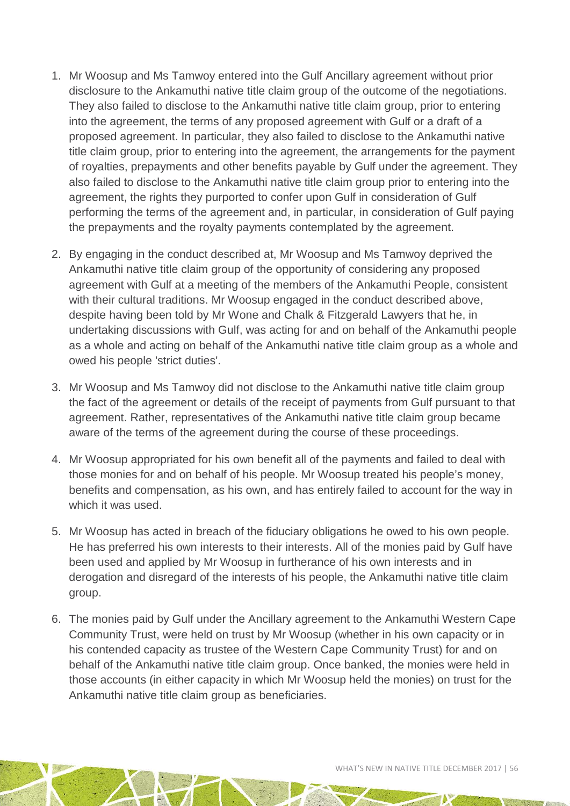- 1. Mr Woosup and Ms Tamwoy entered into the Gulf Ancillary agreement without prior disclosure to the Ankamuthi native title claim group of the outcome of the negotiations. They also failed to disclose to the Ankamuthi native title claim group, prior to entering into the agreement, the terms of any proposed agreement with Gulf or a draft of a proposed agreement. In particular, they also failed to disclose to the Ankamuthi native title claim group, prior to entering into the agreement, the arrangements for the payment of royalties, prepayments and other benefits payable by Gulf under the agreement. They also failed to disclose to the Ankamuthi native title claim group prior to entering into the agreement, the rights they purported to confer upon Gulf in consideration of Gulf performing the terms of the agreement and, in particular, in consideration of Gulf paying the prepayments and the royalty payments contemplated by the agreement.
- 2. By engaging in the conduct described at, Mr Woosup and Ms Tamwoy deprived the Ankamuthi native title claim group of the opportunity of considering any proposed agreement with Gulf at a meeting of the members of the Ankamuthi People, consistent with their cultural traditions. Mr Woosup engaged in the conduct described above, despite having been told by Mr Wone and Chalk & Fitzgerald Lawyers that he, in undertaking discussions with Gulf, was acting for and on behalf of the Ankamuthi people as a whole and acting on behalf of the Ankamuthi native title claim group as a whole and owed his people 'strict duties'.
- 3. Mr Woosup and Ms Tamwoy did not disclose to the Ankamuthi native title claim group the fact of the agreement or details of the receipt of payments from Gulf pursuant to that agreement. Rather, representatives of the Ankamuthi native title claim group became aware of the terms of the agreement during the course of these proceedings.
- 4. Mr Woosup appropriated for his own benefit all of the payments and failed to deal with those monies for and on behalf of his people. Mr Woosup treated his people's money, benefits and compensation, as his own, and has entirely failed to account for the way in which it was used.
- 5. Mr Woosup has acted in breach of the fiduciary obligations he owed to his own people. He has preferred his own interests to their interests. All of the monies paid by Gulf have been used and applied by Mr Woosup in furtherance of his own interests and in derogation and disregard of the interests of his people, the Ankamuthi native title claim group.
- 6. The monies paid by Gulf under the Ancillary agreement to the Ankamuthi Western Cape Community Trust, were held on trust by Mr Woosup (whether in his own capacity or in his contended capacity as trustee of the Western Cape Community Trust) for and on behalf of the Ankamuthi native title claim group. Once banked, the monies were held in those accounts (in either capacity in which Mr Woosup held the monies) on trust for the Ankamuthi native title claim group as beneficiaries.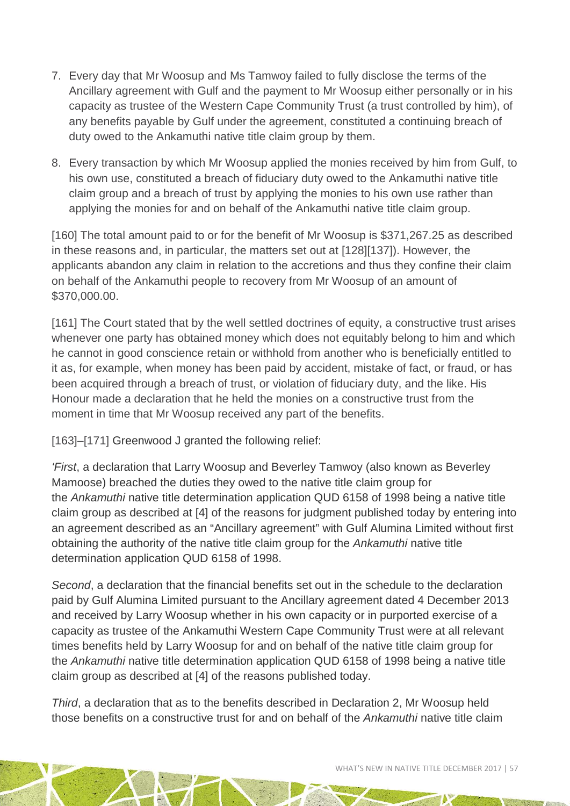- 7. Every day that Mr Woosup and Ms Tamwoy failed to fully disclose the terms of the Ancillary agreement with Gulf and the payment to Mr Woosup either personally or in his capacity as trustee of the Western Cape Community Trust (a trust controlled by him), of any benefits payable by Gulf under the agreement, constituted a continuing breach of duty owed to the Ankamuthi native title claim group by them.
- 8. Every transaction by which Mr Woosup applied the monies received by him from Gulf, to his own use, constituted a breach of fiduciary duty owed to the Ankamuthi native title claim group and a breach of trust by applying the monies to his own use rather than applying the monies for and on behalf of the Ankamuthi native title claim group.

[160] The total amount paid to or for the benefit of Mr Woosup is \$371,267.25 as described in these reasons and, in particular, the matters set out at [128][137]). However, the applicants abandon any claim in relation to the accretions and thus they confine their claim on behalf of the Ankamuthi people to recovery from Mr Woosup of an amount of \$370,000.00.

[161] The Court stated that by the well settled doctrines of equity, a constructive trust arises whenever one party has obtained money which does not equitably belong to him and which he cannot in good conscience retain or withhold from another who is beneficially entitled to it as, for example, when money has been paid by accident, mistake of fact, or fraud, or has been acquired through a breach of trust, or violation of fiduciary duty, and the like. His Honour made a declaration that he held the monies on a constructive trust from the moment in time that Mr Woosup received any part of the benefits.

[163]–[171] Greenwood J granted the following relief:

*'First*, a declaration that Larry Woosup and Beverley Tamwoy (also known as Beverley Mamoose) breached the duties they owed to the native title claim group for the *Ankamuthi* native title determination application QUD 6158 of 1998 being a native title claim group as described at [4] of the reasons for judgment published today by entering into an agreement described as an "Ancillary agreement" with Gulf Alumina Limited without first obtaining the authority of the native title claim group for the *Ankamuthi* native title determination application QUD 6158 of 1998.

*Second*, a declaration that the financial benefits set out in the schedule to the declaration paid by Gulf Alumina Limited pursuant to the Ancillary agreement dated 4 December 2013 and received by Larry Woosup whether in his own capacity or in purported exercise of a capacity as trustee of the Ankamuthi Western Cape Community Trust were at all relevant times benefits held by Larry Woosup for and on behalf of the native title claim group for the *Ankamuthi* native title determination application QUD 6158 of 1998 being a native title claim group as described at [4] of the reasons published today.

*Third*, a declaration that as to the benefits described in Declaration 2, Mr Woosup held those benefits on a constructive trust for and on behalf of the *Ankamuthi* native title claim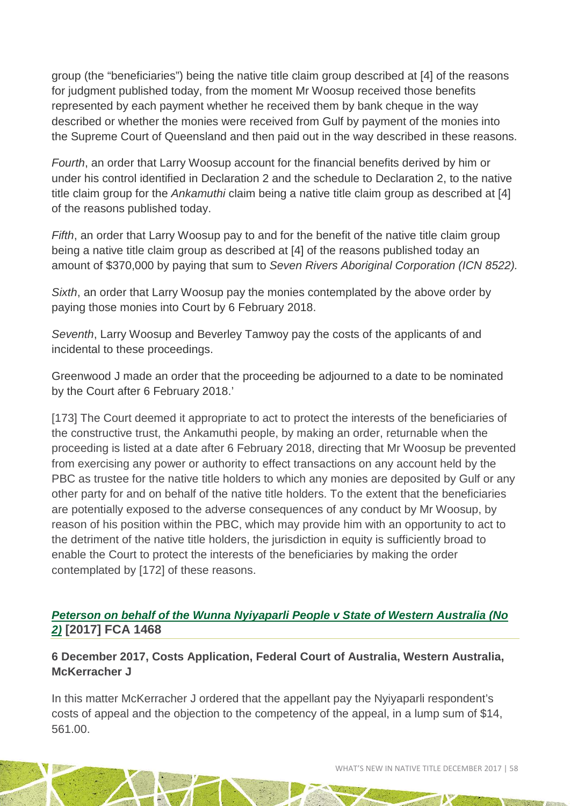group (the "beneficiaries") being the native title claim group described at [4] of the reasons for judgment published today, from the moment Mr Woosup received those benefits represented by each payment whether he received them by bank cheque in the way described or whether the monies were received from Gulf by payment of the monies into the Supreme Court of Queensland and then paid out in the way described in these reasons.

*Fourth*, an order that Larry Woosup account for the financial benefits derived by him or under his control identified in Declaration 2 and the schedule to Declaration 2, to the native title claim group for the *Ankamuthi* claim being a native title claim group as described at [4] of the reasons published today.

*Fifth*, an order that Larry Woosup pay to and for the benefit of the native title claim group being a native title claim group as described at [4] of the reasons published today an amount of \$370,000 by paying that sum to *Seven Rivers Aboriginal Corporation (ICN 8522).*

*Sixth*, an order that Larry Woosup pay the monies contemplated by the above order by paying those monies into Court by 6 February 2018.

*Seventh*, Larry Woosup and Beverley Tamwoy pay the costs of the applicants of and incidental to these proceedings.

Greenwood J made an order that the proceeding be adjourned to a date to be nominated by the Court after 6 February 2018.'

[173] The Court deemed it appropriate to act to protect the interests of the beneficiaries of the constructive trust, the Ankamuthi people, by making an order, returnable when the proceeding is listed at a date after 6 February 2018, directing that Mr Woosup be prevented from exercising any power or authority to effect transactions on any account held by the PBC as trustee for the native title holders to which any monies are deposited by Gulf or any other party for and on behalf of the native title holders. To the extent that the beneficiaries are potentially exposed to the adverse consequences of any conduct by Mr Woosup, by reason of his position within the PBC, which may provide him with an opportunity to act to the detriment of the native title holders, the jurisdiction in equity is sufficiently broad to enable the Court to protect the interests of the beneficiaries by making the order contemplated by [172] of these reasons.

#### *[Peterson on behalf of the Wunna Nyiyaparli People v State of Western Australia \(No](http://www.austlii.edu.au/cgi-bin/viewdoc/au/cases/cth/FCA/2017/1468.html)  [2\)](http://www.austlii.edu.au/cgi-bin/viewdoc/au/cases/cth/FCA/2017/1468.html)* **[2017] FCA 1468**

#### **6 December 2017, Costs Application, Federal Court of Australia, Western Australia, McKerracher J**

In this matter McKerracher J ordered that the appellant pay the Nyiyaparli respondent's costs of appeal and the objection to the competency of the appeal, in a lump sum of \$14, 561.00.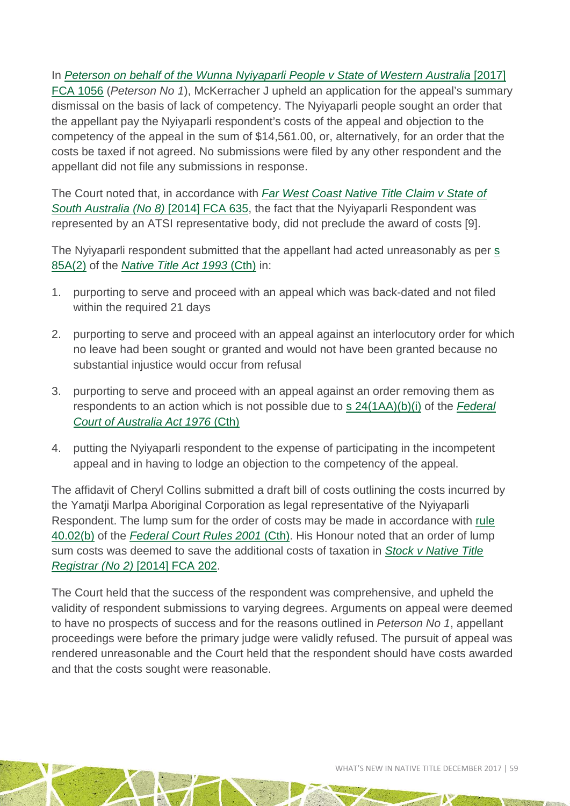In *[Peterson on behalf of the Wunna Nyiyaparli People v State of Western Australia](http://www.austlii.edu.au/cgi-bin/viewdoc/au/cases/cth/FCA/2017/1056.html)* [2017] [FCA 1056](http://www.austlii.edu.au/cgi-bin/viewdoc/au/cases/cth/FCA/2017/1056.html) (*Peterson No 1*), McKerracher J upheld an application for the appeal's summary dismissal on the basis of lack of competency. The Nyiyaparli people sought an order that the appellant pay the Nyiyaparli respondent's costs of the appeal and objection to the competency of the appeal in the sum of \$14,561.00, or, alternatively, for an order that the costs be taxed if not agreed. No submissions were filed by any other respondent and the appellant did not file any submissions in response.

The Court noted that, in accordance with *[Far West Coast Native Title Claim v State of](http://www.austlii.edu.au/cgi-bin/viewdoc/au/cases/cth/FCA/2014/635.html)  [South Australia \(No 8\)](http://www.austlii.edu.au/cgi-bin/viewdoc/au/cases/cth/FCA/2014/635.html)* [2014] FCA 635, the fact that the Nyiyaparli Respondent was represented by an ATSI representative body, did not preclude the award of costs [9].

The Nyiyaparli respondent submitted that the appellant had acted unreasonably as per s [85A\(2\)](http://www8.austlii.edu.au/cgi-bin/viewdoc/au/legis/cth/consol_act/nta1993147/s85a.html) of the *Native Title Act 1993* (Cth) in:

- 1. purporting to serve and proceed with an appeal which was back-dated and not filed within the required 21 days
- 2. purporting to serve and proceed with an appeal against an interlocutory order for which no leave had been sought or granted and would not have been granted because no substantial injustice would occur from refusal
- 3. purporting to serve and proceed with an appeal against an order removing them as respondents to an action which is not possible due to [s 24\(1AA\)\(b\)\(i\)](http://www7.austlii.edu.au/cgi-bin/viewdoc/au/legis/cth/consol_act/fcoaa1976249/s24.html) of the *Federal [Court of Australia Act 1976](http://www7.austlii.edu.au/cgi-bin/viewdb/au/legis/cth/consol_act/fcoaa1976249/)* (Cth)
- 4. putting the Nyiyaparli respondent to the expense of participating in the incompetent appeal and in having to lodge an objection to the competency of the appeal.

The affidavit of Cheryl Collins submitted a draft bill of costs outlining the costs incurred by the Yamatji Marlpa Aboriginal Corporation as legal representative of the Nyiyaparli Respondent. The lump sum for the order of costs may be made in accordance with [rule](http://www8.austlii.edu.au/cgi-bin/viewdoc/au/legis/cth/num_reg/fcr2011n134o2011269/s40.02.html)  [40.02\(b\)](http://www8.austlii.edu.au/cgi-bin/viewdoc/au/legis/cth/num_reg/fcr2011n134o2011269/s40.02.html) of the *[Federal Court Rules 2001](http://www8.austlii.edu.au/cgi-bin/viewdb/au/legis/cth/num_reg/fcr2011n134o2011269/)* (Cth). His Honour noted that an order of lump sum costs was deemed to save the additional costs of taxation in *[Stock v Native Title](http://www.austlii.edu.au/cgi-bin/viewdoc/au/cases/cth/FCA/2014/202.html)  [Registrar \(No 2\)](http://www.austlii.edu.au/cgi-bin/viewdoc/au/cases/cth/FCA/2014/202.html)* [2014] FCA 202.

The Court held that the success of the respondent was comprehensive, and upheld the validity of respondent submissions to varying degrees. Arguments on appeal were deemed to have no prospects of success and for the reasons outlined in *Peterson No 1*, appellant proceedings were before the primary judge were validly refused. The pursuit of appeal was rendered unreasonable and the Court held that the respondent should have costs awarded and that the costs sought were reasonable.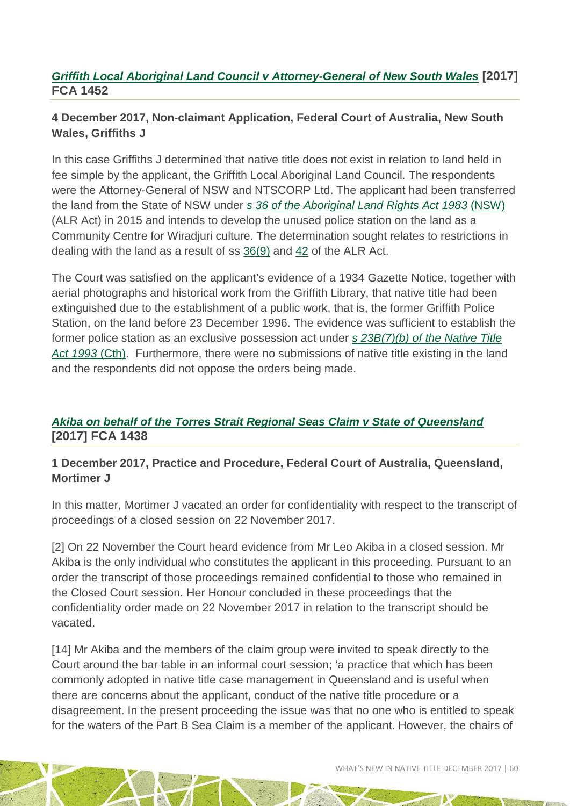#### *[Griffith Local Aboriginal Land Council v Attorney-General of New South Wales](http://www.austlii.edu.au/cgi-bin/viewdoc/au/cases/cth/FCA/2017/1452.html)* **[2017] FCA 1452**

#### **4 December 2017, Non-claimant Application, Federal Court of Australia, New South Wales, Griffiths J**

In this case Griffiths J determined that native title does not exist in relation to land held in fee simple by the applicant, the Griffith Local Aboriginal Land Council. The respondents were the Attorney-General of NSW and NTSCORP Ltd. The applicant had been transferred the land from the State of NSW under *[s 36 of the Aboriginal Land Rights Act 1983](http://www.austlii.edu.au/cgi-bin/viewdoc/au/legis/nsw/consol_act/alra1983201/s36.html?context=1;query=section%2036%20aboriginal%20land%20rights%20act;mask_path=)* (NSW) (ALR Act) in 2015 and intends to develop the unused police station on the land as a Community Centre for Wiradjuri culture. The determination sought relates to restrictions in dealing with the land as a result of ss [36\(9\)](http://www.austlii.edu.au/cgi-bin/viewdoc/au/legis/nsw/consol_act/alra1983201/s36.html?context=1;query=section%2036%20aboriginal%20land%20rights%20act;mask_path=) and [42](http://www.austlii.edu.au/cgi-bin/viewdoc/au/legis/nsw/consol_act/alra1983201/s42.html?context=1;query=section%2036%20aboriginal%20land%20rights%20act;mask_path=) of the ALR Act.

The Court was satisfied on the applicant's evidence of a 1934 Gazette Notice, together with aerial photographs and historical work from the Griffith Library, that native title had been extinguished due to the establishment of a public work, that is, the former Griffith Police Station, on the land before 23 December 1996. The evidence was sufficient to establish the former police station as an exclusive possession act under *[s 23B\(7\)\(b\) of the Native Title](http://www8.austlii.edu.au/cgi-bin/viewdoc/au/legis/cth/consol_act/nta1993147/s23b.html)  [Act 1993](http://www8.austlii.edu.au/cgi-bin/viewdoc/au/legis/cth/consol_act/nta1993147/s23b.html)* (Cth). Furthermore, there were no submissions of native title existing in the land and the respondents did not oppose the orders being made.

#### *[Akiba on behalf of the Torres Strait Regional Seas Claim v State of Queensland](http://www.austlii.edu.au/cgi-bin/viewdoc/au/cases/cth/FCA/2017/1438.html?context=1;query=Akiba;mask_path=au/cases/cth/FCA)* **[2017] FCA 1438**

#### **1 December 2017, Practice and Procedure, Federal Court of Australia, Queensland, Mortimer J**

In this matter, Mortimer J vacated an order for confidentiality with respect to the transcript of proceedings of a closed session on 22 November 2017.

[2] On 22 November the Court heard evidence from Mr Leo Akiba in a closed session. Mr Akiba is the only individual who constitutes the applicant in this proceeding. Pursuant to an order the transcript of those proceedings remained confidential to those who remained in the Closed Court session. Her Honour concluded in these proceedings that the confidentiality order made on 22 November 2017 in relation to the transcript should be vacated.

[14] Mr Akiba and the members of the claim group were invited to speak directly to the Court around the bar table in an informal court session; 'a practice that which has been commonly adopted in native title case management in Queensland and is useful when there are concerns about the applicant, conduct of the native title procedure or a disagreement. In the present proceeding the issue was that no one who is entitled to speak for the waters of the Part B Sea Claim is a member of the applicant. However, the chairs of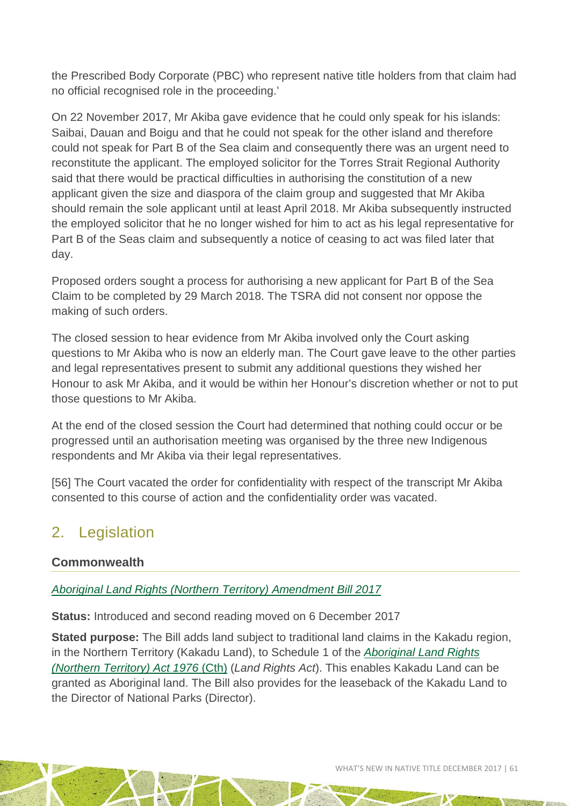the Prescribed Body Corporate (PBC) who represent native title holders from that claim had no official recognised role in the proceeding.'

On 22 November 2017, Mr Akiba gave evidence that he could only speak for his islands: Saibai, Dauan and Boigu and that he could not speak for the other island and therefore could not speak for Part B of the Sea claim and consequently there was an urgent need to reconstitute the applicant. The employed solicitor for the Torres Strait Regional Authority said that there would be practical difficulties in authorising the constitution of a new applicant given the size and diaspora of the claim group and suggested that Mr Akiba should remain the sole applicant until at least April 2018. Mr Akiba subsequently instructed the employed solicitor that he no longer wished for him to act as his legal representative for Part B of the Seas claim and subsequently a notice of ceasing to act was filed later that day.

Proposed orders sought a process for authorising a new applicant for Part B of the Sea Claim to be completed by 29 March 2018. The TSRA did not consent nor oppose the making of such orders.

The closed session to hear evidence from Mr Akiba involved only the Court asking questions to Mr Akiba who is now an elderly man. The Court gave leave to the other parties and legal representatives present to submit any additional questions they wished her Honour to ask Mr Akiba, and it would be within her Honour's discretion whether or not to put those questions to Mr Akiba.

At the end of the closed session the Court had determined that nothing could occur or be progressed until an authorisation meeting was organised by the three new Indigenous respondents and Mr Akiba via their legal representatives.

[56] The Court vacated the order for confidentiality with respect of the transcript Mr Akiba consented to this course of action and the confidentiality order was vacated.

### <span id="page-60-0"></span>2. Legislation

#### **Commonwealth**

*[Aboriginal Land Rights \(Northern Territory\) Amendment Bill 2017](https://www.aph.gov.au/Parliamentary_Business/Bills_Legislation/Bills_Search_Results/Result?bId=s1112)*

**Status:** Introduced and second reading moved on 6 December 2017

**Stated purpose:** The Bill adds land subject to traditional land claims in the Kakadu region, in the Northern Territory (Kakadu Land), to Schedule 1 of the *[Aboriginal Land Rights](http://www8.austlii.edu.au/cgi-bin/viewdb/au/legis/cth/consol_act/alrta1976444/http:/www8.austlii.edu.au/cgi-bin/viewdb/au/legis/cth/consol_act/alrta1976444/)  [\(Northern Territory\) Act 1976](http://www8.austlii.edu.au/cgi-bin/viewdb/au/legis/cth/consol_act/alrta1976444/http:/www8.austlii.edu.au/cgi-bin/viewdb/au/legis/cth/consol_act/alrta1976444/)* (Cth) (*Land Rights Act*). This enables Kakadu Land can be granted as Aboriginal land. The Bill also provides for the leaseback of the Kakadu Land to the Director of National Parks (Director).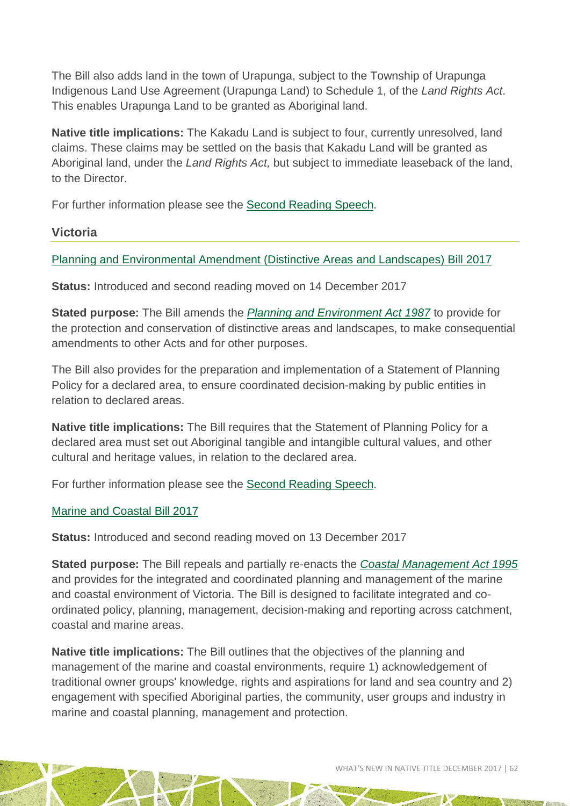The Bill also adds land in the town of Urapunga, subject to the Township of Urapunga Indigenous Land Use Agreement (Urapunga Land) to Schedule 1, of the *Land Rights Act*. This enables Urapunga Land to be granted as Aboriginal land.

**Native title implications:** The Kakadu Land is subject to four, currently unresolved, land claims. These claims may be settled on the basis that Kakadu Land will be granted as Aboriginal land, under the *Land Rights Act,* but subject to immediate leaseback of the land, to the Director.

For further information please see the [Second Reading Speech.](https://www.aph.gov.au/en/Parliamentary%20Business/Bills%20Legislation/Bills%20Search%20Results/Result/Second%20Reading%20Speeches?BillId=s11122)

#### **Victoria**

#### [Planning and Environmental Amendment \(Distinctive Areas and Landscapes\) Bill 2017](http://www.legislation.vic.gov.au/domino/Web_Notes/LDMS/PubPDocs.nsf/ee665e366dcb6cb0ca256da400837f6b/bf94f71fe0da7314ca2581f40078b75d!OpenDocument)

**Status:** Introduced and second reading moved on 14 December 2017

**Stated purpose:** The Bill amends the *[Planning and Environment Act 1987](http://www8.austlii.edu.au/cgi-bin/viewdb/au/legis/vic/consol_act/paea1987254/)* to provide for the protection and conservation of distinctive areas and landscapes, to make consequential amendments to other Acts and for other purposes.

The Bill also provides for the preparation and implementation of a Statement of Planning Policy for a declared area, to ensure coordinated decision-making by public entities in relation to declared areas.

**Native title implications:** The Bill requires that the Statement of Planning Policy for a declared area must set out Aboriginal tangible and intangible cultural values, and other cultural and heritage values, in relation to the declared area.

For further information please see the [Second Reading Speech.](http://hansard.parliament.vic.gov.au/search/?LDMS=Y&IW_DATABASE=*&IW_FIELD_ADVANCE_PHRASE=be+now+read+a+second+time&IW_FIELD_IN_SpeechTitle=Planning+and+Environment+Amendment+Distinctive+Areas+and+Landscapes+Bill+2017&IW_FIELD_IN_HOUSENAME=ASSEMBLY&IW_FIELD_IN_ACTIVITYTYPE=Second+reading&IW_FIELD_IN_SittingYear=2017&IW_FIELD_IN_SittingMonth=December&IW_FIELD_IN_SittingDay=14)

#### [Marine and Coastal Bill 2017](http://www.legislation.vic.gov.au/domino/Web_Notes/LDMS/PubPDocs.nsf/ee665e366dcb6cb0ca256da400837f6b/0ec5da10fede3449ca2581f4007850a4!OpenDocument)

**Status:** Introduced and second reading moved on 13 December 2017

**Stated purpose:** The Bill repeals and partially re-enacts the *[Coastal Management Act 1995](http://www8.austlii.edu.au/cgi-bin/viewdb/au/legis/vic/consol_act/cma1995168/)* and provides for the integrated and coordinated planning and management of the marine and coastal environment of Victoria. The Bill is designed to facilitate integrated and coordinated policy, planning, management, decision-making and reporting across catchment, coastal and marine areas.

**Native title implications:** The Bill outlines that the objectives of the planning and management of the marine and coastal environments, require 1) acknowledgement of traditional owner groups' knowledge, rights and aspirations for land and sea country and 2) engagement with specified Aboriginal parties, the community, user groups and industry in marine and coastal planning, management and protection.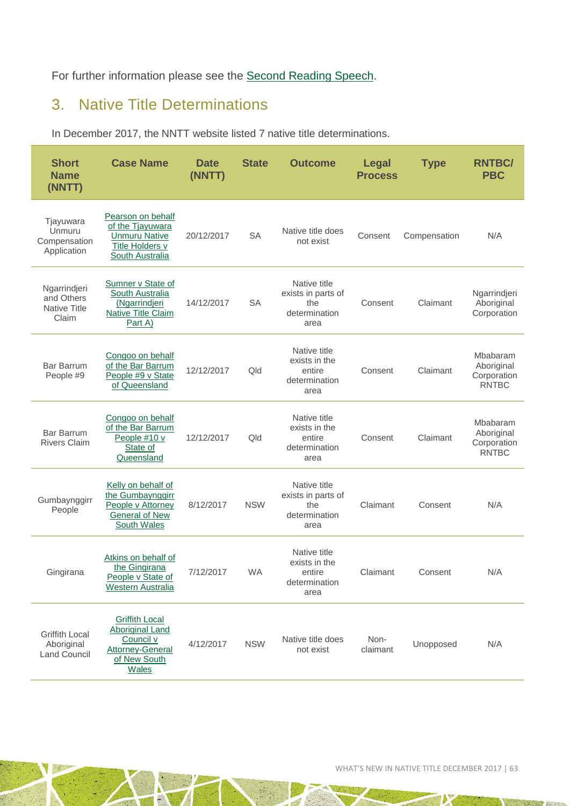#### For further information please see the [Second Reading Speech.](http://hansard.parliament.vic.gov.au/search/?LDMS=Y&IW_DATABASE=*&IW_FIELD_ADVANCE_PHRASE=be+now+read+a+second+time&IW_FIELD_IN_SpeechTitle=Marine+and+Coastal+Bill+2017&IW_FIELD_IN_HOUSENAME=ASSEMBLY&IW_FIELD_IN_ACTIVITYTYPE=Second+reading&IW_FIELD_IN_SittingYear=2017&IW_FIELD_IN_SittingMonth=December&IW_FIELD_IN_SittingDay=13)

# <span id="page-62-0"></span>3. Native Title Determinations

In December 2017, the NNTT website listed 7 native title determinations.

| <b>Short</b><br><b>Name</b><br>(NNTT)                      | <b>Case Name</b>                                                                                                        | Date<br>(NNTT) | <b>State</b> | <b>Outcome</b>                                                     | <b>Legal</b><br><b>Process</b> | <b>Type</b>  | <b>RNTBC/</b><br><b>PBC</b>                           |
|------------------------------------------------------------|-------------------------------------------------------------------------------------------------------------------------|----------------|--------------|--------------------------------------------------------------------|--------------------------------|--------------|-------------------------------------------------------|
| Tjayuwara<br>Unmuru<br>Compensation<br>Application         | Pearson on behalf<br>of the Tjayuwara<br><b>Unmuru Native</b><br><b>Title Holders v</b><br><b>South Australia</b>       | 20/12/2017     | <b>SA</b>    | Native title does<br>not exist                                     | Consent                        | Compensation | N/A                                                   |
| Ngarrindjeri<br>and Others<br><b>Native Title</b><br>Claim | Sumner v State of<br>South Australia<br>(Ngarrindjeri<br><b>Native Title Claim</b><br>Part A)                           | 14/12/2017     | <b>SA</b>    | Native title<br>exists in parts of<br>the<br>determination<br>area | Consent                        | Claimant     | Ngarrindjeri<br>Aboriginal<br>Corporation             |
| <b>Bar Barrum</b><br>People #9                             | Congoo on behalf<br>of the Bar Barrum<br>People #9 v State<br>of Queensland                                             | 12/12/2017     | Qld          | Native title<br>exists in the<br>entire<br>determination<br>area   | Consent                        | Claimant     | Mbabaram<br>Aboriginal<br>Corporation<br><b>RNTBC</b> |
| <b>Bar Barrum</b><br><b>Rivers Claim</b>                   | Congoo on behalf<br>of the Bar Barrum<br>People #10 v<br>State of<br>Queensland                                         | 12/12/2017     | Qld          | Native title<br>exists in the<br>entire<br>determination<br>area   | Consent                        | Claimant     | Mbabaram<br>Aboriginal<br>Corporation<br><b>RNTBC</b> |
| Gumbaynggirr<br>People                                     | Kelly on behalf of<br>the Gumbaynggirr<br>People v Attorney<br><b>General of New</b><br><b>South Wales</b>              | 8/12/2017      | <b>NSW</b>   | Native title<br>exists in parts of<br>the<br>determination<br>area | Claimant                       | Consent      | N/A                                                   |
| Gingirana                                                  | Atkins on behalf of<br>the Gingirana<br>People v State of<br>Western Australia                                          | 7/12/2017      | <b>WA</b>    | Native title<br>exists in the<br>entire<br>determination<br>area   | Claimant                       | Consent      | N/A                                                   |
| <b>Griffith Local</b><br>Aboriginal<br><b>Land Council</b> | <b>Griffith Local</b><br><b>Aboriginal Land</b><br>Council v<br><b>Attorney-General</b><br>of New South<br><b>Wales</b> | 4/12/2017      | <b>NSW</b>   | Native title does<br>not exist                                     | Non-<br>claimant               | Unopposed    | N/A                                                   |

<span id="page-62-1"></span>N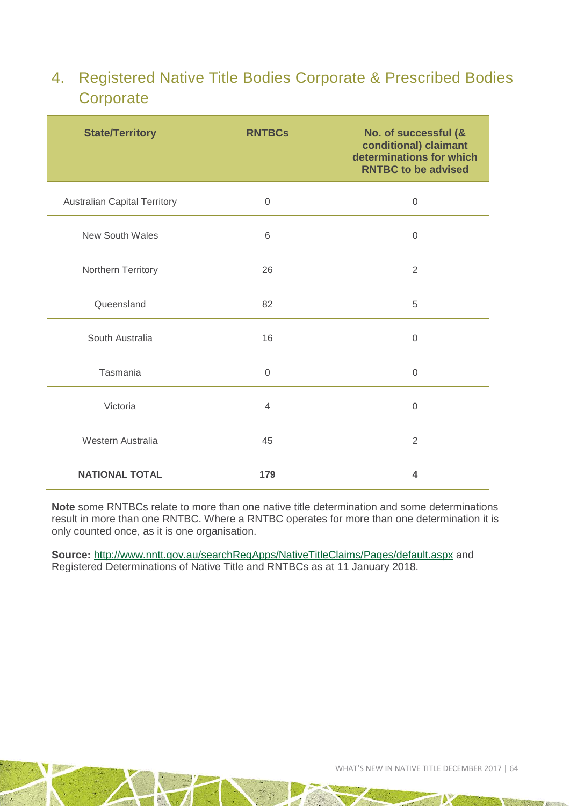### 4. Registered Native Title Bodies Corporate & Prescribed Bodies **Corporate**

| <b>State/Territory</b>              | <b>RNTBCs</b> | No. of successful (&<br>conditional) claimant<br>determinations for which<br><b>RNTBC to be advised</b> |
|-------------------------------------|---------------|---------------------------------------------------------------------------------------------------------|
| <b>Australian Capital Territory</b> | $\mathbf 0$   | $\mathbf 0$                                                                                             |
| <b>New South Wales</b>              | 6             | $\overline{0}$                                                                                          |
| Northern Territory                  | 26            | $\overline{2}$                                                                                          |
| Queensland                          | 82            | 5                                                                                                       |
| South Australia                     | 16            | $\mathbf 0$                                                                                             |
| Tasmania                            | 0             | $\Omega$                                                                                                |
| Victoria                            | 4             | $\Omega$                                                                                                |
| Western Australia                   | 45            | $\overline{2}$                                                                                          |
| <b>NATIONAL TOTAL</b>               | 179           | 4                                                                                                       |

**Note** some RNTBCs relate to more than one native title determination and some determinations result in more than one RNTBC. Where a RNTBC operates for more than one determination it is only counted once, as it is one organisation.

**Source:** <http://www.nntt.gov.au/searchRegApps/NativeTitleClaims/Pages/default.aspx> and Registered Determinations of Native Title and RNTBCs as at 11 January 2018.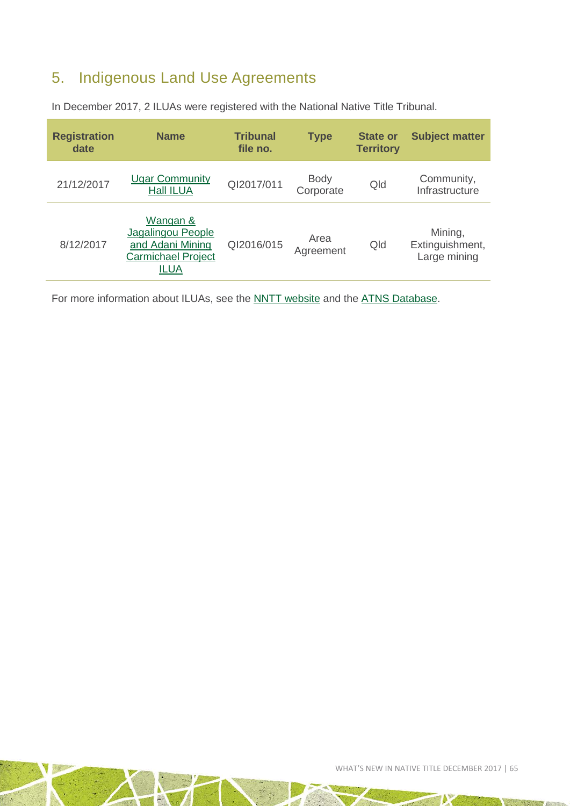# <span id="page-64-0"></span>5. Indigenous Land Use Agreements

| <b>Registration</b><br>date | <b>Name</b>                                                                            | <b>Tribunal</b><br>file no. | <b>Type</b>              | <b>State or</b><br><b>Territory</b> | <b>Subject matter</b>                      |
|-----------------------------|----------------------------------------------------------------------------------------|-----------------------------|--------------------------|-------------------------------------|--------------------------------------------|
| 21/12/2017                  | <b>Ugar Community</b><br><b>Hall ILUA</b>                                              | QI2017/011                  | <b>Body</b><br>Corporate | Qld                                 | Community,<br>Infrastructure               |
| 8/12/2017                   | Wangan &<br>Jagalingou People<br>and Adani Mining<br><b>Carmichael Project</b><br>ILUA | QI2016/015                  | Area<br>Agreement        | Qld                                 | Mining,<br>Extinguishment,<br>Large mining |

In December 2017, 2 ILUAs were registered with the National Native Title Tribunal.

For more information about ILUAs, see the **NNTT** website and the [ATNS Database.](http://www.atns.net.au/subcategory.asp?subcategoryID=121)

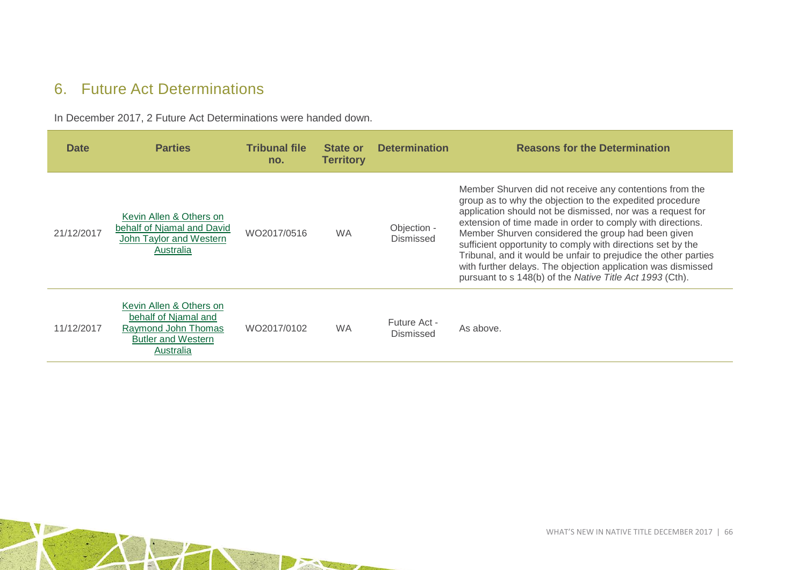### 6. Future Act Determinations

In December 2017, 2 Future Act Determinations were handed down.

<span id="page-65-0"></span>

| <b>Date</b> | <b>Parties</b>                                                                                                   | <b>Tribunal file</b><br>no. | State or<br><b>Territory</b> | <b>Determination</b>      | <b>Reasons for the Determination</b>                                                                                                                                                                                                                                                                                                                                                                                                                                                                                                                                |
|-------------|------------------------------------------------------------------------------------------------------------------|-----------------------------|------------------------------|---------------------------|---------------------------------------------------------------------------------------------------------------------------------------------------------------------------------------------------------------------------------------------------------------------------------------------------------------------------------------------------------------------------------------------------------------------------------------------------------------------------------------------------------------------------------------------------------------------|
| 21/12/2017  | Kevin Allen & Others on<br>behalf of Njamal and David<br>John Taylor and Western<br>Australia                    | WO2017/0516                 | <b>WA</b>                    | Objection -<br>Dismissed  | Member Shurven did not receive any contentions from the<br>group as to why the objection to the expedited procedure<br>application should not be dismissed, nor was a request for<br>extension of time made in order to comply with directions.<br>Member Shurven considered the group had been given<br>sufficient opportunity to comply with directions set by the<br>Tribunal, and it would be unfair to prejudice the other parties<br>with further delays. The objection application was dismissed<br>pursuant to s 148(b) of the Native Title Act 1993 (Cth). |
| 11/12/2017  | Kevin Allen & Others on<br>behalf of Njamal and<br>Raymond John Thomas<br><b>Butler and Western</b><br>Australia | WO2017/0102                 | <b>WA</b>                    | Future Act -<br>Dismissed | As above.                                                                                                                                                                                                                                                                                                                                                                                                                                                                                                                                                           |

 $\mathcal{A}$ THE STATE OF STREET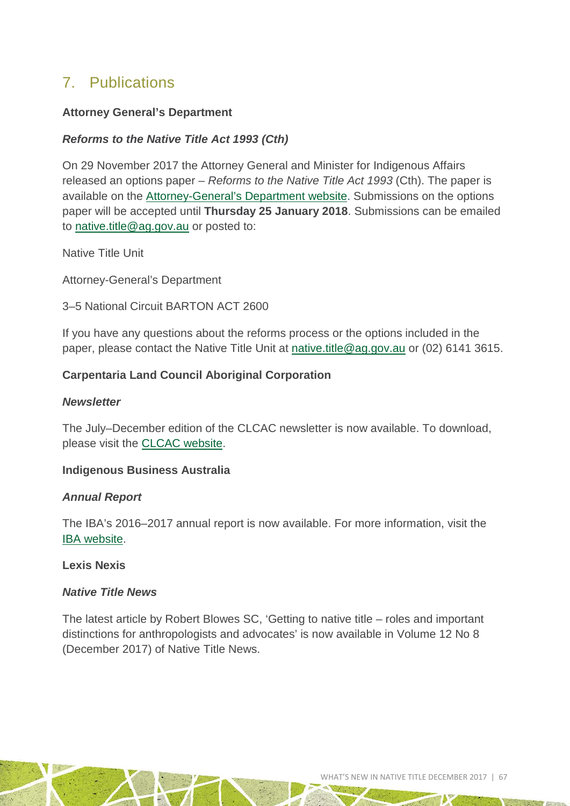### <span id="page-66-0"></span>7. Publications

#### **Attorney General's Department**

#### *Reforms to the Native Title Act 1993 (Cth)*

On 29 November 2017 the Attorney General and Minister for Indigenous Affairs released an options paper – *Reforms to the Native Title Act 1993* (Cth). The paper is available on the [Attorney-General's Department website.](https://www.ag.gov.au/Consultations/Pages/Reforms-to-the-Native-Title-Act-1993.aspx) Submissions on the options paper will be accepted until **Thursday 25 January 2018**. Submissions can be emailed to [native.title@ag.gov.au](mailto:native.title@ag.gov.au) or posted to:

Native Title Unit

Attorney-General's Department

3–5 National Circuit BARTON ACT 2600

If you have any questions about the reforms process or the options included in the paper, please contact the Native Title Unit at [native.title@ag.gov.au](mailto:native.title@ag.gov.au) or (02) 6141 3615.

#### **Carpentaria Land Council Aboriginal Corporation**

#### *Newsletter*

The July–December edition of the CLCAC newsletter is now available. To download, please visit the **CLCAC** website.

#### **Indigenous Business Australia**

#### *Annual Report*

The IBA's 2016–2017 annual report is now available. For more information, visit the [IBA website.](http://iba.gov.au/reports/AR1617/index.html)

#### **Lexis Nexis**

#### *Native Title News*

The latest article by Robert Blowes SC, 'Getting to native title – roles and important distinctions for anthropologists and advocates' is now available in Volume 12 No 8 (December 2017) of Native Title News.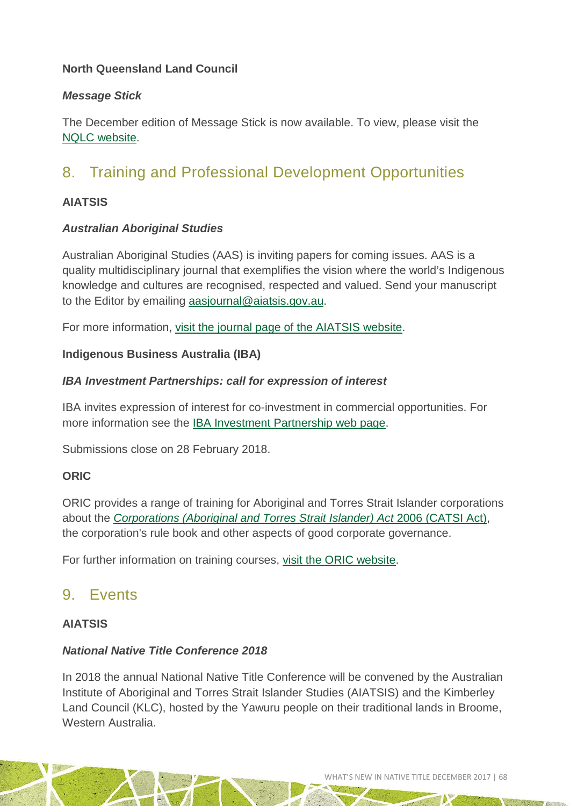#### **North Queensland Land Council**

#### *Message Stick*

The December edition of Message Stick is now available. To view, please visit the [NQLC website.](http://nqlc.com.au/index.php/publications/message-stick-2/message-stick-dec-2017/)

# <span id="page-67-0"></span>8. Training and Professional Development Opportunities

#### **AIATSIS**

#### *Australian Aboriginal Studies*

Australian Aboriginal Studies (AAS) is inviting papers for coming issues. AAS is a quality multidisciplinary journal that exemplifies the vision where the world's Indigenous knowledge and cultures are recognised, respected and valued. Send your manuscript to the Editor by emailing [aasjournal@aiatsis.gov.au.](mailto:aasjournal@aiatsis.gov.au)

For more information, [visit the journal page of the AIATSIS website.](http://aiatsis.gov.au/publications/australian-aboriginal-studies-journal)

#### **Indigenous Business Australia (IBA)**

#### *IBA Investment Partnerships: call for expression of interest*

IBA invites expression of interest for co-investment in commercial opportunities. For more information see the [IBA Investment Partnership web page.](http://www.iba.gov.au/investmentpartnerships/)

Submissions close on 28 February 2018.

#### **ORIC**

ORIC provides a range of training for Aboriginal and Torres Strait Islander corporations about the *[Corporations \(Aboriginal and Torres Strait Islander\) Act](http://www.comlaw.gov.au/Series/C2006A00124)* 2006 (CATSI Act), the corporation's rule book and other aspects of good corporate governance.

For further information on training courses, [visit the ORIC website.](http://www.oric.gov.au/training/training-courses-2017-18)

### <span id="page-67-1"></span>9. Events

#### **AIATSIS**

#### *National Native Title Conference 2018*

In 2018 the annual National Native Title Conference will be convened by the Australian Institute of Aboriginal and Torres Strait Islander Studies (AIATSIS) and the Kimberley Land Council (KLC), hosted by the Yawuru people on their traditional lands in Broome, Western Australia.